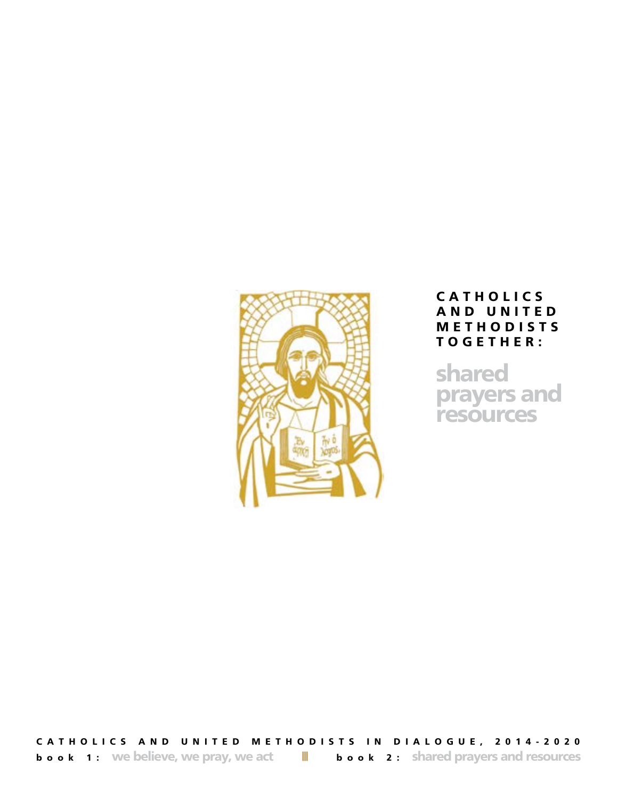

# **C A T H O L I C S A N D U N I T E D M E T H O D I S T S T O G E T H E R :**

**shared prayers and resources**

**CATHOLICS AND UNITED METHODISTS IN DIALOGUE, 2014-2020 book 1:** We believe, we pray, we act  $\|\cdot\|$  **book 2:** shared prayers and resources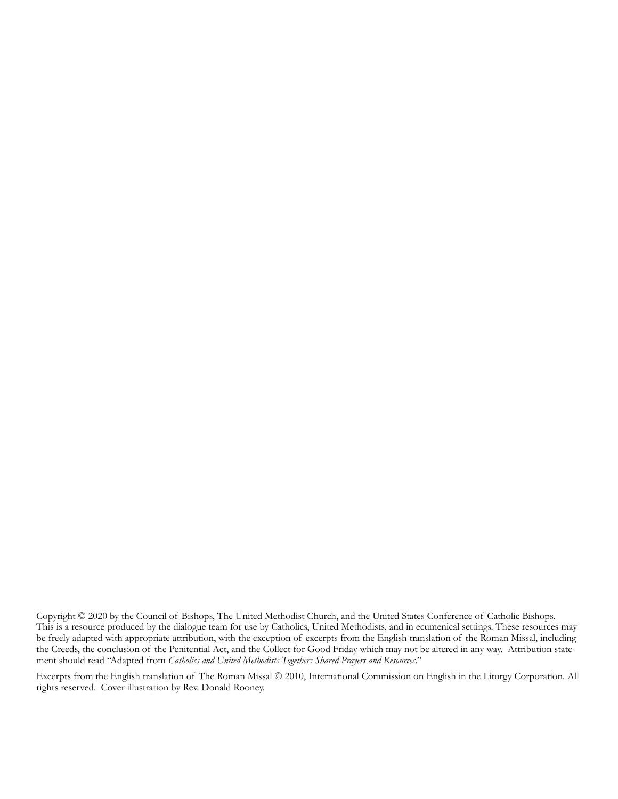Copyright © 2020 by the Council of Bishops, The United Methodist Church, and the United States Conference of Catholic Bishops. This is a resource produced by the dialogue team for use by Catholics, United Methodists, and in ecumenical settings. These resources may be freely adapted with appropriate attribution, with the exception of excerpts from the English translation of the Roman Missal, including the Creeds, the conclusion of the Penitential Act, and the Collect for Good Friday which may not be altered in any way. Attribution statement should read "Adapted from *Catholics and United Methodists Together: Shared Prayers and Resources*."

Excerpts from the English translation of The Roman Missal © 2010, International Commission on English in the Liturgy Corporation. All rights reserved. Cover illustration by Rev. Donald Rooney.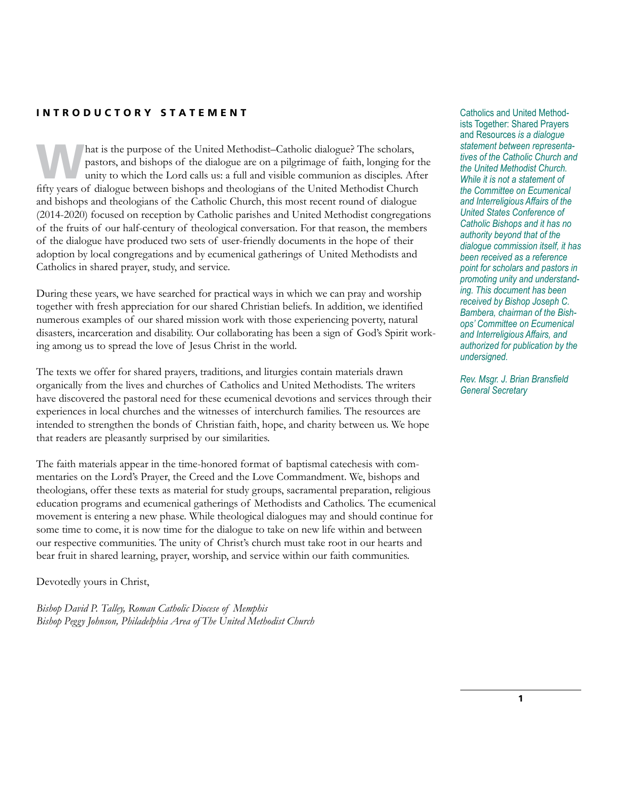# **INTRODUCTORY STATEMENT** Catholics and United Method-

hat is the purpose of the United Methodist–Catholic dialogue? The scholars, pastors, and bishops of the dialogue are on a pilgrimage of faith, longing for the unity to which the Lord calls us: a full and visible communion pastors, and bishops of the dialogue are on a pilgrimage of faith, longing for the fifty years of dialogue between bishops and theologians of the United Methodist Church and bishops and theologians of the Catholic Church, this most recent round of dialogue (2014-2020) focused on reception by Catholic parishes and United Methodist congregations of the fruits of our half-century of theological conversation. For that reason, the members of the dialogue have produced two sets of user-friendly documents in the hope of their adoption by local congregations and by ecumenical gatherings of United Methodists and Catholics in shared prayer, study, and service.

During these years, we have searched for practical ways in which we can pray and worship together with fresh appreciation for our shared Christian beliefs. In addition, we identified numerous examples of our shared mission work with those experiencing poverty, natural disasters, incarceration and disability. Our collaborating has been a sign of God's Spirit working among us to spread the love of Jesus Christ in the world.

The texts we offer for shared prayers, traditions, and liturgies contain materials drawn organically from the lives and churches of Catholics and United Methodists. The writers have discovered the pastoral need for these ecumenical devotions and services through their experiences in local churches and the witnesses of interchurch families. The resources are intended to strengthen the bonds of Christian faith, hope, and charity between us. We hope that readers are pleasantly surprised by our similarities.

The faith materials appear in the time-honored format of baptismal catechesis with commentaries on the Lord's Prayer, the Creed and the Love Commandment. We, bishops and theologians, offer these texts as material for study groups, sacramental preparation, religious education programs and ecumenical gatherings of Methodists and Catholics. The ecumenical movement is entering a new phase. While theological dialogues may and should continue for some time to come, it is now time for the dialogue to take on new life within and between our respective communities. The unity of Christ's church must take root in our hearts and bear fruit in shared learning, prayer, worship, and service within our faith communities.

Devotedly yours in Christ,

*Bishop David P. Talley, Roman Catholic Diocese of Memphis Bishop Peggy Johnson, Philadelphia Area of The United Methodist Church* ists Together: Shared Prayers and Resources *is a dialogue statement between representatives of the Catholic Church and the United Methodist Church. While it is not a statement of the Committee on Ecumenical and Interreligious Affairs of the United States Conference of Catholic Bishops and it has no authority beyond that of the dialogue commission itself, it has been received as a reference point for scholars and pastors in promoting unity and understanding. This document has been received by Bishop Joseph C. Bambera, chairman of the Bishops' Committee on Ecumenical and Interreligious Affairs, and authorized for publication by the undersigned.*

*Rev. Msgr. J. Brian Bransfield General Secretary*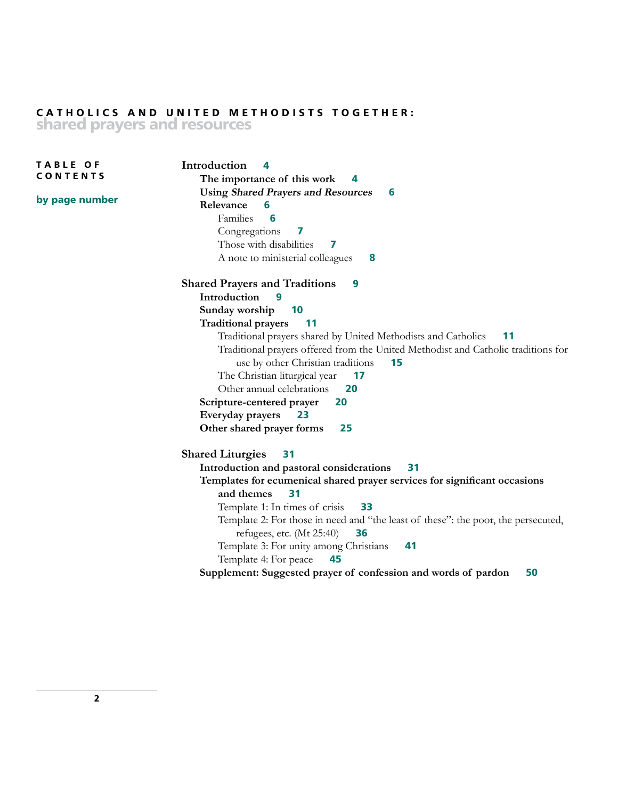# **CATHOLICS AND UNITED METHODISTS TOGETHER: shared prayers and resources**

**Introduction 4 The importance of this work 4 Using Shared Prayers and Resources 6 Relevance 6** Families **6** Congregations **7** Those with disabilities **7** A note to ministerial colleagues **8 Shared Prayers and Traditions 9 Introduction 9 Sunday worship 10 Traditional prayers 11** Traditional prayers shared by United Methodists and Catholics **11** Traditional prayers offered from the United Methodist and Catholic traditions for use by other Christian traditions **15** The Christian liturgical year **17** Other annual celebrations **20 Scripture-centered prayer 20 Everyday prayers 23 Other shared prayer forms 25 Shared Liturgies 31 Introduction and pastoral considerations 31 Templates for ecumenical shared prayer services for significant occasions and themes 31** Template 1: In times of crisis **33** Template 2: For those in need and "the least of these": the poor, the persecuted, refugees, etc. (Mt 25:40) **36** Template 3: For unity among Christians **41** Template 4: For peace **45 Supplement: Suggested prayer of confession and words of pardon 50 T A B L E O F CONTENTS by page number**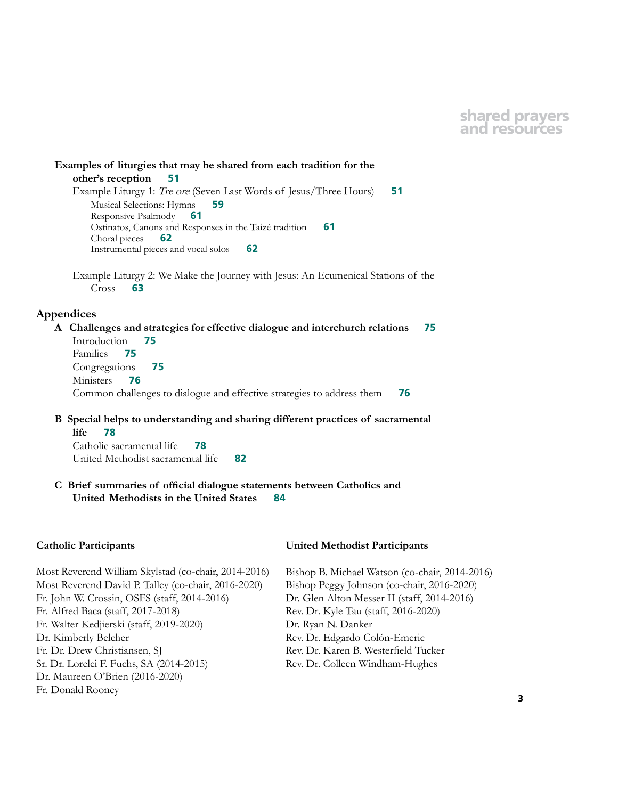# **shared prayers and resources**

**Examples of liturgies that may be shared from each tradition for the other's reception 51** Example Liturgy 1: Tre ore (Seven Last Words of Jesus/Three Hours) **51** Musical Selections: Hymns **59** Responsive Psalmody **61** Ostinatos, Canons and Responses in the Taizé tradition **61** Choral pieces **62** Instrumental pieces and vocal solos **62** Example Liturgy 2: We Make the Journey with Jesus: An Ecumenical Stations of the Cross **63**

### **Appendices**

**A Challenges and strategies for effective dialogue and interchurch relations 75** Introduction **75** Families **75** Congregations **75** Ministers **76** Common challenges to dialogue and effective strategies to address them **76**

**B Special helps to understanding and sharing different practices of sacramental life 78**

 Catholic sacramental life **78** United Methodist sacramental life **82**

**C Brief summaries of official dialogue statements between Catholics and United Methodists in the United States 84**

### **Catholic Participants**

Most Reverend William Skylstad (co-chair, 2014-2016) Most Reverend David P. Talley (co-chair, 2016-2020) Fr. John W. Crossin, OSFS (staff, 2014-2016) Fr. Alfred Baca (staff, 2017-2018) Fr. Walter Kedjierski (staff, 2019-2020) Dr. Kimberly Belcher Fr. Dr. Drew Christiansen, SJ Sr. Dr. Lorelei F. Fuchs, SA (2014-2015) Dr. Maureen O'Brien (2016-2020) Fr. Donald Rooney

#### **United Methodist Participants**

Bishop B. Michael Watson (co-chair, 2014-2016) Bishop Peggy Johnson (co-chair, 2016-2020) Dr. Glen Alton Messer II (staff, 2014-2016) Rev. Dr. Kyle Tau (staff, 2016-2020) Dr. Ryan N. Danker Rev. Dr. Edgardo Colón-Emeric Rev. Dr. Karen B. Westerfield Tucker Rev. Dr. Colleen Windham-Hughes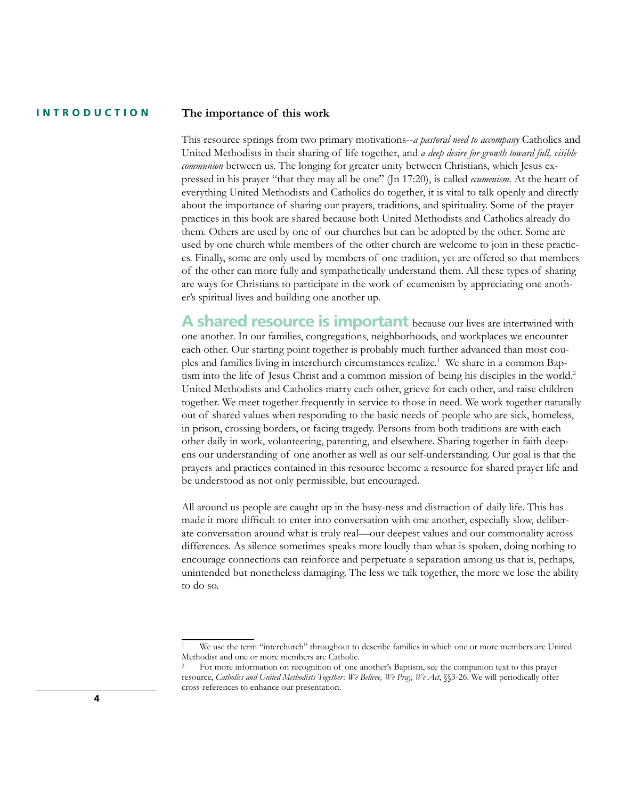### **INTRODUCTION**

### **The importance of this work**

This resource springs from two primary motivations--*a pastoral need to accompany* Catholics and United Methodists in their sharing of life together, and *a deep desire for growth toward full, visible communion* between us. The longing for greater unity between Christians, which Jesus expressed in his prayer "that they may all be one" (Jn 17:20), is called *ecumenism*. At the heart of everything United Methodists and Catholics do together, it is vital to talk openly and directly about the importance of sharing our prayers, traditions, and spirituality. Some of the prayer practices in this book are shared because both United Methodists and Catholics already do them. Others are used by one of our churches but can be adopted by the other. Some are used by one church while members of the other church are welcome to join in these practices. Finally, some are only used by members of one tradition, yet are offered so that members of the other can more fully and sympathetically understand them. All these types of sharing are ways for Christians to participate in the work of ecumenism by appreciating one another's spiritual lives and building one another up.

**A shared resource is important** because our lives are intertwined with one another. In our families, congregations, neighborhoods, and workplaces we encounter each other. Our starting point together is probably much further advanced than most couples and families living in interchurch circumstances realize.<sup>1</sup> We share in a common Baptism into the life of Jesus Christ and a common mission of being his disciples in the world.<sup>2</sup> United Methodists and Catholics marry each other, grieve for each other, and raise children together. We meet together frequently in service to those in need. We work together naturally out of shared values when responding to the basic needs of people who are sick, homeless, in prison, crossing borders, or facing tragedy. Persons from both traditions are with each other daily in work, volunteering, parenting, and elsewhere. Sharing together in faith deepens our understanding of one another as well as our self-understanding. Our goal is that the prayers and practices contained in this resource become a resource for shared prayer life and be understood as not only permissible, but encouraged.

All around us people are caught up in the busy-ness and distraction of daily life. This has made it more difficult to enter into conversation with one another, especially slow, deliberate conversation around what is truly real—our deepest values and our commonality across differences. As silence sometimes speaks more loudly than what is spoken, doing nothing to encourage connections can reinforce and perpetuate a separation among us that is, perhaps, unintended but nonetheless damaging. The less we talk together, the more we lose the ability to do so.

We use the term "interchurch" throughout to describe families in which one or more members are United Methodist and one or more members are Catholic.

<sup>&</sup>lt;sup>2</sup> For more information on recognition of one another's Baptism, see the companion text to this prayer resource, *Catholics and United Methodists Together: We Believe, We Pray, We Act*, §§3-26. We will periodically offer cross-references to enhance our presentation.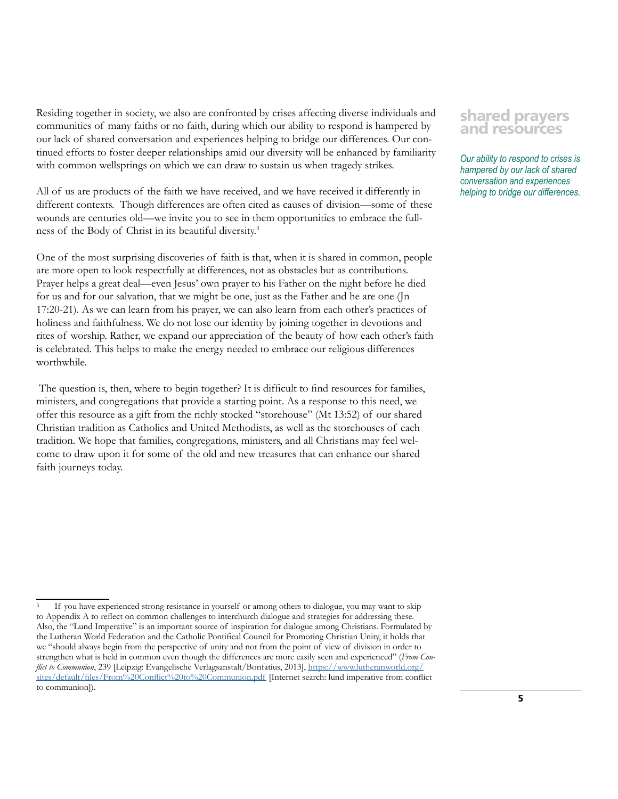Residing together in society, we also are confronted by crises affecting diverse individuals and communities of many faiths or no faith, during which our ability to respond is hampered by our lack of shared conversation and experiences helping to bridge our differences. Our continued efforts to foster deeper relationships amid our diversity will be enhanced by familiarity with common wellsprings on which we can draw to sustain us when tragedy strikes.

All of us are products of the faith we have received, and we have received it differently in different contexts. Though differences are often cited as causes of division—some of these wounds are centuries old—we invite you to see in them opportunities to embrace the fullness of the Body of Christ in its beautiful diversity.3

One of the most surprising discoveries of faith is that, when it is shared in common, people are more open to look respectfully at differences, not as obstacles but as contributions. Prayer helps a great deal—even Jesus' own prayer to his Father on the night before he died for us and for our salvation, that we might be one, just as the Father and he are one (Jn 17:20-21). As we can learn from his prayer, we can also learn from each other's practices of holiness and faithfulness. We do not lose our identity by joining together in devotions and rites of worship. Rather, we expand our appreciation of the beauty of how each other's faith is celebrated. This helps to make the energy needed to embrace our religious differences worthwhile.

 The question is, then, where to begin together? It is difficult to find resources for families, ministers, and congregations that provide a starting point. As a response to this need, we offer this resource as a gift from the richly stocked "storehouse" (Mt 13:52) of our shared Christian tradition as Catholics and United Methodists, as well as the storehouses of each tradition. We hope that families, congregations, ministers, and all Christians may feel welcome to draw upon it for some of the old and new treasures that can enhance our shared faith journeys today.

# **shared prayers and resources**

*Our ability to respond to crises is hampered by our lack of shared conversation and experiences helping to bridge our differences.*

If you have experienced strong resistance in yourself or among others to dialogue, you may want to skip to Appendix A to reflect on common challenges to interchurch dialogue and strategies for addressing these. Also, the "Lund Imperative" is an important source of inspiration for dialogue among Christians. Formulated by the Lutheran World Federation and the Catholic Pontifical Council for Promoting Christian Unity, it holds that we "should always begin from the perspective of unity and not from the point of view of division in order to strengthen what is held in common even though the differences are more easily seen and experienced" (*From Conflict to Communion*, 239 [Leipzig: Evangelische Verlagsanstalt/Bonfatius, 2013], [https://www.lutheranworld.org/](https://www.lutheranworld.org/sites/default/files/From%20Conflict%20to%20Communion.pdf) [sites/default/files/From%20Conflict%20to%20Communion.pdf](https://www.lutheranworld.org/sites/default/files/From%20Conflict%20to%20Communion.pdf) [Internet search: lund imperative from conflict to communion]).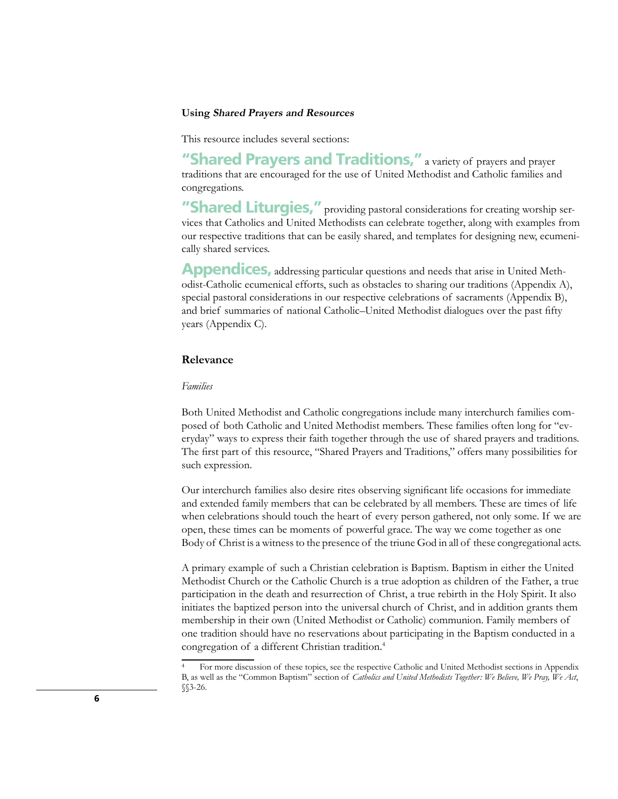### **Using Shared Prayers and Resources**

This resource includes several sections:

**"Shared Prayers and Traditions,"** a variety of prayers and prayer traditions that are encouraged for the use of United Methodist and Catholic families and congregations.

**"Shared Liturgies,"** providing pastoral considerations for creating worship services that Catholics and United Methodists can celebrate together, along with examples from our respective traditions that can be easily shared, and templates for designing new, ecumenically shared services.

**Appendices,** addressing particular questions and needs that arise in United Methodist-Catholic ecumenical efforts, such as obstacles to sharing our traditions (Appendix A), special pastoral considerations in our respective celebrations of sacraments (Appendix B), and brief summaries of national Catholic–United Methodist dialogues over the past fifty years (Appendix C).

# **Relevance**

#### *Families*

Both United Methodist and Catholic congregations include many interchurch families composed of both Catholic and United Methodist members. These families often long for "everyday" ways to express their faith together through the use of shared prayers and traditions. The first part of this resource, "Shared Prayers and Traditions," offers many possibilities for such expression.

Our interchurch families also desire rites observing significant life occasions for immediate and extended family members that can be celebrated by all members. These are times of life when celebrations should touch the heart of every person gathered, not only some. If we are open, these times can be moments of powerful grace. The way we come together as one Body of Christ is a witness to the presence of the triune God in all of these congregational acts.

A primary example of such a Christian celebration is Baptism. Baptism in either the United Methodist Church or the Catholic Church is a true adoption as children of the Father, a true participation in the death and resurrection of Christ, a true rebirth in the Holy Spirit. It also initiates the baptized person into the universal church of Christ, and in addition grants them membership in their own (United Methodist or Catholic) communion. Family members of one tradition should have no reservations about participating in the Baptism conducted in a congregation of a different Christian tradition.4

<sup>4</sup> For more discussion of these topics, see the respective Catholic and United Methodist sections in Appendix B, as well as the "Common Baptism" section of *Catholics and United Methodists Together: We Believe, We Pray, We Act*, §§3-26.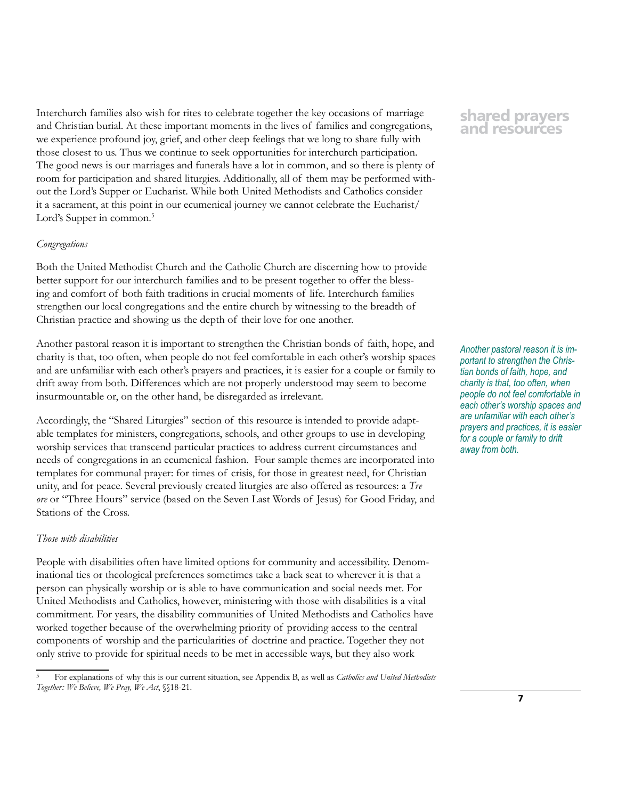Interchurch families also wish for rites to celebrate together the key occasions of marriage and Christian burial. At these important moments in the lives of families and congregations, we experience profound joy, grief, and other deep feelings that we long to share fully with those closest to us. Thus we continue to seek opportunities for interchurch participation. The good news is our marriages and funerals have a lot in common, and so there is plenty of room for participation and shared liturgies. Additionally, all of them may be performed without the Lord's Supper or Eucharist. While both United Methodists and Catholics consider it a sacrament, at this point in our ecumenical journey we cannot celebrate the Eucharist/ Lord's Supper in common.<sup>5</sup>

### *Congregations*

Both the United Methodist Church and the Catholic Church are discerning how to provide better support for our interchurch families and to be present together to offer the blessing and comfort of both faith traditions in crucial moments of life. Interchurch families strengthen our local congregations and the entire church by witnessing to the breadth of Christian practice and showing us the depth of their love for one another.

Another pastoral reason it is important to strengthen the Christian bonds of faith, hope, and charity is that, too often, when people do not feel comfortable in each other's worship spaces and are unfamiliar with each other's prayers and practices, it is easier for a couple or family to drift away from both. Differences which are not properly understood may seem to become insurmountable or, on the other hand, be disregarded as irrelevant.

Accordingly, the "Shared Liturgies" section of this resource is intended to provide adaptable templates for ministers, congregations, schools, and other groups to use in developing worship services that transcend particular practices to address current circumstances and needs of congregations in an ecumenical fashion. Four sample themes are incorporated into templates for communal prayer: for times of crisis, for those in greatest need, for Christian unity, and for peace. Several previously created liturgies are also offered as resources: a *Tre ore* or "Three Hours" service (based on the Seven Last Words of Jesus) for Good Friday, and Stations of the Cross.

### *Those with disabilities*

People with disabilities often have limited options for community and accessibility. Denominational ties or theological preferences sometimes take a back seat to wherever it is that a person can physically worship or is able to have communication and social needs met. For United Methodists and Catholics, however, ministering with those with disabilities is a vital commitment. For years, the disability communities of United Methodists and Catholics have worked together because of the overwhelming priority of providing access to the central components of worship and the particularities of doctrine and practice. Together they not only strive to provide for spiritual needs to be met in accessible ways, but they also work

# **shared prayers and resources**

*Another pastoral reason it is important to strengthen the Christian bonds of faith, hope, and charity is that, too often, when people do not feel comfortable in each other's worship spaces and are unfamiliar with each other's prayers and practices, it is easier for a couple or family to drift away from both.*

<sup>5</sup> For explanations of why this is our current situation, see Appendix B, as well as *Catholics and United Methodists Together: We Believe, We Pray, We Act*, §§18-21.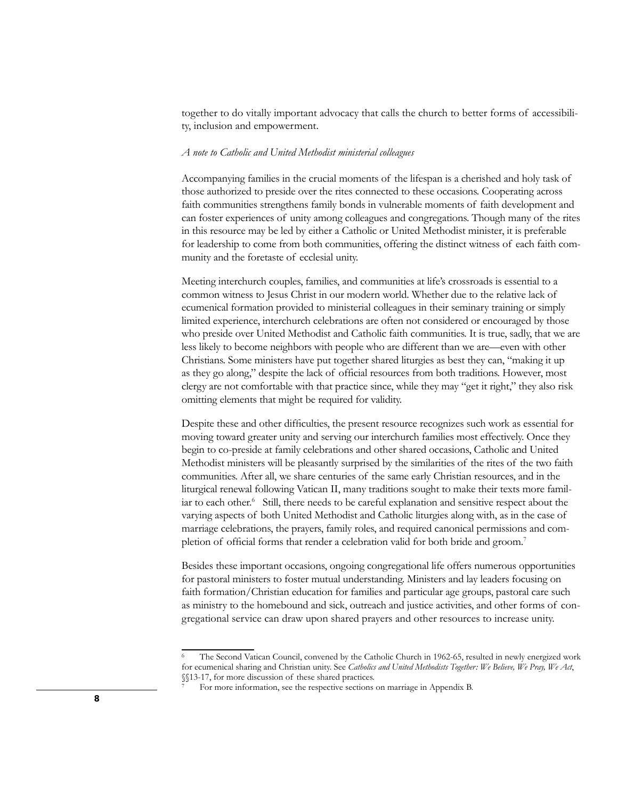together to do vitally important advocacy that calls the church to better forms of accessibility, inclusion and empowerment.

### *A note to Catholic and United Methodist ministerial colleagues*

Accompanying families in the crucial moments of the lifespan is a cherished and holy task of those authorized to preside over the rites connected to these occasions. Cooperating across faith communities strengthens family bonds in vulnerable moments of faith development and can foster experiences of unity among colleagues and congregations. Though many of the rites in this resource may be led by either a Catholic or United Methodist minister, it is preferable for leadership to come from both communities, offering the distinct witness of each faith community and the foretaste of ecclesial unity.

Meeting interchurch couples, families, and communities at life's crossroads is essential to a common witness to Jesus Christ in our modern world. Whether due to the relative lack of ecumenical formation provided to ministerial colleagues in their seminary training or simply limited experience, interchurch celebrations are often not considered or encouraged by those who preside over United Methodist and Catholic faith communities. It is true, sadly, that we are less likely to become neighbors with people who are different than we are—even with other Christians. Some ministers have put together shared liturgies as best they can, "making it up as they go along," despite the lack of official resources from both traditions. However, most clergy are not comfortable with that practice since, while they may "get it right," they also risk omitting elements that might be required for validity.

Despite these and other difficulties, the present resource recognizes such work as essential for moving toward greater unity and serving our interchurch families most effectively. Once they begin to co-preside at family celebrations and other shared occasions, Catholic and United Methodist ministers will be pleasantly surprised by the similarities of the rites of the two faith communities. After all, we share centuries of the same early Christian resources, and in the liturgical renewal following Vatican II, many traditions sought to make their texts more familiar to each other.<sup>6</sup> Still, there needs to be careful explanation and sensitive respect about the varying aspects of both United Methodist and Catholic liturgies along with, as in the case of marriage celebrations, the prayers, family roles, and required canonical permissions and completion of official forms that render a celebration valid for both bride and groom.<sup>7</sup>

Besides these important occasions, ongoing congregational life offers numerous opportunities for pastoral ministers to foster mutual understanding. Ministers and lay leaders focusing on faith formation/Christian education for families and particular age groups, pastoral care such as ministry to the homebound and sick, outreach and justice activities, and other forms of congregational service can draw upon shared prayers and other resources to increase unity.

The Second Vatican Council, convened by the Catholic Church in 1962-65, resulted in newly energized work for ecumenical sharing and Christian unity. See *Catholics and United Methodists Together: We Believe, We Pray, We Act*, §§13-17, for more discussion of these shared practices.

For more information, see the respective sections on marriage in Appendix B.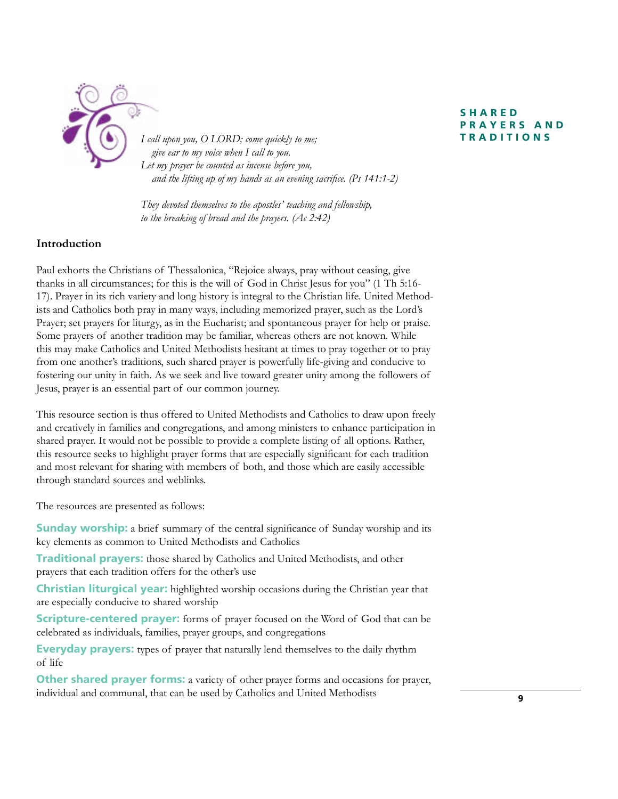

*I call upon you, O LORD; come quickly to me;* **TRADITIONS**  *give ear to my voice when I call to you. Let my prayer be counted as incense before you, and the lifting up of my hands as an evening sacrifice. (Ps 141:1-2)*

*They devoted themselves to the apostles' teaching and fellowship, to the breaking of bread and the prayers. (Ac 2:42)*

# **Introduction**

Paul exhorts the Christians of Thessalonica, "Rejoice always, pray without ceasing, give thanks in all circumstances; for this is the will of God in Christ Jesus for you" (1 Th 5:16- 17). Prayer in its rich variety and long history is integral to the Christian life. United Methodists and Catholics both pray in many ways, including memorized prayer, such as the Lord's Prayer; set prayers for liturgy, as in the Eucharist; and spontaneous prayer for help or praise. Some prayers of another tradition may be familiar, whereas others are not known. While this may make Catholics and United Methodists hesitant at times to pray together or to pray from one another's traditions, such shared prayer is powerfully life-giving and conducive to fostering our unity in faith. As we seek and live toward greater unity among the followers of Jesus, prayer is an essential part of our common journey.

This resource section is thus offered to United Methodists and Catholics to draw upon freely and creatively in families and congregations, and among ministers to enhance participation in shared prayer. It would not be possible to provide a complete listing of all options. Rather, this resource seeks to highlight prayer forms that are especially significant for each tradition and most relevant for sharing with members of both, and those which are easily accessible through standard sources and weblinks.

The resources are presented as follows:

**Sunday worship:** a brief summary of the central significance of Sunday worship and its key elements as common to United Methodists and Catholics

**Traditional prayers:** those shared by Catholics and United Methodists, and other prayers that each tradition offers for the other's use

**Christian liturgical year:** highlighted worship occasions during the Christian year that are especially conducive to shared worship

**Scripture-centered prayer:** forms of prayer focused on the Word of God that can be celebrated as individuals, families, prayer groups, and congregations

**Everyday prayers:** types of prayer that naturally lend themselves to the daily rhythm of life

**Other shared prayer forms:** a variety of other prayer forms and occasions for prayer, individual and communal, that can be used by Catholics and United Methodists

# **S H A R E D P R A Y E R S A N D**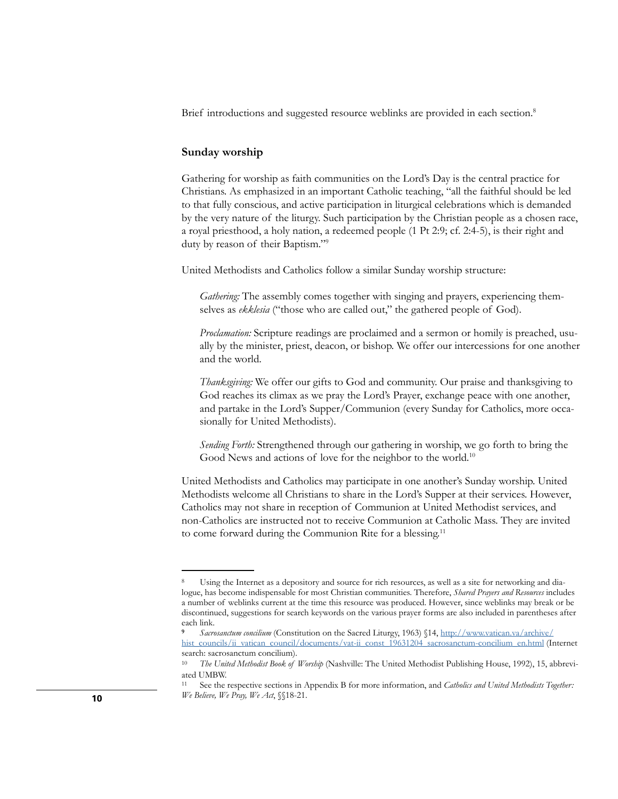Brief introductions and suggested resource weblinks are provided in each section.<sup>8</sup>

### **Sunday worship**

Gathering for worship as faith communities on the Lord's Day is the central practice for Christians. As emphasized in an important Catholic teaching, "all the faithful should be led to that fully conscious, and active participation in liturgical celebrations which is demanded by the very nature of the liturgy. Such participation by the Christian people as a chosen race, a royal priesthood, a holy nation, a redeemed people (1 Pt 2:9; cf. 2:4-5), is their right and duty by reason of their Baptism."9

United Methodists and Catholics follow a similar Sunday worship structure:

*Gathering:* The assembly comes together with singing and prayers, experiencing themselves as *ekklesia* ("those who are called out," the gathered people of God).

*Proclamation:* Scripture readings are proclaimed and a sermon or homily is preached, usually by the minister, priest, deacon, or bishop. We offer our intercessions for one another and the world.

*Thanksgiving:* We offer our gifts to God and community. Our praise and thanksgiving to God reaches its climax as we pray the Lord's Prayer, exchange peace with one another, and partake in the Lord's Supper/Communion (every Sunday for Catholics, more occasionally for United Methodists).

*Sending Forth:* Strengthened through our gathering in worship, we go forth to bring the Good News and actions of love for the neighbor to the world.<sup>10</sup>

United Methodists and Catholics may participate in one another's Sunday worship. United Methodists welcome all Christians to share in the Lord's Supper at their services. However, Catholics may not share in reception of Communion at United Methodist services, and non-Catholics are instructed not to receive Communion at Catholic Mass. They are invited to come forward during the Communion Rite for a blessing.<sup>11</sup>

Using the Internet as a depository and source for rich resources, as well as a site for networking and dialogue, has become indispensable for most Christian communities. Therefore, *Shared Prayers and Resources* includes a number of weblinks current at the time this resource was produced. However, since weblinks may break or be discontinued, suggestions for search keywords on the various prayer forms are also included in parentheses after each link.

**<sup>9</sup>** *Sacrosanctum concilium* (Constitution on the Sacred Liturgy, 1963) §14, [http://www.vatican.va/archive/](http://www.vatican.va/archive/hist_councils/ii_vatican_council/documents/vat-ii_const_19631204_sacrosanctum-concilium_en.html) [hist\\_councils/ii\\_vatican\\_council/documents/vat-ii\\_const\\_19631204\\_sacrosanctum-concilium\\_en.html](http://www.vatican.va/archive/hist_councils/ii_vatican_council/documents/vat-ii_const_19631204_sacrosanctum-concilium_en.html) (Internet search: sacrosanctum concilium).

<sup>10</sup> *The United Methodist Book of Worship* (Nashville: The United Methodist Publishing House, 1992), 15, abbreviated UMBW.

<sup>11</sup> See the respective sections in Appendix B for more information, and *Catholics and United Methodists Together: We Believe, We Pray, We Act*, §§18-21.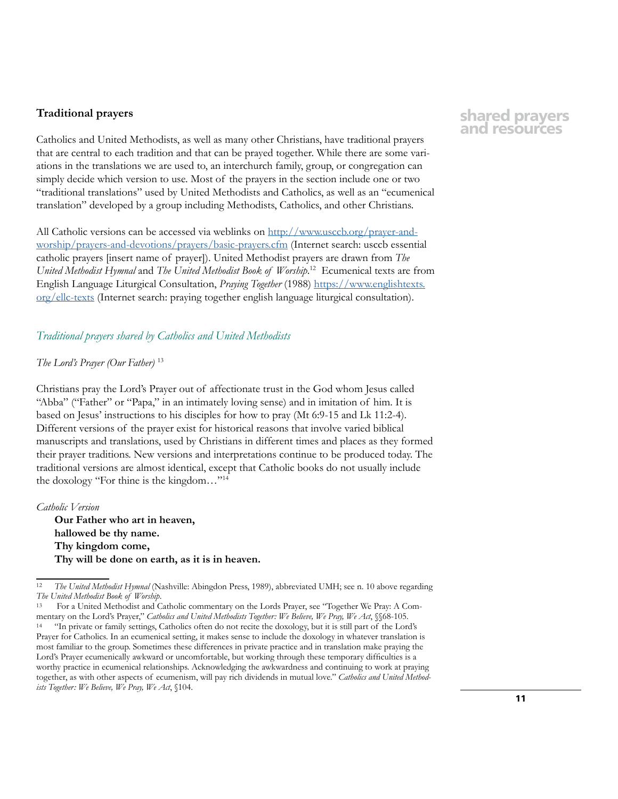### **Traditional prayers**

Catholics and United Methodists, as well as many other Christians, have traditional prayers that are central to each tradition and that can be prayed together. While there are some variations in the translations we are used to, an interchurch family, group, or congregation can simply decide which version to use. Most of the prayers in the section include one or two "traditional translations" used by United Methodists and Catholics, as well as an "ecumenical translation" developed by a group including Methodists, Catholics, and other Christians.

All Catholic versions can be accessed via weblinks on [http://www.usccb.org/prayer-and](http://www.usccb.org/prayer-and-worship/prayers-and-devotions/prayers/basic-prayers.cfm)[worship/prayers-and-devotions/prayers/basic-prayers.cfm](http://www.usccb.org/prayer-and-worship/prayers-and-devotions/prayers/basic-prayers.cfm) (Internet search: usccb essential catholic prayers [insert name of prayer]). United Methodist prayers are drawn from *The United Methodist Hymnal* and *The United Methodist Book of Worship*. 12 Ecumenical texts are from English Language Liturgical Consultation, *Praying Together* (1988) [https://www.englishtexts.](https://www.englishtexts.org/ellc-texts) [org/ellc-texts](https://www.englishtexts.org/ellc-texts) (Internet search: praying together english language liturgical consultation).

### *Traditional prayers shared by Catholics and United Methodists*

### *The Lord's Prayer (Our Father)* <sup>13</sup>

Christians pray the Lord's Prayer out of affectionate trust in the God whom Jesus called "Abba" ("Father" or "Papa," in an intimately loving sense) and in imitation of him. It is based on Jesus' instructions to his disciples for how to pray (Mt 6:9-15 and Lk 11:2-4). Different versions of the prayer exist for historical reasons that involve varied biblical manuscripts and translations, used by Christians in different times and places as they formed their prayer traditions. New versions and interpretations continue to be produced today. The traditional versions are almost identical, except that Catholic books do not usually include the doxology "For thine is the kingdom…"14

*Catholic Version* **Our Father who art in heaven, hallowed be thy name. Thy kingdom come, Thy will be done on earth, as it is in heaven.**

13 For a United Methodist and Catholic commentary on the Lords Prayer, see "Together We Pray: A Commentary on the Lord's Prayer," *Catholics and United Methodists Together: We Believe, We Pray, We Act*, §§68-105. "In private or family settings, Catholics often do not recite the doxology, but it is still part of the Lord's Prayer for Catholics. In an ecumenical setting, it makes sense to include the doxology in whatever translation is most familiar to the group. Sometimes these differences in private practice and in translation make praying the Lord's Prayer ecumenically awkward or uncomfortable, but working through these temporary difficulties is a worthy practice in ecumenical relationships. Acknowledging the awkwardness and continuing to work at praying together, as with other aspects of ecumenism, will pay rich dividends in mutual love." *Catholics and United Methodists Together: We Believe, We Pray, We Act*, §104.

<sup>12</sup> *The United Methodist Hymnal* (Nashville: Abingdon Press, 1989), abbreviated UMH; see n. 10 above regarding *The United Methodist Book of Worship*.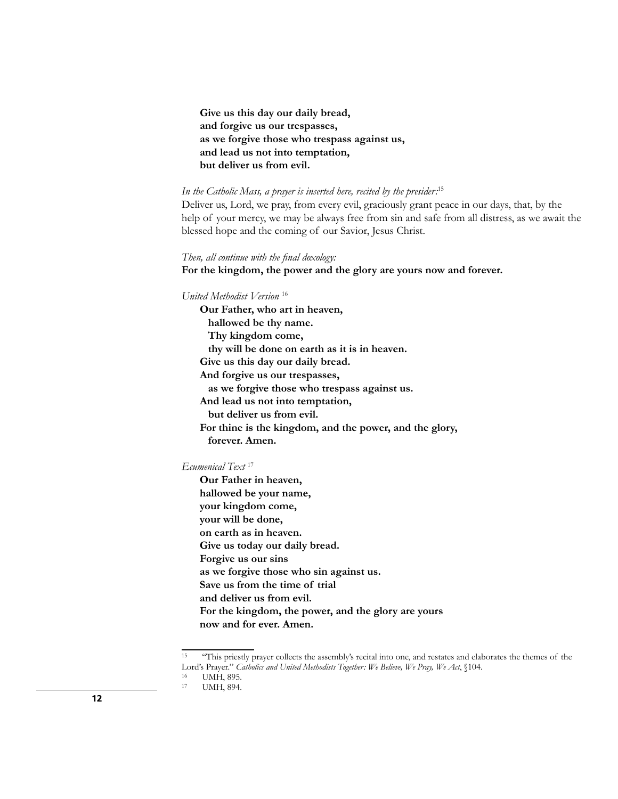**Give us this day our daily bread, and forgive us our trespasses, as we forgive those who trespass against us, and lead us not into temptation, but deliver us from evil.**

### *In the Catholic Mass, a prayer is inserted here, recited by the presider:*<sup>15</sup>

Deliver us, Lord, we pray, from every evil, graciously grant peace in our days, that, by the help of your mercy, we may be always free from sin and safe from all distress, as we await the blessed hope and the coming of our Savior, Jesus Christ.

*Then, all continue with the final doxology:*

**For the kingdom, the power and the glory are yours now and forever.**

*United Methodist Version* <sup>16</sup>

**Our Father, who art in heaven, hallowed be thy name. Thy kingdom come, thy will be done on earth as it is in heaven. Give us this day our daily bread. And forgive us our trespasses, as we forgive those who trespass against us. And lead us not into temptation, but deliver us from evil. For thine is the kingdom, and the power, and the glory, forever. Amen.**

*Ecumenical Text* <sup>17</sup>

**Our Father in heaven, hallowed be your name, your kingdom come, your will be done, on earth as in heaven. Give us today our daily bread. Forgive us our sins as we forgive those who sin against us. Save us from the time of trial and deliver us from evil. For the kingdom, the power, and the glory are yours now and for ever. Amen.** 

<sup>&</sup>lt;sup>15</sup> "This priestly prayer collects the assembly's recital into one, and restates and elaborates the themes of the Lord's Prayer." *Catholics and United Methodists Together: We Believe, We Pray, We Act*, §104.

<sup>&</sup>lt;sup>16</sup> UMH, 895.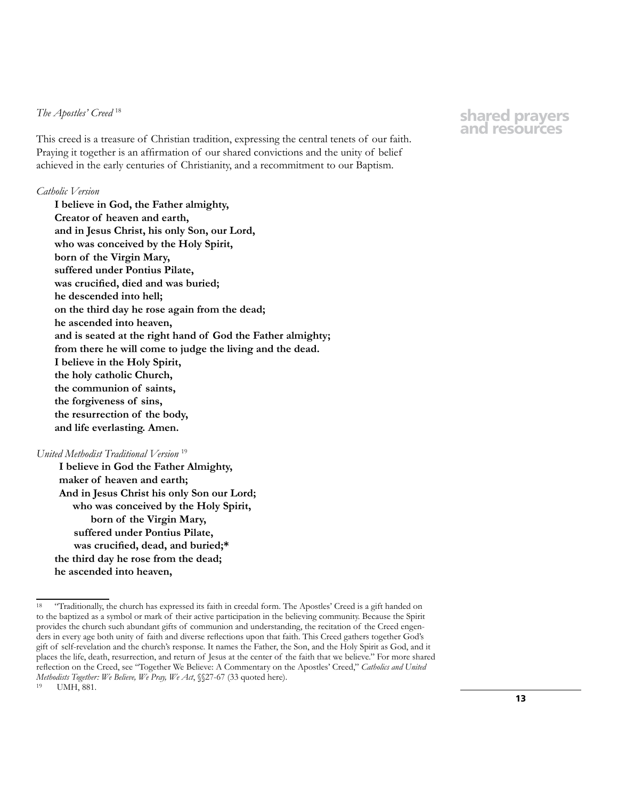### *The Apostles' Creed* <sup>18</sup>

This creed is a treasure of Christian tradition, expressing the central tenets of our faith. Praying it together is an affirmation of our shared convictions and the unity of belief achieved in the early centuries of Christianity, and a recommitment to our Baptism.

#### *Catholic Version*

**I believe in God, the Father almighty, Creator of heaven and earth, and in Jesus Christ, his only Son, our Lord, who was conceived by the Holy Spirit, born of the Virgin Mary, suffered under Pontius Pilate, was crucified, died and was buried; he descended into hell; on the third day he rose again from the dead; he ascended into heaven, and is seated at the right hand of God the Father almighty; from there he will come to judge the living and the dead. I believe in the Holy Spirit, the holy catholic Church, the communion of saints, the forgiveness of sins, the resurrection of the body, and life everlasting. Amen.**

### *United Methodist Traditional Version* <sup>19</sup>

**I believe in God the Father Almighty, maker of heaven and earth; And in Jesus Christ his only Son our Lord; who was conceived by the Holy Spirit, born of the Virgin Mary, suffered under Pontius Pilate, was crucified, dead, and buried;\* the third day he rose from the dead; he ascended into heaven,**

<sup>&</sup>lt;sup>18</sup> "Traditionally, the church has expressed its faith in creedal form. The Apostles' Creed is a gift handed on to the baptized as a symbol or mark of their active participation in the believing community. Because the Spirit provides the church such abundant gifts of communion and understanding, the recitation of the Creed engenders in every age both unity of faith and diverse reflections upon that faith. This Creed gathers together God's gift of self-revelation and the church's response. It names the Father, the Son, and the Holy Spirit as God, and it places the life, death, resurrection, and return of Jesus at the center of the faith that we believe." For more shared reflection on the Creed, see "Together We Believe: A Commentary on the Apostles' Creed," *Catholics and United Methodists Together: We Believe, We Pray, We Act*, §§27-67 (33 quoted here). 19 UMH, 881.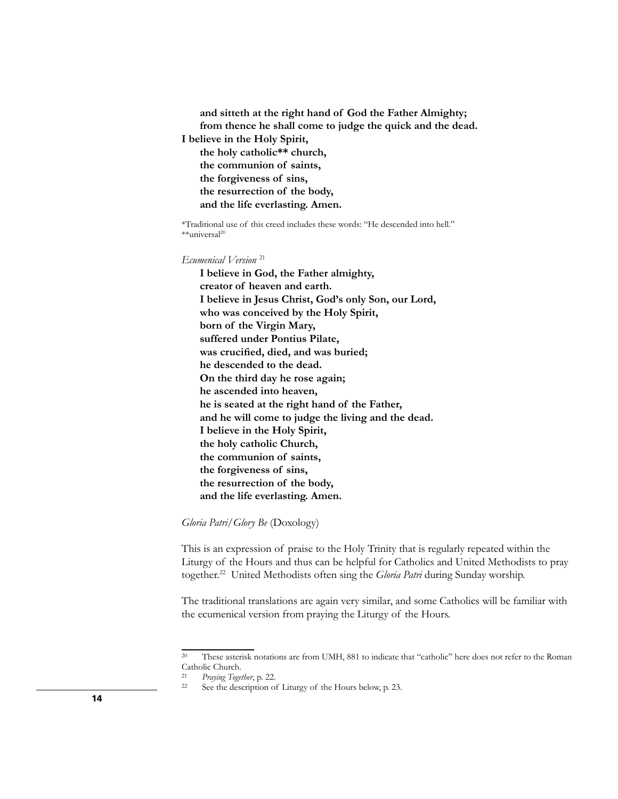**and sitteth at the right hand of God the Father Almighty; from thence he shall come to judge the quick and the dead. I believe in the Holy Spirit, the holy catholic\*\* church, the communion of saints, the forgiveness of sins, the resurrection of the body, and the life everlasting. Amen.**

\*Traditional use of this creed includes these words: "He descended into hell." \*\*universal<sup>20</sup>

*Ecumenical Version* <sup>21</sup>

**I believe in God, the Father almighty, creator of heaven and earth. I believe in Jesus Christ, God's only Son, our Lord, who was conceived by the Holy Spirit, born of the Virgin Mary, suffered under Pontius Pilate, was crucified, died, and was buried; he descended to the dead. On the third day he rose again; he ascended into heaven, he is seated at the right hand of the Father, and he will come to judge the living and the dead. I believe in the Holy Spirit, the holy catholic Church, the communion of saints, the forgiveness of sins, the resurrection of the body, and the life everlasting. Amen.** 

*Gloria Patri/Glory Be* (Doxology)

This is an expression of praise to the Holy Trinity that is regularly repeated within the Liturgy of the Hours and thus can be helpful for Catholics and United Methodists to pray together.22 United Methodists often sing the *Gloria Patri* during Sunday worship.

The traditional translations are again very similar, and some Catholics will be familiar with the ecumenical version from praying the Liturgy of the Hours.

<sup>20</sup> These asterisk notations are from UMH, 881 to indicate that "catholic" here does not refer to the Roman Catholic Church.<br>21 Drawing Toge

<sup>21</sup> *Praying Together*, p. 22.

See the description of Liturgy of the Hours below, p. 23.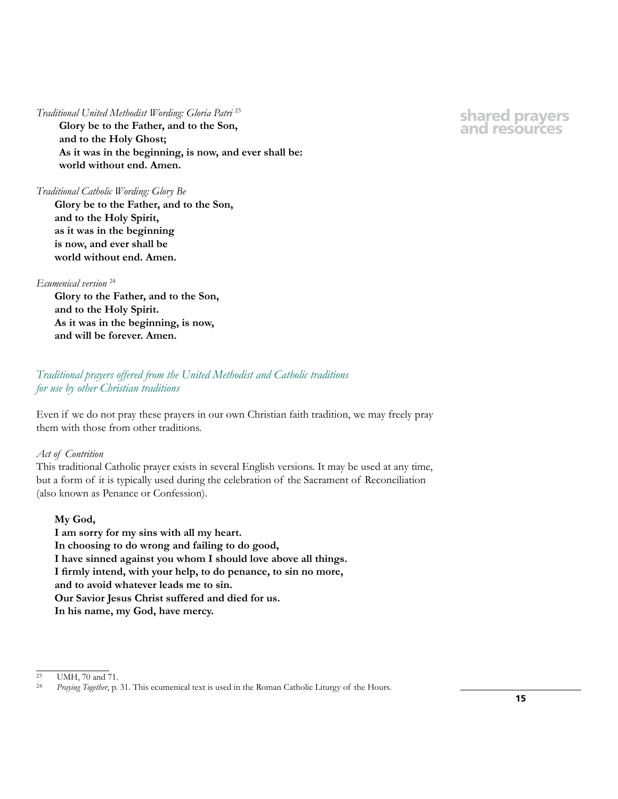### *Traditional United Methodist Wording: Gloria Patri* <sup>23</sup>

**Glory be to the Father, and to the Son, and to the Holy Ghost; As it was in the beginning, is now, and ever shall be: world without end. Amen.**

### *Traditional Catholic Wording: Glory Be*

**Glory be to the Father, and to the Son, and to the Holy Spirit, as it was in the beginning is now, and ever shall be world without end. Amen.**

### *Ecumenical version* <sup>24</sup>

**Glory to the Father, and to the Son, and to the Holy Spirit. As it was in the beginning, is now, and will be forever. Amen.**

# *Traditional prayers offered from the United Methodist and Catholic traditions for use by other Christian traditions*

Even if we do not pray these prayers in our own Christian faith tradition, we may freely pray them with those from other traditions.

### *Act of Contrition*

This traditional Catholic prayer exists in several English versions. It may be used at any time, but a form of it is typically used during the celebration of the Sacrament of Reconciliation (also known as Penance or Confession).

## **My God,**

**I am sorry for my sins with all my heart. In choosing to do wrong and failing to do good, I have sinned against you whom I should love above all things. I firmly intend, with your help, to do penance, to sin no more, and to avoid whatever leads me to sin. Our Savior Jesus Christ suffered and died for us. In his name, my God, have mercy.**

 $\frac{23}{24}$  UMH, 70 and 71.

Praying Together, p. 31. This ecumenical text is used in the Roman Catholic Liturgy of the Hours.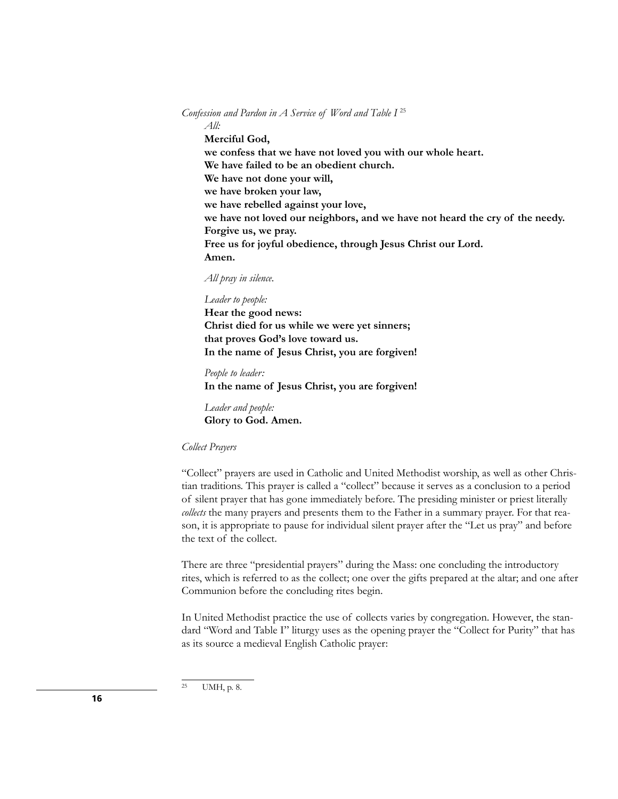Confession and Pardon in A Service of Word and Table I<sup>25</sup> *All:* **Merciful God, we confess that we have not loved you with our whole heart. We have failed to be an obedient church. We have not done your will, we have broken your law, we have rebelled against your love, we have not loved our neighbors, and we have not heard the cry of the needy. Forgive us, we pray. Free us for joyful obedience, through Jesus Christ our Lord. Amen.**

*All pray in silence.*

*Leader to people:* **Hear the good news: Christ died for us while we were yet sinners; that proves God's love toward us. In the name of Jesus Christ, you are forgiven!**

*People to leader:* **In the name of Jesus Christ, you are forgiven!**

*Leader and people:*  **Glory to God. Amen.**

### *Collect Prayers*

"Collect" prayers are used in Catholic and United Methodist worship, as well as other Christian traditions. This prayer is called a "collect" because it serves as a conclusion to a period of silent prayer that has gone immediately before. The presiding minister or priest literally *collects* the many prayers and presents them to the Father in a summary prayer. For that reason, it is appropriate to pause for individual silent prayer after the "Let us pray" and before the text of the collect.

There are three "presidential prayers" during the Mass: one concluding the introductory rites, which is referred to as the collect; one over the gifts prepared at the altar; and one after Communion before the concluding rites begin.

In United Methodist practice the use of collects varies by congregation. However, the standard "Word and Table I" liturgy uses as the opening prayer the "Collect for Purity" that has as its source a medieval English Catholic prayer:

<sup>25</sup> UMH, p. 8.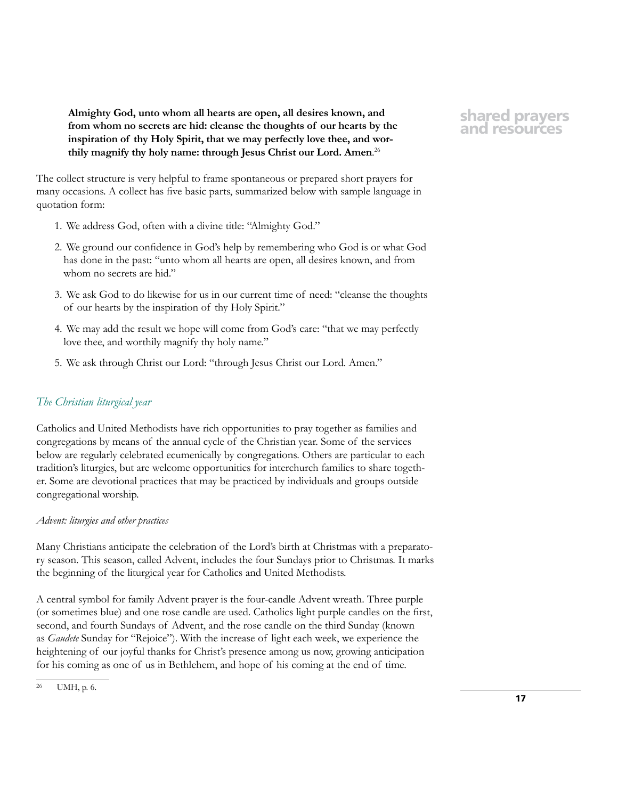**Almighty God, unto whom all hearts are open, all desires known, and from whom no secrets are hid: cleanse the thoughts of our hearts by the inspiration of thy Holy Spirit, that we may perfectly love thee, and worthily magnify thy holy name: through Jesus Christ our Lord. Amen**. 26

The collect structure is very helpful to frame spontaneous or prepared short prayers for many occasions. A collect has five basic parts, summarized below with sample language in quotation form:

- 1. We address God, often with a divine title: "Almighty God."
- 2. We ground our confidence in God's help by remembering who God is or what God has done in the past: "unto whom all hearts are open, all desires known, and from whom no secrets are hid."
- 3. We ask God to do likewise for us in our current time of need: "cleanse the thoughts of our hearts by the inspiration of thy Holy Spirit."
- 4. We may add the result we hope will come from God's care: "that we may perfectly love thee, and worthily magnify thy holy name."
- 5. We ask through Christ our Lord: "through Jesus Christ our Lord. Amen."

# *The Christian liturgical year*

Catholics and United Methodists have rich opportunities to pray together as families and congregations by means of the annual cycle of the Christian year. Some of the services below are regularly celebrated ecumenically by congregations. Others are particular to each tradition's liturgies, but are welcome opportunities for interchurch families to share together. Some are devotional practices that may be practiced by individuals and groups outside congregational worship.

## *Advent: liturgies and other practices*

Many Christians anticipate the celebration of the Lord's birth at Christmas with a preparatory season. This season, called Advent, includes the four Sundays prior to Christmas. It marks the beginning of the liturgical year for Catholics and United Methodists.

A central symbol for family Advent prayer is the four-candle Advent wreath. Three purple (or sometimes blue) and one rose candle are used. Catholics light purple candles on the first, second, and fourth Sundays of Advent, and the rose candle on the third Sunday (known as *Gaudete* Sunday for "Rejoice"). With the increase of light each week, we experience the heightening of our joyful thanks for Christ's presence among us now, growing anticipation for his coming as one of us in Bethlehem, and hope of his coming at the end of time.

<sup>26</sup> UMH, p. 6.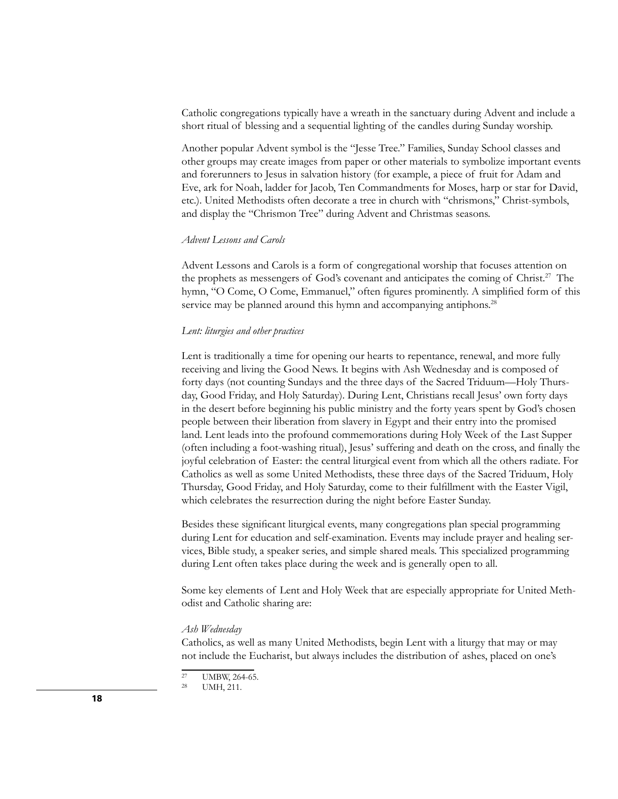Catholic congregations typically have a wreath in the sanctuary during Advent and include a short ritual of blessing and a sequential lighting of the candles during Sunday worship.

Another popular Advent symbol is the "Jesse Tree." Families, Sunday School classes and other groups may create images from paper or other materials to symbolize important events and forerunners to Jesus in salvation history (for example, a piece of fruit for Adam and Eve, ark for Noah, ladder for Jacob, Ten Commandments for Moses, harp or star for David, etc.). United Methodists often decorate a tree in church with "chrismons," Christ-symbols, and display the "Chrismon Tree" during Advent and Christmas seasons.

### *Advent Lessons and Carols*

Advent Lessons and Carols is a form of congregational worship that focuses attention on the prophets as messengers of God's covenant and anticipates the coming of Christ.<sup>27</sup> The hymn, "O Come, O Come, Emmanuel," often figures prominently. A simplified form of this service may be planned around this hymn and accompanying antiphons.<sup>28</sup>

### *Lent: liturgies and other practices*

Lent is traditionally a time for opening our hearts to repentance, renewal, and more fully receiving and living the Good News. It begins with Ash Wednesday and is composed of forty days (not counting Sundays and the three days of the Sacred Triduum—Holy Thursday, Good Friday, and Holy Saturday). During Lent, Christians recall Jesus' own forty days in the desert before beginning his public ministry and the forty years spent by God's chosen people between their liberation from slavery in Egypt and their entry into the promised land. Lent leads into the profound commemorations during Holy Week of the Last Supper (often including a foot-washing ritual), Jesus' suffering and death on the cross, and finally the joyful celebration of Easter: the central liturgical event from which all the others radiate. For Catholics as well as some United Methodists, these three days of the Sacred Triduum, Holy Thursday, Good Friday, and Holy Saturday, come to their fulfillment with the Easter Vigil, which celebrates the resurrection during the night before Easter Sunday.

Besides these significant liturgical events, many congregations plan special programming during Lent for education and self-examination. Events may include prayer and healing services, Bible study, a speaker series, and simple shared meals. This specialized programming during Lent often takes place during the week and is generally open to all.

Some key elements of Lent and Holy Week that are especially appropriate for United Methodist and Catholic sharing are:

#### *Ash Wednesday*

Catholics, as well as many United Methodists, begin Lent with a liturgy that may or may not include the Eucharist, but always includes the distribution of ashes, placed on one's

<sup>&</sup>lt;sup>27</sup> UMBW, 264-65.<br><sup>28</sup> UMH 211

UMH, 211.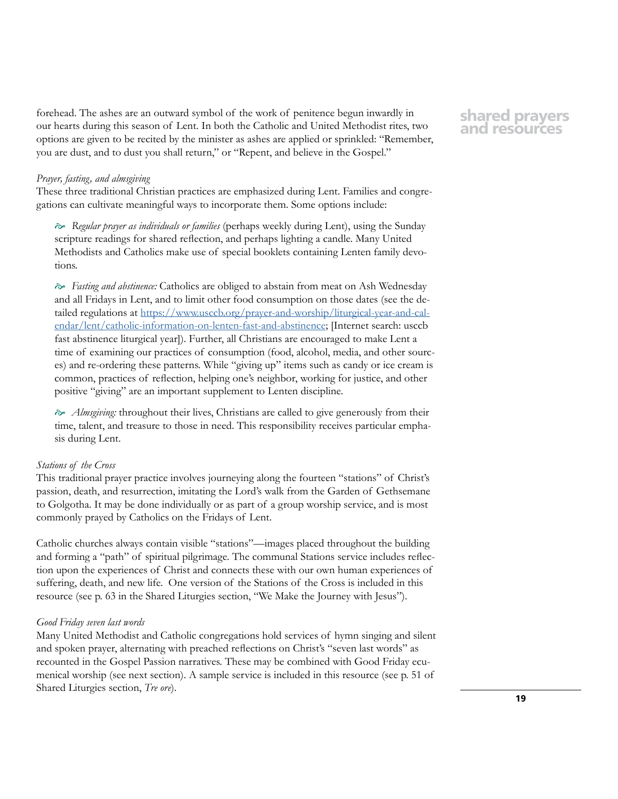forehead. The ashes are an outward symbol of the work of penitence begun inwardly in our hearts during this season of Lent. In both the Catholic and United Methodist rites, two options are given to be recited by the minister as ashes are applied or sprinkled: "Remember, you are dust, and to dust you shall return," or "Repent, and believe in the Gospel."

### *Prayer, fasting, and almsgiving*

These three traditional Christian practices are emphasized during Lent. Families and congregations can cultivate meaningful ways to incorporate them. Some options include:

 *Regular prayer as individuals or families* (perhaps weekly during Lent), using the Sunday scripture readings for shared reflection, and perhaps lighting a candle. Many United Methodists and Catholics make use of special booklets containing Lenten family devotions.

 *Fasting and abstinence:* Catholics are obliged to abstain from meat on Ash Wednesday and all Fridays in Lent, and to limit other food consumption on those dates (see the detailed regulations at [https://www.usccb.org/prayer-and-worship/liturgical-year-and-cal](https://www.usccb.org/prayer-and-worship/liturgical-year-and-calendar/lent/catholic-information-on-l)[endar/lent/catholic-information-on-lenten-fast-and-abstinence;](https://www.usccb.org/prayer-and-worship/liturgical-year-and-calendar/lent/catholic-information-on-l) [Internet search: usccb fast abstinence liturgical year]). Further, all Christians are encouraged to make Lent a time of examining our practices of consumption (food, alcohol, media, and other sources) and re-ordering these patterns. While "giving up" items such as candy or ice cream is common, practices of reflection, helping one's neighbor, working for justice, and other positive "giving" are an important supplement to Lenten discipline.

 *Almsgiving:* throughout their lives, Christians are called to give generously from their time, talent, and treasure to those in need. This responsibility receives particular emphasis during Lent.

### *Stations of the Cross*

This traditional prayer practice involves journeying along the fourteen "stations" of Christ's passion, death, and resurrection, imitating the Lord's walk from the Garden of Gethsemane to Golgotha. It may be done individually or as part of a group worship service, and is most commonly prayed by Catholics on the Fridays of Lent.

Catholic churches always contain visible "stations"—images placed throughout the building and forming a "path" of spiritual pilgrimage. The communal Stations service includes reflection upon the experiences of Christ and connects these with our own human experiences of suffering, death, and new life. One version of the Stations of the Cross is included in this resource (see p. 63 in the Shared Liturgies section, "We Make the Journey with Jesus").

#### *Good Friday seven last words*

Many United Methodist and Catholic congregations hold services of hymn singing and silent and spoken prayer, alternating with preached reflections on Christ's "seven last words" as recounted in the Gospel Passion narratives. These may be combined with Good Friday ecumenical worship (see next section). A sample service is included in this resource (see p. 51 of Shared Liturgies section, *Tre ore*).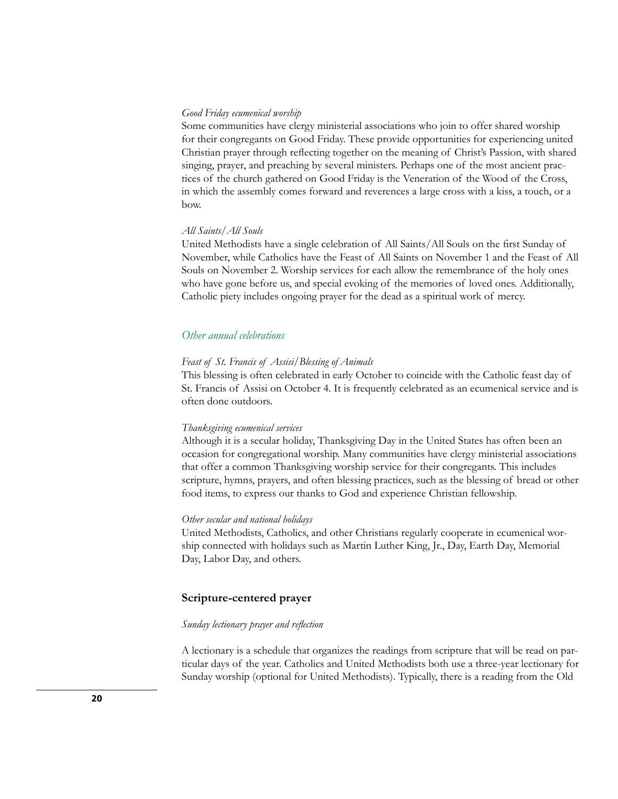### *Good Friday ecumenical worship*

Some communities have clergy ministerial associations who join to offer shared worship for their congregants on Good Friday. These provide opportunities for experiencing united Christian prayer through reflecting together on the meaning of Christ's Passion, with shared singing, prayer, and preaching by several ministers. Perhaps one of the most ancient practices of the church gathered on Good Friday is the Veneration of the Wood of the Cross, in which the assembly comes forward and reverences a large cross with a kiss, a touch, or a bow.

### *All Saints/All Souls*

United Methodists have a single celebration of All Saints/All Souls on the first Sunday of November, while Catholics have the Feast of All Saints on November 1 and the Feast of All Souls on November 2. Worship services for each allow the remembrance of the holy ones who have gone before us, and special evoking of the memories of loved ones. Additionally, Catholic piety includes ongoing prayer for the dead as a spiritual work of mercy.

## *Other annual celebrations*

### *Feast of St. Francis of Assisi/Blessing of Animals*

This blessing is often celebrated in early October to coincide with the Catholic feast day of St. Francis of Assisi on October 4. It is frequently celebrated as an ecumenical service and is often done outdoors.

#### *Thanksgiving ecumenical services*

Although it is a secular holiday, Thanksgiving Day in the United States has often been an occasion for congregational worship. Many communities have clergy ministerial associations that offer a common Thanksgiving worship service for their congregants. This includes scripture, hymns, prayers, and often blessing practices, such as the blessing of bread or other food items, to express our thanks to God and experience Christian fellowship.

### *Other secular and national holidays*

United Methodists, Catholics, and other Christians regularly cooperate in ecumenical worship connected with holidays such as Martin Luther King, Jr., Day, Earth Day, Memorial Day, Labor Day, and others.

### **Scripture-centered prayer**

#### *Sunday lectionary prayer and reflection*

A lectionary is a schedule that organizes the readings from scripture that will be read on particular days of the year. Catholics and United Methodists both use a three-year lectionary for Sunday worship (optional for United Methodists). Typically, there is a reading from the Old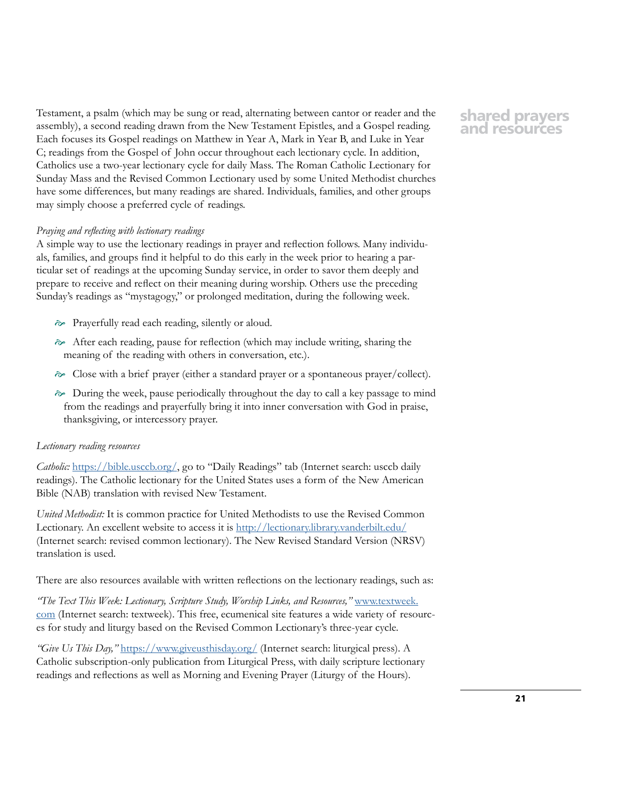Testament, a psalm (which may be sung or read, alternating between cantor or reader and the assembly), a second reading drawn from the New Testament Epistles, and a Gospel reading. Each focuses its Gospel readings on Matthew in Year A, Mark in Year B, and Luke in Year C; readings from the Gospel of John occur throughout each lectionary cycle. In addition, Catholics use a two-year lectionary cycle for daily Mass. The Roman Catholic Lectionary for Sunday Mass and the Revised Common Lectionary used by some United Methodist churches have some differences, but many readings are shared. Individuals, families, and other groups may simply choose a preferred cycle of readings.

### *Praying and reflecting with lectionary readings*

A simple way to use the lectionary readings in prayer and reflection follows. Many individuals, families, and groups find it helpful to do this early in the week prior to hearing a particular set of readings at the upcoming Sunday service, in order to savor them deeply and prepare to receive and reflect on their meaning during worship. Others use the preceding Sunday's readings as "mystagogy," or prolonged meditation, during the following week.

- Prayerfully read each reading, silently or aloud.
- After each reading, pause for reflection (which may include writing, sharing the meaning of the reading with others in conversation, etc.).
- Close with a brief prayer (either a standard prayer or a spontaneous prayer/collect).
- $\gg$  During the week, pause periodically throughout the day to call a key passage to mind from the readings and prayerfully bring it into inner conversation with God in praise, thanksgiving, or intercessory prayer.

### *Lectionary reading resources*

*Catholic:* [https://bible.usccb.org/,](https://bible.usccb.org/) go to "Daily Readings" tab (Internet search: usccb daily readings). The Catholic lectionary for the United States uses a form of the New American Bible (NAB) translation with revised New Testament.

*United Methodist:* It is common practice for United Methodists to use the Revised Common Lectionary. An excellent website to access it is<http://lectionary.library.vanderbilt.edu/> (Internet search: revised common lectionary). The New Revised Standard Version (NRSV) translation is used.

There are also resources available with written reflections on the lectionary readings, such as:

*"The Text This Week: Lectionary, Scripture Study, Worship Links, and Resources,"* [www.textweek.](http://www.textweek.com) [com](http://www.textweek.com) (Internet search: textweek). This free, ecumenical site features a wide variety of resources for study and liturgy based on the Revised Common Lectionary's three-year cycle.

*"Give Us This Day,"* <https://www.giveusthisday.org/>(Internet search: liturgical press). A Catholic subscription-only publication from Liturgical Press, with daily scripture lectionary readings and reflections as well as Morning and Evening Prayer (Liturgy of the Hours).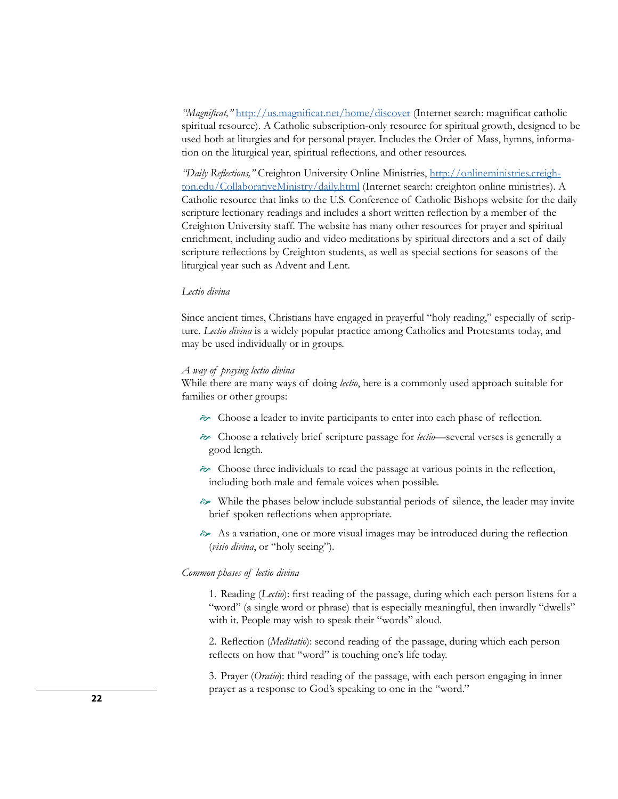*"Magnificat,"* <http://us.magnificat.net/home/discover>(Internet search: magnificat catholic spiritual resource). A Catholic subscription-only resource for spiritual growth, designed to be used both at liturgies and for personal prayer. Includes the Order of Mass, hymns, information on the liturgical year, spiritual reflections, and other resources.

*"Daily Reflections,"* Creighton University Online Ministries, [http://onlineministries.creigh](http://onlineministries.creighton.edu/CollaborativeMinistry/daily.html)[ton.edu/CollaborativeMinistry/daily.html](http://onlineministries.creighton.edu/CollaborativeMinistry/daily.html) (Internet search: creighton online ministries). A Catholic resource that links to the U.S. Conference of Catholic Bishops website for the daily scripture lectionary readings and includes a short written reflection by a member of the Creighton University staff. The website has many other resources for prayer and spiritual enrichment, including audio and video meditations by spiritual directors and a set of daily scripture reflections by Creighton students, as well as special sections for seasons of the liturgical year such as Advent and Lent.

### *Lectio divina*

Since ancient times, Christians have engaged in prayerful "holy reading," especially of scripture. *Lectio divina* is a widely popular practice among Catholics and Protestants today, and may be used individually or in groups.

### *A way of praying lectio divina*

While there are many ways of doing *lectio*, here is a commonly used approach suitable for families or other groups:

- $\gg$  Choose a leader to invite participants to enter into each phase of reflection.
- Choose a relatively brief scripture passage for *lectio*—several verses is generally a good length.
- $\gg$  Choose three individuals to read the passage at various points in the reflection, including both male and female voices when possible.
- $\gg$  While the phases below include substantial periods of silence, the leader may invite brief spoken reflections when appropriate.
- $\approx$  As a variation, one or more visual images may be introduced during the reflection (*visio divina*, or "holy seeing").

### *Common phases of lectio divina*

1. Reading (*Lectio*): first reading of the passage, during which each person listens for a "word" (a single word or phrase) that is especially meaningful, then inwardly "dwells" with it. People may wish to speak their "words" aloud.

2. Reflection (*Meditatio*): second reading of the passage, during which each person reflects on how that "word" is touching one's life today.

3. Prayer (*Oratio*): third reading of the passage, with each person engaging in inner prayer as a response to God's speaking to one in the "word."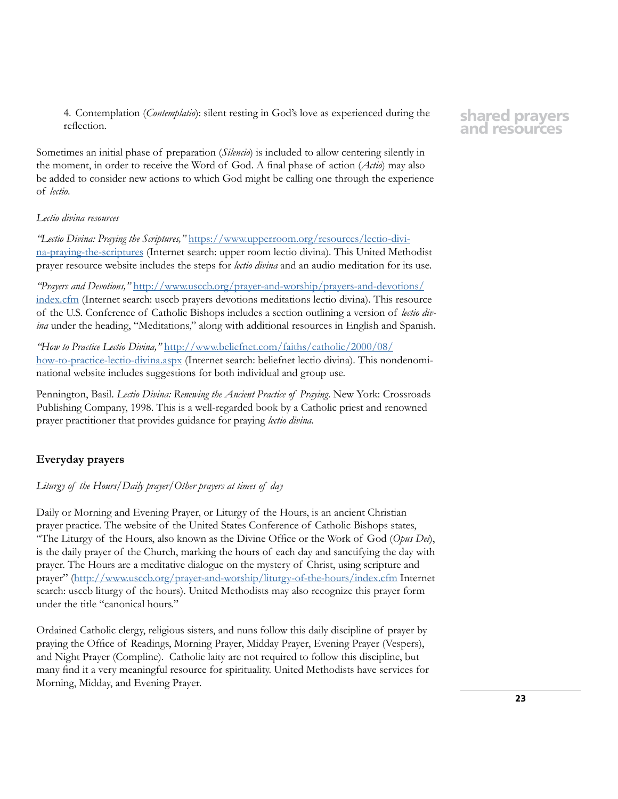4. Contemplation (*Contemplatio*): silent resting in God's love as experienced during the reflection.

Sometimes an initial phase of preparation (*Silencio*) is included to allow centering silently in the moment, in order to receive the Word of God. A final phase of action (*Actio*) may also be added to consider new actions to which God might be calling one through the experience of *lectio*.

## *Lectio divina resources*

*"Lectio Divina: Praying the Scriptures,"* [https://www.upperroom.org/resources/lectio-divi](https://www.upperroom.org/resources/lectio-divina-praying-the-scriptures)[na-praying-the-scriptures](https://www.upperroom.org/resources/lectio-divina-praying-the-scriptures) (Internet search: upper room lectio divina). This United Methodist prayer resource website includes the steps for *lectio divina* and an audio meditation for its use.

*"Prayers and Devotions,"* [http://www.usccb.org/prayer-and-worship/prayers-and-devotions/](http://www.usccb.org/prayer-and-worship/prayers-and-devotions/index.cfm) [index.cfm](http://www.usccb.org/prayer-and-worship/prayers-and-devotions/index.cfm) (Internet search: usccb prayers devotions meditations lectio divina). This resource of the U.S. Conference of Catholic Bishops includes a section outlining a version of *lectio divina* under the heading, "Meditations," along with additional resources in English and Spanish.

*"How to Practice Lectio Divina,"* [http://www.beliefnet.com/faiths/catholic/2000/08/](http://www.beliefnet.com/faiths/catholic/2000/08/how-to-practice-lectio-divina.aspx) [how-to-practice-lectio-divina.aspx](http://www.beliefnet.com/faiths/catholic/2000/08/how-to-practice-lectio-divina.aspx) (Internet search: beliefnet lectio divina). This nondenominational website includes suggestions for both individual and group use.

Pennington, Basil. *Lectio Divina: Renewing the Ancient Practice of Praying*. New York: Crossroads Publishing Company, 1998. This is a well-regarded book by a Catholic priest and renowned prayer practitioner that provides guidance for praying *lectio divina*.

# **Everyday prayers**

## *Liturgy of the Hours/Daily prayer/Other prayers at times of day*

Daily or Morning and Evening Prayer, or Liturgy of the Hours, is an ancient Christian prayer practice. The website of the United States Conference of Catholic Bishops states, "The Liturgy of the Hours, also known as the Divine Office or the Work of God (*Opus Dei*), is the daily prayer of the Church, marking the hours of each day and sanctifying the day with prayer. The Hours are a meditative dialogue on the mystery of Christ, using scripture and prayer" [\(http://www.usccb.org/prayer-and-worship/liturgy-of-the-hours/index.cfm](http://www.usccb.org/prayer-and-worship/liturgy-of-the-hours/index.cfm) Internet search: usccb liturgy of the hours). United Methodists may also recognize this prayer form under the title "canonical hours."

Ordained Catholic clergy, religious sisters, and nuns follow this daily discipline of prayer by praying the Office of Readings, Morning Prayer, Midday Prayer, Evening Prayer (Vespers), and Night Prayer (Compline). Catholic laity are not required to follow this discipline, but many find it a very meaningful resource for spirituality. United Methodists have services for Morning, Midday, and Evening Prayer.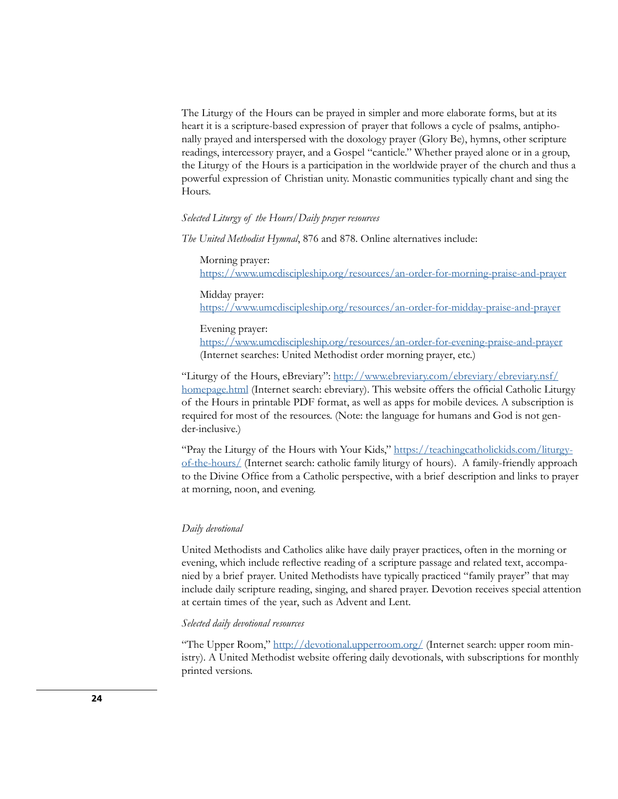The Liturgy of the Hours can be prayed in simpler and more elaborate forms, but at its heart it is a scripture-based expression of prayer that follows a cycle of psalms, antiphonally prayed and interspersed with the doxology prayer (Glory Be), hymns, other scripture readings, intercessory prayer, and a Gospel "canticle." Whether prayed alone or in a group, the Liturgy of the Hours is a participation in the worldwide prayer of the church and thus a powerful expression of Christian unity. Monastic communities typically chant and sing the Hours.

### *Selected Liturgy of the Hours/Daily prayer resources*

*The United Methodist Hymnal*, 876 and 878. Online alternatives include:

Morning prayer:

<https://www.umcdiscipleship.org/resources/an-order-for-morning-praise-and-prayer>

Midday prayer:

[https://www.umcdiscipleship.org/resources/an-order-for-midday-praise-and-prayer](https://www.umcdiscipleship.org/resources/an-order-for-midday-praise-and-prayer )

### Evening prayer:

[https://www.umcdiscipleship.org/resources/an-order-for-evening-praise-and-prayer](https://www.umcdiscipleship.org/resources/an-order-for-evening-praise-and-prayer ) (Internet searches: United Methodist order morning prayer, etc.)

"Liturgy of the Hours, eBreviary": [http://www.ebreviary.com/ebreviary/ebreviary.nsf/](http://www.ebreviary.com/ebreviary/ebreviary.nsf/homepage.html) [homepage.html](http://www.ebreviary.com/ebreviary/ebreviary.nsf/homepage.html) (Internet search: ebreviary). This website offers the official Catholic Liturgy of the Hours in printable PDF format, as well as apps for mobile devices. A subscription is required for most of the resources. (Note: the language for humans and God is not gender-inclusive.)

"Pray the Liturgy of the Hours with Your Kids," [https://teachingcatholickids.com/liturgy](https://teachingcatholickids.com/liturgy-of-the-hours/)[of-the-hours/](https://teachingcatholickids.com/liturgy-of-the-hours/) (Internet search: catholic family liturgy of hours). A family-friendly approach to the Divine Office from a Catholic perspective, with a brief description and links to prayer at morning, noon, and evening.

### *Daily devotional*

United Methodists and Catholics alike have daily prayer practices, often in the morning or evening, which include reflective reading of a scripture passage and related text, accompanied by a brief prayer. United Methodists have typically practiced "family prayer" that may include daily scripture reading, singing, and shared prayer. Devotion receives special attention at certain times of the year, such as Advent and Lent.

### *Selected daily devotional resources*

"The Upper Room," <http://devotional.upperroom.org/> (Internet search: upper room ministry). A United Methodist website offering daily devotionals, with subscriptions for monthly printed versions.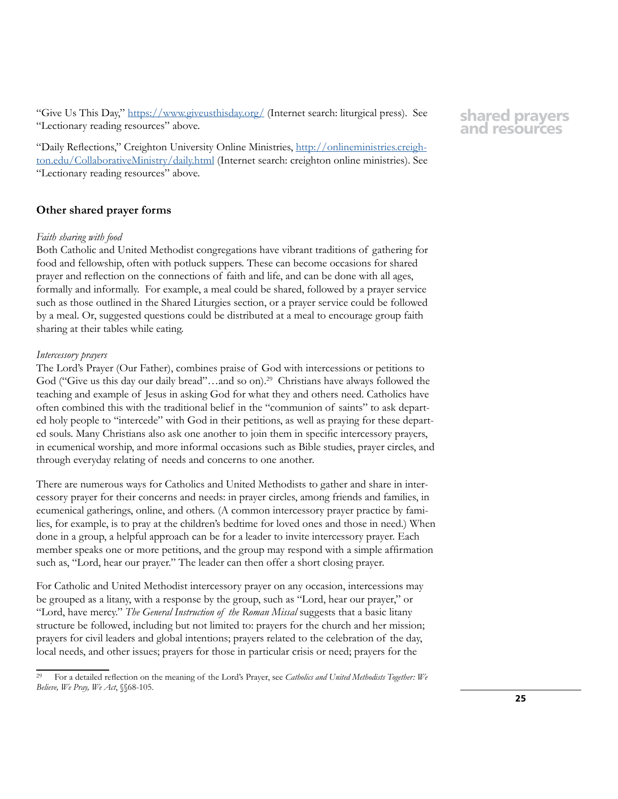"Give Us This Day," <https://www.giveusthisday.org/>(Internet search: liturgical press). See "Lectionary reading resources" above.

"Daily Reflections," Creighton University Online Ministries, [http://onlineministries.creigh](http://onlineministries.creighton.edu/CollaborativeMinistry/daily.html)[ton.edu/CollaborativeMinistry/daily.html](http://onlineministries.creighton.edu/CollaborativeMinistry/daily.html) (Internet search: creighton online ministries). See "Lectionary reading resources" above.

# **Other shared prayer forms**

### *Faith sharing with food*

Both Catholic and United Methodist congregations have vibrant traditions of gathering for food and fellowship, often with potluck suppers. These can become occasions for shared prayer and reflection on the connections of faith and life, and can be done with all ages, formally and informally. For example, a meal could be shared, followed by a prayer service such as those outlined in the Shared Liturgies section, or a prayer service could be followed by a meal. Or, suggested questions could be distributed at a meal to encourage group faith sharing at their tables while eating.

### *Intercessory prayers*

The Lord's Prayer (Our Father), combines praise of God with intercessions or petitions to God ("Give us this day our daily bread"...and so on).<sup>29</sup> Christians have always followed the teaching and example of Jesus in asking God for what they and others need. Catholics have often combined this with the traditional belief in the "communion of saints" to ask departed holy people to "intercede" with God in their petitions, as well as praying for these departed souls. Many Christians also ask one another to join them in specific intercessory prayers, in ecumenical worship, and more informal occasions such as Bible studies, prayer circles, and through everyday relating of needs and concerns to one another.

There are numerous ways for Catholics and United Methodists to gather and share in intercessory prayer for their concerns and needs: in prayer circles, among friends and families, in ecumenical gatherings, online, and others. (A common intercessory prayer practice by families, for example, is to pray at the children's bedtime for loved ones and those in need.) When done in a group, a helpful approach can be for a leader to invite intercessory prayer. Each member speaks one or more petitions, and the group may respond with a simple affirmation such as, "Lord, hear our prayer." The leader can then offer a short closing prayer.

For Catholic and United Methodist intercessory prayer on any occasion, intercessions may be grouped as a litany, with a response by the group, such as "Lord, hear our prayer," or "Lord, have mercy." *The General Instruction of the Roman Missal* suggests that a basic litany structure be followed, including but not limited to: prayers for the church and her mission; prayers for civil leaders and global intentions; prayers related to the celebration of the day, local needs, and other issues; prayers for those in particular crisis or need; prayers for the

<sup>29</sup> For a detailed reflection on the meaning of the Lord's Prayer, see *Catholics and United Methodists Together: We Believe, We Pray, We Act*, §§68-105.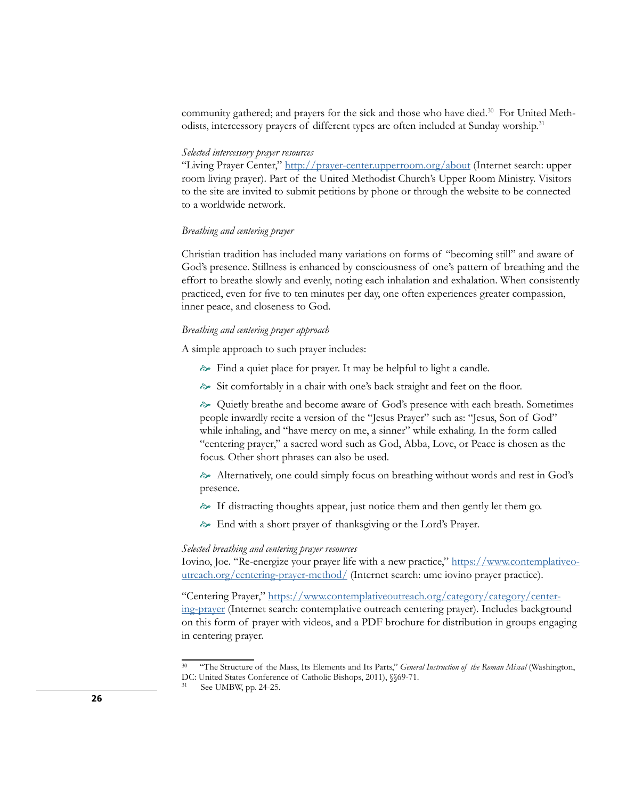community gathered; and prayers for the sick and those who have died.<sup>30</sup> For United Methodists, intercessory prayers of different types are often included at Sunday worship.<sup>31</sup>

### *Selected intercessory prayer resources*

"Living Prayer Center,"<http://prayer-center.upperroom.org/about> (Internet search: upper room living prayer). Part of the United Methodist Church's Upper Room Ministry. Visitors to the site are invited to submit petitions by phone or through the website to be connected to a worldwide network.

### *Breathing and centering prayer*

Christian tradition has included many variations on forms of "becoming still" and aware of God's presence. Stillness is enhanced by consciousness of one's pattern of breathing and the effort to breathe slowly and evenly, noting each inhalation and exhalation. When consistently practiced, even for five to ten minutes per day, one often experiences greater compassion, inner peace, and closeness to God.

### *Breathing and centering prayer approach*

A simple approach to such prayer includes:

- $\approx$  Find a quiet place for prayer. It may be helpful to light a candle.
- Sit comfortably in a chair with one's back straight and feet on the floor.

 $\gg$  Quietly breathe and become aware of God's presence with each breath. Sometimes people inwardly recite a version of the "Jesus Prayer" such as: "Jesus, Son of God" while inhaling, and "have mercy on me, a sinner" while exhaling. In the form called "centering prayer," a sacred word such as God, Abba, Love, or Peace is chosen as the focus. Other short phrases can also be used.

 $\gg$  Alternatively, one could simply focus on breathing without words and rest in God's presence.

- If distracting thoughts appear, just notice them and then gently let them go.
- End with a short prayer of thanksgiving or the Lord's Prayer.

### *Selected breathing and centering prayer resources*

Iovino, Joe. "Re-energize your prayer life with a new practice," [https://www.contemplativeo](https://www.contemplativeoutreach.org/centering-prayer-method/)[utreach.org/centering-prayer-method/](https://www.contemplativeoutreach.org/centering-prayer-method/) (Internet search: umc iovino prayer practice).

"Centering Prayer," [https://www.contemplativeoutreach.org/category/category/center](https://www.contemplativeoutreach.org/category/category/centering-prayer)[ing-prayer](https://www.contemplativeoutreach.org/category/category/centering-prayer) (Internet search: contemplative outreach centering prayer). Includes background on this form of prayer with videos, and a PDF brochure for distribution in groups engaging in centering prayer.

<sup>30</sup> "The Structure of the Mass, Its Elements and Its Parts," *General Instruction of the Roman Missal* (Washington, DC: United States Conference of Catholic Bishops, 2011), §§69-71.

See UMBW, pp. 24-25.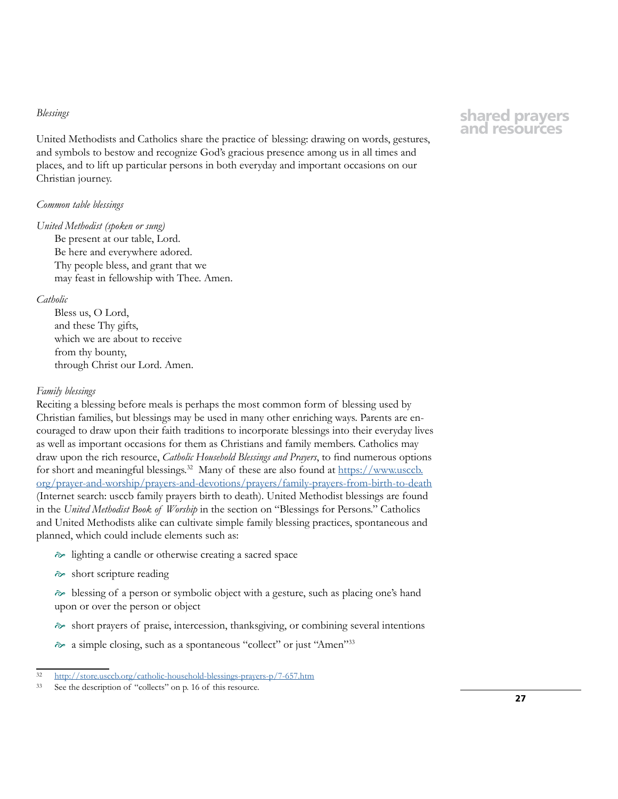#### *Blessings*

United Methodists and Catholics share the practice of blessing: drawing on words, gestures, and symbols to bestow and recognize God's gracious presence among us in all times and places, and to lift up particular persons in both everyday and important occasions on our Christian journey.

### *Common table blessings*

#### *United Methodist (spoken or sung)*

Be present at our table, Lord. Be here and everywhere adored. Thy people bless, and grant that we may feast in fellowship with Thee. Amen.

### *Catholic*

Bless us, O Lord, and these Thy gifts, which we are about to receive from thy bounty, through Christ our Lord. Amen.

### *Family blessings*

Reciting a blessing before meals is perhaps the most common form of blessing used by Christian families, but blessings may be used in many other enriching ways. Parents are encouraged to draw upon their faith traditions to incorporate blessings into their everyday lives as well as important occasions for them as Christians and family members. Catholics may draw upon the rich resource, *Catholic Household Blessings and Prayers*, to find numerous options for short and meaningful blessings.<sup>32</sup> Many of these are also found at  $\frac{https://www.usccb.}$ [org/prayer-and-worship/prayers-and-devotions/prayers/family-prayers-from-birth-to-death](https://www.usccb.org/prayer-and-worship/prayers-and-devotions/prayers/family-prayers-from-birth-to-) (Internet search: usccb family prayers birth to death). United Methodist blessings are found in the *United Methodist Book of Worship* in the section on "Blessings for Persons." Catholics and United Methodists alike can cultivate simple family blessing practices, spontaneous and planned, which could include elements such as:

- lighting a candle or otherwise creating a sacred space
- $\approx$  short scripture reading

 blessing of a person or symbolic object with a gesture, such as placing one's hand upon or over the person or object

- $\gg$  short prayers of praise, intercession, thanksgiving, or combining several intentions
- a simple closing, such as a spontaneous "collect" or just "Amen"33

<sup>32</sup> <http://store.usccb.org/catholic-household-blessings-prayers-p/7-657.htm>

<sup>33</sup> See the description of "collects" on p. 16 of this resource.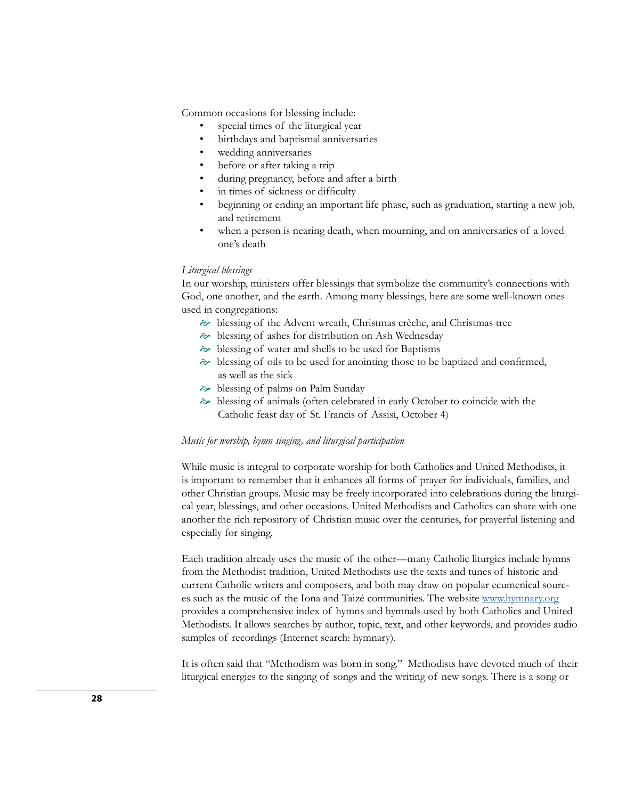Common occasions for blessing include:

- special times of the liturgical year
- birthdays and baptismal anniversaries
- wedding anniversaries
- before or after taking a trip
- during pregnancy, before and after a birth
- in times of sickness or difficulty
- beginning or ending an important life phase, such as graduation, starting a new job, and retirement
- when a person is nearing death, when mourning, and on anniversaries of a loved one's death

### *Liturgical blessings*

In our worship, ministers offer blessings that symbolize the community's connections with God, one another, and the earth. Among many blessings, here are some well-known ones used in congregations:

- blessing of the Advent wreath, Christmas crèche, and Christmas tree
- blessing of ashes for distribution on Ash Wednesday
- blessing of water and shells to be used for Baptisms
- $\hat{\sim}$  blessing of oils to be used for anointing those to be baptized and confirmed, as well as the sick
- $\approx$  blessing of palms on Palm Sunday
- blessing of animals (often celebrated in early October to coincide with the Catholic feast day of St. Francis of Assisi, October 4)

### *Music for worship, hymn singing, and liturgical participation*

While music is integral to corporate worship for both Catholics and United Methodists, it is important to remember that it enhances all forms of prayer for individuals, families, and other Christian groups. Music may be freely incorporated into celebrations during the liturgical year, blessings, and other occasions. United Methodists and Catholics can share with one another the rich repository of Christian music over the centuries, for prayerful listening and especially for singing.

Each tradition already uses the music of the other—many Catholic liturgies include hymns from the Methodist tradition, United Methodists use the texts and tunes of historic and current Catholic writers and composers, and both may draw on popular ecumenical sources such as the music of the Iona and Taizé communities. The website [www.hymnary.org](http://www.hymnary.org) provides a comprehensive index of hymns and hymnals used by both Catholics and United Methodists. It allows searches by author, topic, text, and other keywords, and provides audio samples of recordings (Internet search: hymnary).

It is often said that "Methodism was born in song." Methodists have devoted much of their liturgical energies to the singing of songs and the writing of new songs. There is a song or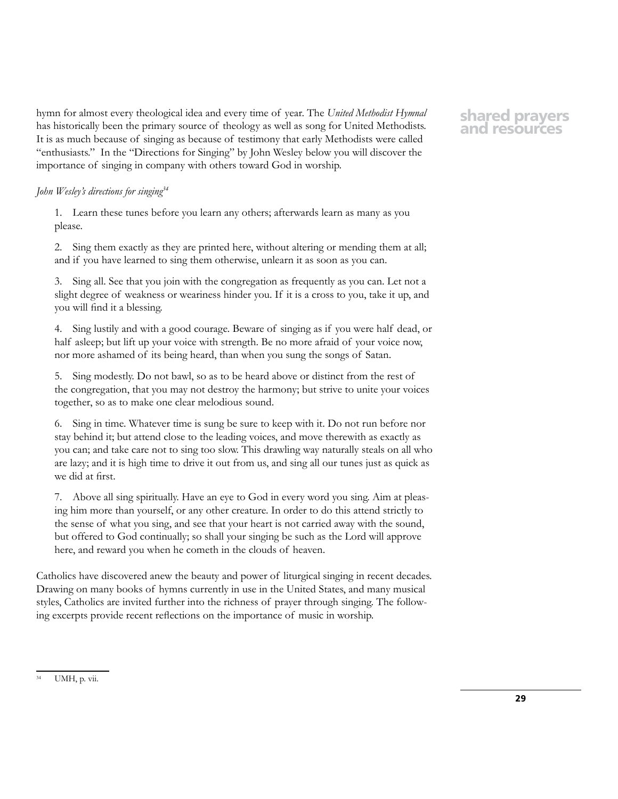hymn for almost every theological idea and every time of year. The *United Methodist Hymnal* has historically been the primary source of theology as well as song for United Methodists. It is as much because of singing as because of testimony that early Methodists were called "enthusiasts." In the "Directions for Singing" by John Wesley below you will discover the importance of singing in company with others toward God in worship.

# *John Wesley's directions for singing<sup>34</sup>*

1. Learn these tunes before you learn any others; afterwards learn as many as you please.

2. Sing them exactly as they are printed here, without altering or mending them at all; and if you have learned to sing them otherwise, unlearn it as soon as you can.

Sing all. See that you join with the congregation as frequently as you can. Let not a slight degree of weakness or weariness hinder you. If it is a cross to you, take it up, and you will find it a blessing.

4. Sing lustily and with a good courage. Beware of singing as if you were half dead, or half asleep; but lift up your voice with strength. Be no more afraid of your voice now, nor more ashamed of its being heard, than when you sung the songs of Satan.

5. Sing modestly. Do not bawl, so as to be heard above or distinct from the rest of the congregation, that you may not destroy the harmony; but strive to unite your voices together, so as to make one clear melodious sound.

6. Sing in time. Whatever time is sung be sure to keep with it. Do not run before nor stay behind it; but attend close to the leading voices, and move therewith as exactly as you can; and take care not to sing too slow. This drawling way naturally steals on all who are lazy; and it is high time to drive it out from us, and sing all our tunes just as quick as we did at first.

7. Above all sing spiritually. Have an eye to God in every word you sing. Aim at pleasing him more than yourself, or any other creature. In order to do this attend strictly to the sense of what you sing, and see that your heart is not carried away with the sound, but offered to God continually; so shall your singing be such as the Lord will approve here, and reward you when he cometh in the clouds of heaven.

Catholics have discovered anew the beauty and power of liturgical singing in recent decades. Drawing on many books of hymns currently in use in the United States, and many musical styles, Catholics are invited further into the richness of prayer through singing. The following excerpts provide recent reflections on the importance of music in worship.

### UMH, p. vii.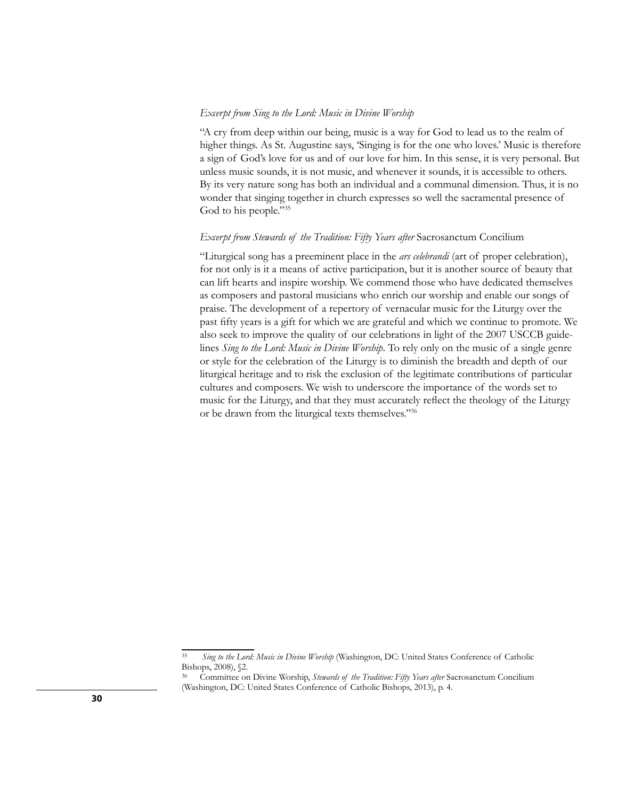### *Excerpt from Sing to the Lord: Music in Divine Worship*

"A cry from deep within our being, music is a way for God to lead us to the realm of higher things. As St. Augustine says, 'Singing is for the one who loves.' Music is therefore a sign of God's love for us and of our love for him. In this sense, it is very personal. But unless music sounds, it is not music, and whenever it sounds, it is accessible to others. By its very nature song has both an individual and a communal dimension. Thus, it is no wonder that singing together in church expresses so well the sacramental presence of God to his people."35

### *Excerpt from Stewards of the Tradition: Fifty Years after* Sacrosanctum Concilium

"Liturgical song has a preeminent place in the *ars celebrandi* (art of proper celebration), for not only is it a means of active participation, but it is another source of beauty that can lift hearts and inspire worship. We commend those who have dedicated themselves as composers and pastoral musicians who enrich our worship and enable our songs of praise. The development of a repertory of vernacular music for the Liturgy over the past fifty years is a gift for which we are grateful and which we continue to promote. We also seek to improve the quality of our celebrations in light of the 2007 USCCB guidelines *Sing to the Lord: Music in Divine Worship*. To rely only on the music of a single genre or style for the celebration of the Liturgy is to diminish the breadth and depth of our liturgical heritage and to risk the exclusion of the legitimate contributions of particular cultures and composers. We wish to underscore the importance of the words set to music for the Liturgy, and that they must accurately reflect the theology of the Liturgy or be drawn from the liturgical texts themselves."36

<sup>35</sup> *Sing to the Lord: Music in Divine Worship* (Washington, DC: United States Conference of Catholic Bishops, 2008), §2.

<sup>36</sup> Committee on Divine Worship, *Stewards of the Tradition: Fifty Years after* Sacrosanctum Concilium (Washington, DC: United States Conference of Catholic Bishops, 2013), p. 4.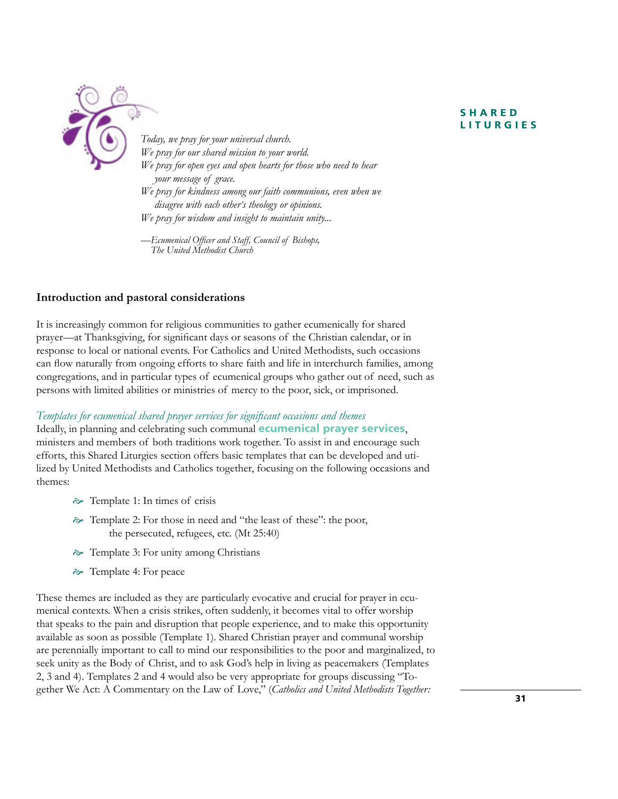# **S H A R E D LITURGIES**



*Today, we pray for your universal church. We pray for our shared mission to your world. We pray for open eyes and open hearts for those who need to hear your message of grace. We pray for kindness among our faith communions, even when we disagree with each other's theology or opinions. We pray for wisdom and insight to maintain unity...*

*—Ecumenical Officer and Staff, Council of Bishops, The United Methodist Church*

# **Introduction and pastoral considerations**

It is increasingly common for religious communities to gather ecumenically for shared prayer—at Thanksgiving, for significant days or seasons of the Christian calendar, or in response to local or national events. For Catholics and United Methodists, such occasions can flow naturally from ongoing efforts to share faith and life in interchurch families, among congregations, and in particular types of ecumenical groups who gather out of need, such as persons with limited abilities or ministries of mercy to the poor, sick, or imprisoned.

# *Templates for ecumenical shared prayer services for significant occasions and themes*

Ideally, in planning and celebrating such communal **ecumenical prayer services**, ministers and members of both traditions work together. To assist in and encourage such efforts, this Shared Liturgies section offers basic templates that can be developed and utilized by United Methodists and Catholics together, focusing on the following occasions and themes:

- $\approx$  Template 1: In times of crisis
- Template 2: For those in need and "the least of these": the poor, the persecuted, refugees, etc. (Mt 25:40)
- Template 3: For unity among Christians
- Template 4: For peace

These themes are included as they are particularly evocative and crucial for prayer in ecumenical contexts. When a crisis strikes, often suddenly, it becomes vital to offer worship that speaks to the pain and disruption that people experience, and to make this opportunity available as soon as possible (Template 1). Shared Christian prayer and communal worship are perennially important to call to mind our responsibilities to the poor and marginalized, to seek unity as the Body of Christ, and to ask God's help in living as peacemakers (Templates 2, 3 and 4). Templates 2 and 4 would also be very appropriate for groups discussing "Together We Act: A Commentary on the Law of Love," (*Catholics and United Methodists Together:*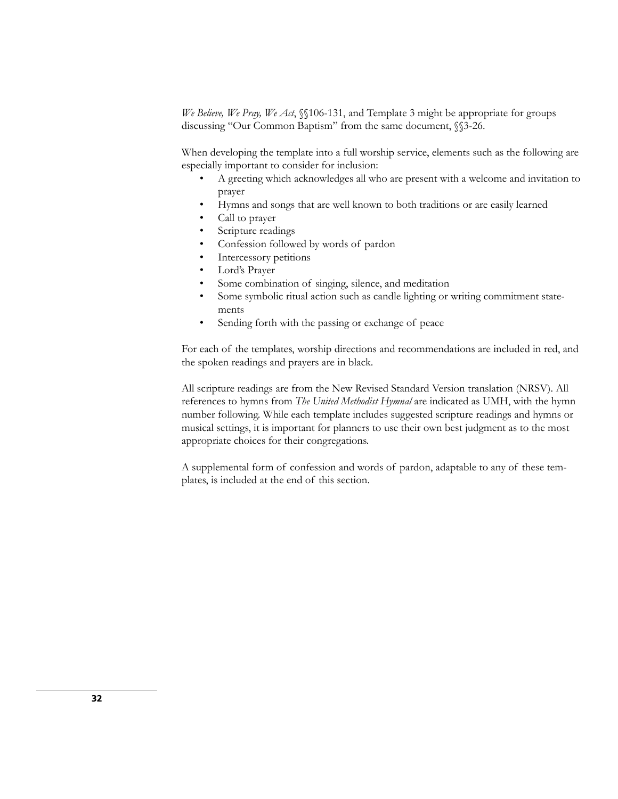*We Believe, We Pray, We Act*, §§106-131, and Template 3 might be appropriate for groups discussing "Our Common Baptism" from the same document, §§3-26.

When developing the template into a full worship service, elements such as the following are especially important to consider for inclusion:

- A greeting which acknowledges all who are present with a welcome and invitation to prayer
- Hymns and songs that are well known to both traditions or are easily learned
- Call to prayer
- Scripture readings
- Confession followed by words of pardon
- Intercessory petitions
- Lord's Prayer
- Some combination of singing, silence, and meditation
- Some symbolic ritual action such as candle lighting or writing commitment statements
- Sending forth with the passing or exchange of peace

For each of the templates, worship directions and recommendations are included in red, and the spoken readings and prayers are in black.

All scripture readings are from the New Revised Standard Version translation (NRSV). All references to hymns from *The United Methodist Hymnal* are indicated as UMH, with the hymn number following. While each template includes suggested scripture readings and hymns or musical settings, it is important for planners to use their own best judgment as to the most appropriate choices for their congregations.

A supplemental form of confession and words of pardon, adaptable to any of these templates, is included at the end of this section.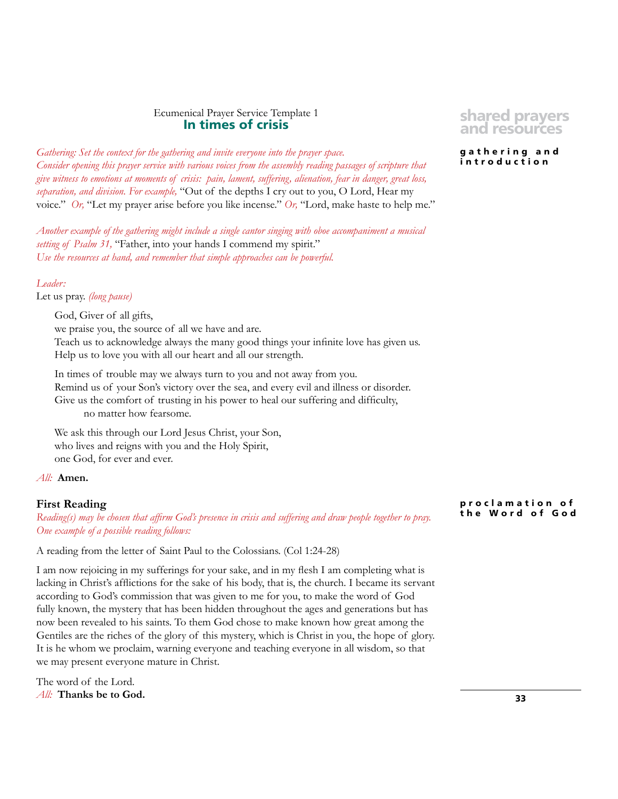# Ecumenical Prayer Service Template 1 **In times of crisis**

*Gathering: Set the context for the gathering and invite everyone into the prayer space. Consider opening this prayer service with various voices from the assembly reading passages of scripture that give witness to emotions at moments of crisis: pain, lament, suffering, alienation, fear in danger, great loss, separation, and division. For example,* "Out of the depths I cry out to you, O Lord, Hear my voice." *Or,* "Let my prayer arise before you like incense." *Or,* "Lord, make haste to help me."

*Another example of the gathering might include a single cantor singing with oboe accompaniment a musical setting of Psalm 31,* "Father, into your hands I commend my spirit." *Use the resources at hand, and remember that simple approaches can be powerful.* 

### *Leader:*

Let us pray. *(long pause)*

God, Giver of all gifts, we praise you, the source of all we have and are. Teach us to acknowledge always the many good things your infinite love has given us. Help us to love you with all our heart and all our strength.

In times of trouble may we always turn to you and not away from you. Remind us of your Son's victory over the sea, and every evil and illness or disorder. Give us the comfort of trusting in his power to heal our suffering and difficulty, no matter how fearsome.

We ask this through our Lord Jesus Christ, your Son, who lives and reigns with you and the Holy Spirit, one God, for ever and ever.

*All:* **Amen.**

## **First Reading**

*Reading(s) may be chosen that affirm God's presence in crisis and suffering and draw people together to pray. One example of a possible reading follows:*

A reading from the letter of Saint Paul to the Colossians. (Col 1:24-28)

I am now rejoicing in my sufferings for your sake, and in my flesh I am completing what is lacking in Christ's afflictions for the sake of his body, that is, the church. I became its servant according to God's commission that was given to me for you, to make the word of God fully known, the mystery that has been hidden throughout the ages and generations but has now been revealed to his saints. To them God chose to make known how great among the Gentiles are the riches of the glory of this mystery, which is Christ in you, the hope of glory. It is he whom we proclaim, warning everyone and teaching everyone in all wisdom, so that we may present everyone mature in Christ.

The word of the Lord. *All:* **Thanks be to God.**

# **shared prayers and resources**

**g a t h e r i n g a n d introduction**

**p r o c l a m a t i o n o f the Word of God**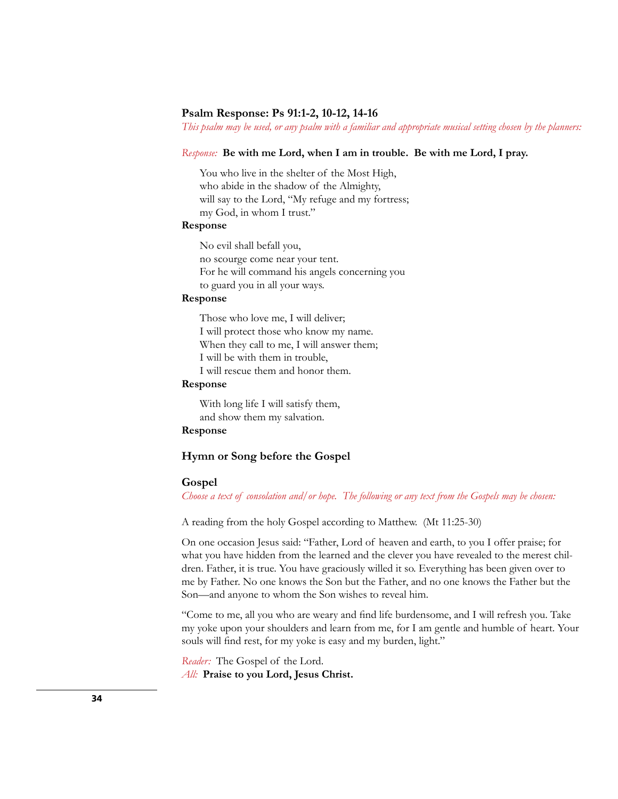### **Psalm Response: Ps 91:1-2, 10-12, 14-16**

*This psalm may be used, or any psalm with a familiar and appropriate musical setting chosen by the planners:*

### *Response:* **Be with me Lord, when I am in trouble. Be with me Lord, I pray.**

You who live in the shelter of the Most High, who abide in the shadow of the Almighty, will say to the Lord, "My refuge and my fortress; my God, in whom I trust."

### **Response**

No evil shall befall you, no scourge come near your tent. For he will command his angels concerning you to guard you in all your ways.

### **Response**

Those who love me, I will deliver; I will protect those who know my name. When they call to me, I will answer them; I will be with them in trouble, I will rescue them and honor them.

### **Response**

With long life I will satisfy them, and show them my salvation.

# **Response**

# **Hymn or Song before the Gospel**

### **Gospel**

*Choose a text of consolation and/or hope. The following or any text from the Gospels may be chosen:* 

A reading from the holy Gospel according to Matthew. (Mt 11:25-30)

On one occasion Jesus said: "Father, Lord of heaven and earth, to you I offer praise; for what you have hidden from the learned and the clever you have revealed to the merest children. Father, it is true. You have graciously willed it so. Everything has been given over to me by Father. No one knows the Son but the Father, and no one knows the Father but the Son—and anyone to whom the Son wishes to reveal him.

"Come to me, all you who are weary and find life burdensome, and I will refresh you. Take my yoke upon your shoulders and learn from me, for I am gentle and humble of heart. Your souls will find rest, for my yoke is easy and my burden, light."

*Reader:* The Gospel of the Lord. *All:* **Praise to you Lord, Jesus Christ.**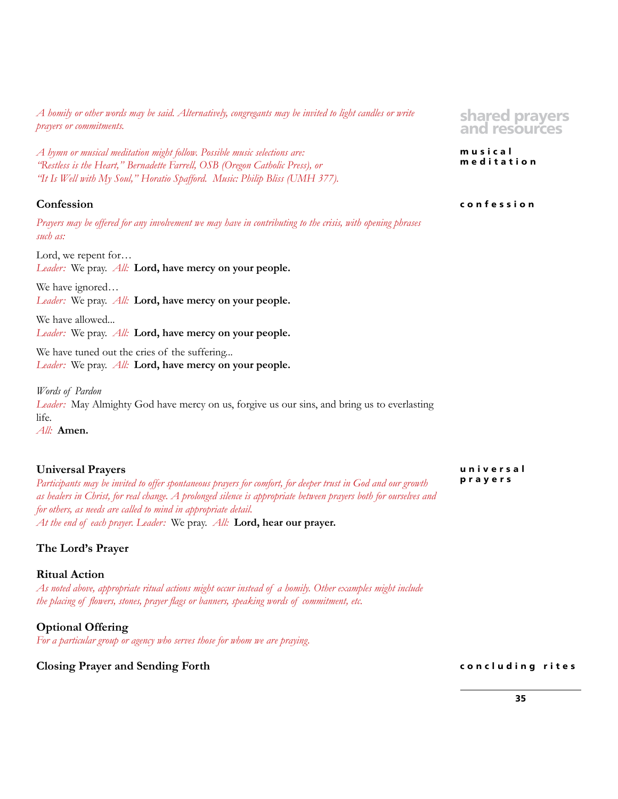*A homily or other words may be said. Alternatively, congregants may be invited to light candles or write prayers or commitments.* 

*A hymn or musical meditation might follow. Possible music selections are: "Restless is the Heart," Bernadette Farrell, OSB (Oregon Catholic Press), or "It Is Well with My Soul," Horatio Spafford. Music: Philip Bliss (UMH 377).*

# **Confession**

*Prayers may be offered for any involvement we may have in contributing to the crisis, with opening phrases such as:*

Lord, we repent for…

*Leader:* We pray. *All:* **Lord, have mercy on your people.**

We have ignored… *Leader:* We pray. *All:* **Lord, have mercy on your people.**

We have allowed... *Leader:* We pray. *All:* **Lord, have mercy on your people.**

We have tuned out the cries of the suffering... *Leader:* We pray. *All:* **Lord, have mercy on your people.**

*Words of Pardon Leader:* May Almighty God have mercy on us, forgive us our sins, and bring us to everlasting life. *All:* **Amen.**

# **Universal Prayers**

*Participants may be invited to offer spontaneous prayers for comfort, for deeper trust in God and our growth as healers in Christ, for real change. A prolonged silence is appropriate between prayers both for ourselves and for others, as needs are called to mind in appropriate detail. At the end of each prayer. Leader:* We pray. *All:* **Lord, hear our prayer.**

# **The Lord's Prayer**

# **Ritual Action**

*As noted above, appropriate ritual actions might occur instead of a homily. Other examples might include the placing of flowers, stones, prayer flags or banners, speaking words of commitment, etc.*

**Optional Offering**  *For a particular group or agency who serves those for whom we are praying.*

# **Closing Prayer and Sending Forth**

**shared prayers and resources**

**musical meditation**

#### **confession**

**u n i v e r s a l prayers**

**concluding rites**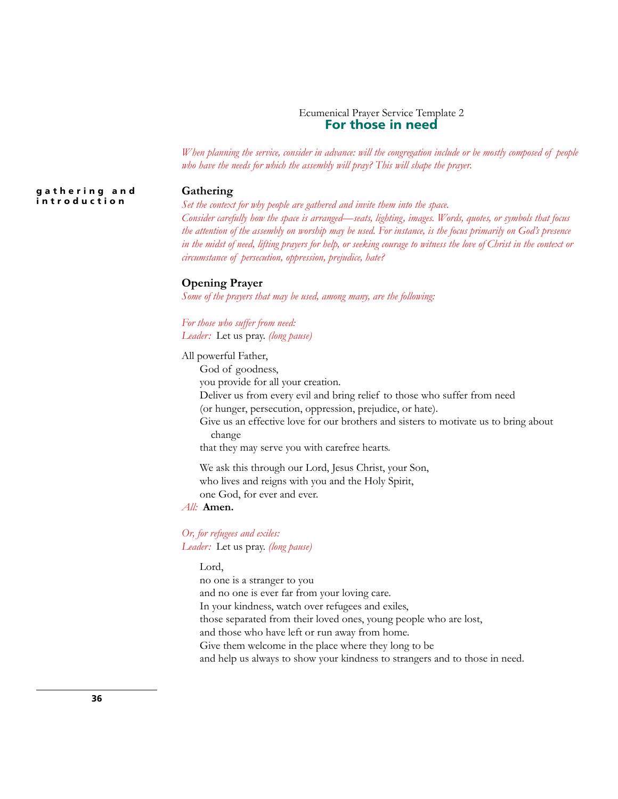# Ecumenical Prayer Service Template 2 **For those in need**

*When planning the service, consider in advance: will the congregation include or be mostly composed of people who have the needs for which the assembly will pray? This will shape the prayer.*

#### **Gathering**

*Set the context for why people are gathered and invite them into the space. Consider carefully how the space is arranged—seats, lighting, images. Words, quotes, or symbols that focus the attention of the assembly on worship may be used. For instance, is the focus primarily on God's presence in the midst of need, lifting prayers for help, or seeking courage to witness the love of Christ in the context or circumstance of persecution, oppression, prejudice, hate?*

#### **Opening Prayer**

*Some of the prayers that may be used, among many, are the following:*

*For those who suffer from need: Leader:* Let us pray. *(long pause)*

All powerful Father,

God of goodness,

you provide for all your creation.

Deliver us from every evil and bring relief to those who suffer from need

(or hunger, persecution, oppression, prejudice, or hate).

Give us an effective love for our brothers and sisters to motivate us to bring about change

that they may serve you with carefree hearts.

We ask this through our Lord, Jesus Christ, your Son, who lives and reigns with you and the Holy Spirit, one God, for ever and ever.

# *All:* **Amen.**

# *Or, for refugees and exiles: Leader:* Let us pray. *(long pause)*

#### Lord,

no one is a stranger to you and no one is ever far from your loving care. In your kindness, watch over refugees and exiles, those separated from their loved ones, young people who are lost, and those who have left or run away from home. Give them welcome in the place where they long to be and help us always to show your kindness to strangers and to those in need.

**g a t h e r i n g a n d introduction**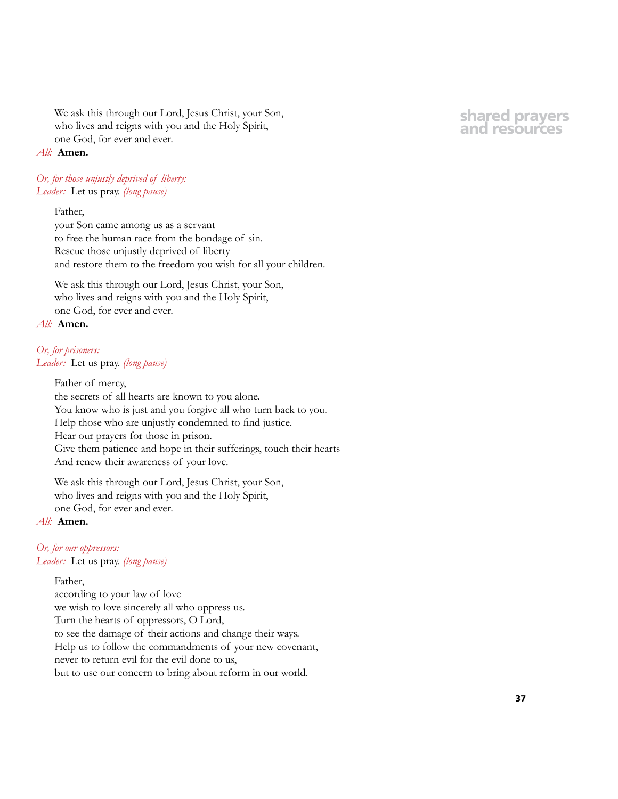We ask this through our Lord, Jesus Christ, your Son, who lives and reigns with you and the Holy Spirit, one God, for ever and ever.

# *All:* **Amen.**

*Or, for those unjustly deprived of liberty: Leader:* Let us pray. *(long pause)*

# Father,

your Son came among us as a servant to free the human race from the bondage of sin. Rescue those unjustly deprived of liberty and restore them to the freedom you wish for all your children.

We ask this through our Lord, Jesus Christ, your Son, who lives and reigns with you and the Holy Spirit, one God, for ever and ever.

# *All:* **Amen.**

# *Or, for prisoners:*

*Leader:* Let us pray. *(long pause)*

Father of mercy, the secrets of all hearts are known to you alone. You know who is just and you forgive all who turn back to you. Help those who are unjustly condemned to find justice. Hear our prayers for those in prison. Give them patience and hope in their sufferings, touch their hearts And renew their awareness of your love.

We ask this through our Lord, Jesus Christ, your Son, who lives and reigns with you and the Holy Spirit, one God, for ever and ever.

# *All:* **Amen.**

# *Or, for our oppressors:*

*Leader:* Let us pray. *(long pause)*

#### Father,

according to your law of love we wish to love sincerely all who oppress us. Turn the hearts of oppressors, O Lord, to see the damage of their actions and change their ways. Help us to follow the commandments of your new covenant, never to return evil for the evil done to us, but to use our concern to bring about reform in our world.

# **shared prayers and resources**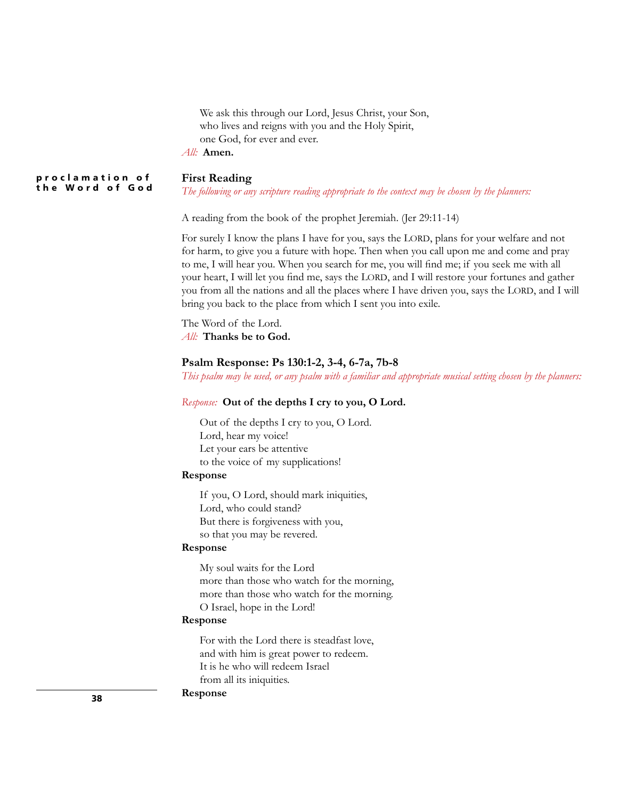We ask this through our Lord, Jesus Christ, your Son, who lives and reigns with you and the Holy Spirit, one God, for ever and ever. *All:* **Amen.**

**First Reading p r o c l a m a t i o n o f the Word of God**

*The following or any scripture reading appropriate to the context may be chosen by the planners:*

A reading from the book of the prophet Jeremiah. (Jer 29:11-14)

For surely I know the plans I have for you, says the LORD, plans for your welfare and not for harm, to give you a future with hope. Then when you call upon me and come and pray to me, I will hear you. When you search for me, you will find me; if you seek me with all your heart, I will let you find me, says the LORD, and I will restore your fortunes and gather you from all the nations and all the places where I have driven you, says the LORD, and I will bring you back to the place from which I sent you into exile.

The Word of the Lord. *All:* **Thanks be to God.**

#### **Psalm Response: Ps 130:1-2, 3-4, 6-7a, 7b-8**

*This psalm may be used, or any psalm with a familiar and appropriate musical setting chosen by the planners:*

#### *Response:* **Out of the depths I cry to you, O Lord.**

Out of the depths I cry to you, O Lord. Lord, hear my voice! Let your ears be attentive to the voice of my supplications!

# **Response**

If you, O Lord, should mark iniquities, Lord, who could stand? But there is forgiveness with you, so that you may be revered.

#### **Response**

My soul waits for the Lord more than those who watch for the morning, more than those who watch for the morning. O Israel, hope in the Lord!

#### **Response**

For with the Lord there is steadfast love, and with him is great power to redeem. It is he who will redeem Israel from all its iniquities.

# **Response**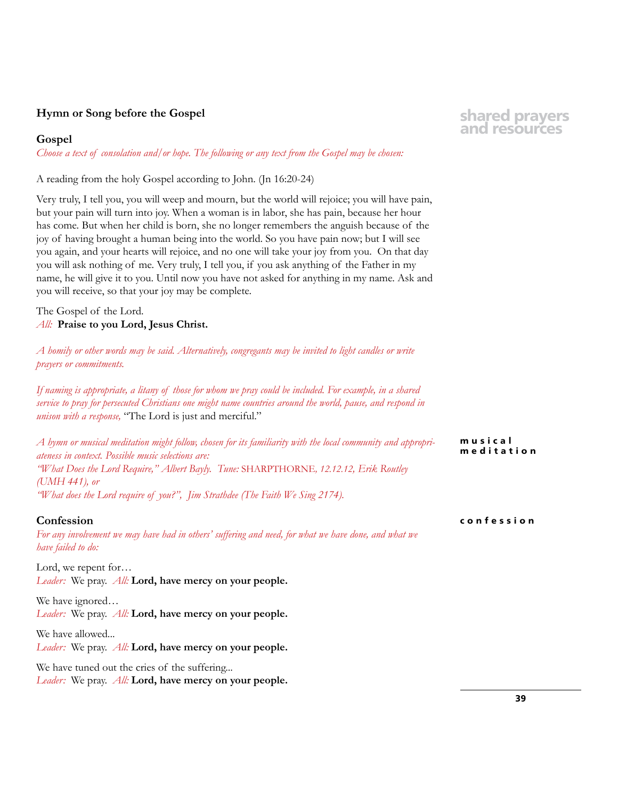# **Hymn or Song before the Gospel**

# **Gospel**

*Choose a text of consolation and/or hope. The following or any text from the Gospel may be chosen:* 

A reading from the holy Gospel according to John. (Jn 16:20-24)

Very truly, I tell you, you will weep and mourn, but the world will rejoice; you will have pain, but your pain will turn into joy. When a woman is in labor, she has pain, because her hour has come. But when her child is born, she no longer remembers the anguish because of the joy of having brought a human being into the world. So you have pain now; but I will see you again, and your hearts will rejoice, and no one will take your joy from you. On that day you will ask nothing of me. Very truly, I tell you, if you ask anything of the Father in my name, he will give it to you. Until now you have not asked for anything in my name. Ask and you will receive, so that your joy may be complete.

The Gospel of the Lord. *All:* **Praise to you Lord, Jesus Christ.**

*A homily or other words may be said. Alternatively, congregants may be invited to light candles or write prayers or commitments.* 

*If naming is appropriate, a litany of those for whom we pray could be included. For example, in a shared service to pray for persecuted Christians one might name countries around the world, pause, and respond in unison with a response,* "The Lord is just and merciful."

*A hymn or musical meditation might follow, chosen for its familiarity with the local community and appropriateness in context. Possible music selections are: "What Does the Lord Require," Albert Bayly. Tune:* SHARPTHORNE*, 12.12.12, Erik Routley (UMH 441), or "What does the Lord require of you?", Jim Strathdee (The Faith We Sing 2174).* **musical meditation**

#### **Confession**

*For any involvement we may have had in others' suffering and need, for what we have done, and what we have failed to do:*

Lord, we repent for… *Leader:* We pray. *All:* **Lord, have mercy on your people.**

We have ignored… *Leader:* We pray. *All:* **Lord, have mercy on your people.**

We have allowed... *Leader:* We pray. *All:* **Lord, have mercy on your people.**

We have tuned out the cries of the suffering...

*Leader:* We pray. *All:* **Lord, have mercy on your people.**

# **shared prayers and resources**

**confession**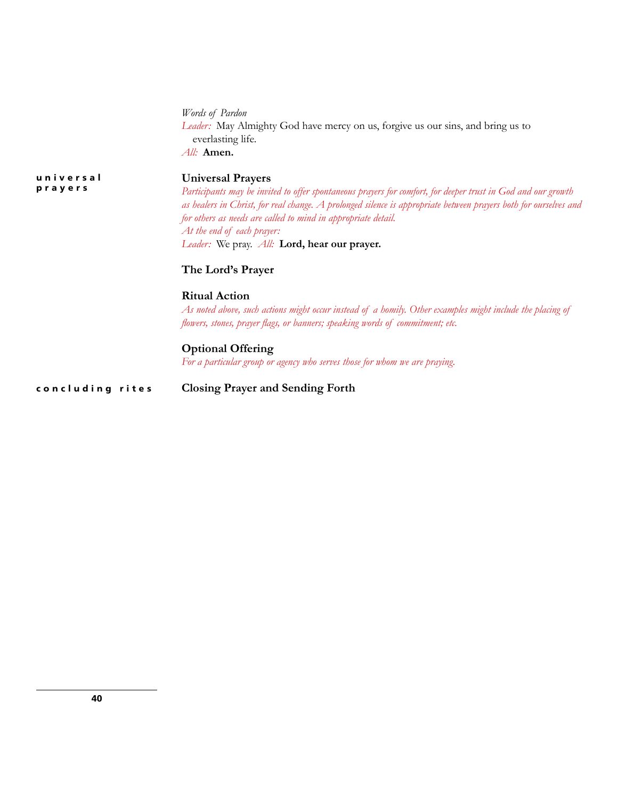|                      | Words of Pardon<br>Leader: May Almighty God have mercy on us, forgive us our sins, and bring us to<br>everlasting life.<br>All: Amen.                                                                                                                                                                                                                                                                                            |
|----------------------|----------------------------------------------------------------------------------------------------------------------------------------------------------------------------------------------------------------------------------------------------------------------------------------------------------------------------------------------------------------------------------------------------------------------------------|
| universal<br>prayers | <b>Universal Prayers</b><br>Participants may be invited to offer spontaneous prayers for comfort, for deeper trust in God and our growth<br>as healers in Christ, for real change. A prolonged silence is appropriate between prayers both for ourselves and<br>for others as needs are called to mind in appropriate detail.<br>At the end of each prayer:<br><i>Leader:</i> We pray. <i>All:</i> <b>Lord, hear our prayer.</b> |
|                      | The Lord's Prayer                                                                                                                                                                                                                                                                                                                                                                                                                |
|                      | <b>Ritual Action</b><br>As noted above, such actions might occur instead of a homily. Other examples might include the placing of<br>flowers, stones, prayer flags, or banners; speaking words of commitment; etc.                                                                                                                                                                                                               |
|                      | <b>Optional Offering</b><br>For a particular group or agency who serves those for whom we are praying.                                                                                                                                                                                                                                                                                                                           |
| concluding rites     | <b>Closing Prayer and Sending Forth</b>                                                                                                                                                                                                                                                                                                                                                                                          |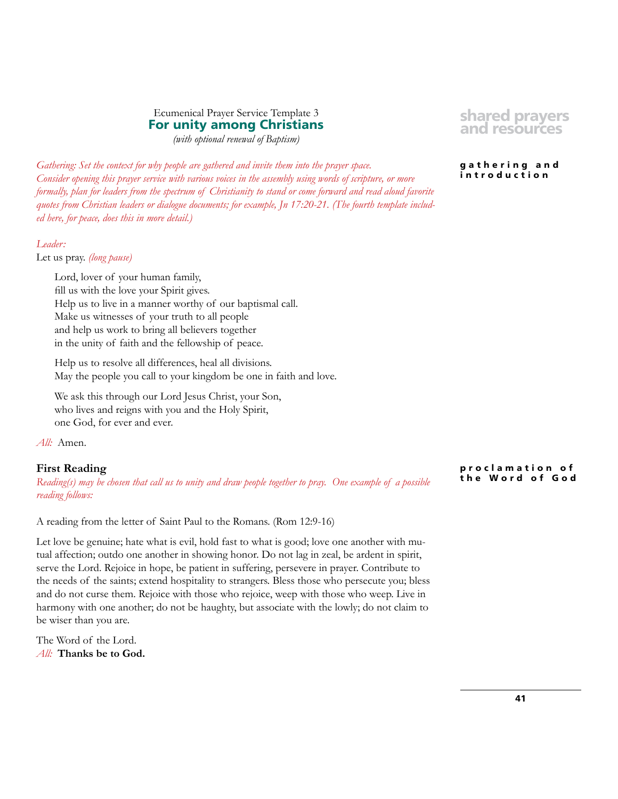# Ecumenical Prayer Service Template 3 **For unity among Christians**

*(with optional renewal of Baptism)*

**shared prayers and resources**

#### **g a t h e r i n g a n d introduction**

*Gathering: Set the context for why people are gathered and invite them into the prayer space. Consider opening this prayer service with various voices in the assembly using words of scripture, or more formally, plan for leaders from the spectrum of Christianity to stand or come forward and read aloud favorite quotes from Christian leaders or dialogue documents; for example, Jn 17:20-21. (The fourth template included here, for peace, does this in more detail.)* 

# *Leader:*

Let us pray. *(long pause)*

Lord, lover of your human family, fill us with the love your Spirit gives. Help us to live in a manner worthy of our baptismal call. Make us witnesses of your truth to all people and help us work to bring all believers together in the unity of faith and the fellowship of peace.

Help us to resolve all differences, heal all divisions. May the people you call to your kingdom be one in faith and love.

We ask this through our Lord Jesus Christ, your Son, who lives and reigns with you and the Holy Spirit, one God, for ever and ever.

*All:* Amen.

# **First Reading**

*Reading(s) may be chosen that call us to unity and draw people together to pray. One example of a possible reading follows:*

A reading from the letter of Saint Paul to the Romans. (Rom 12:9-16)

Let love be genuine; hate what is evil, hold fast to what is good; love one another with mutual affection; outdo one another in showing honor. Do not lag in zeal, be ardent in spirit, serve the Lord. Rejoice in hope, be patient in suffering, persevere in prayer. Contribute to the needs of the saints; extend hospitality to strangers. Bless those who persecute you; bless and do not curse them. Rejoice with those who rejoice, weep with those who weep. Live in harmony with one another; do not be haughty, but associate with the lowly; do not claim to be wiser than you are.

The Word of the Lord. *All:* **Thanks be to God.** **p r o c l a m a t i o n o f the Word of God**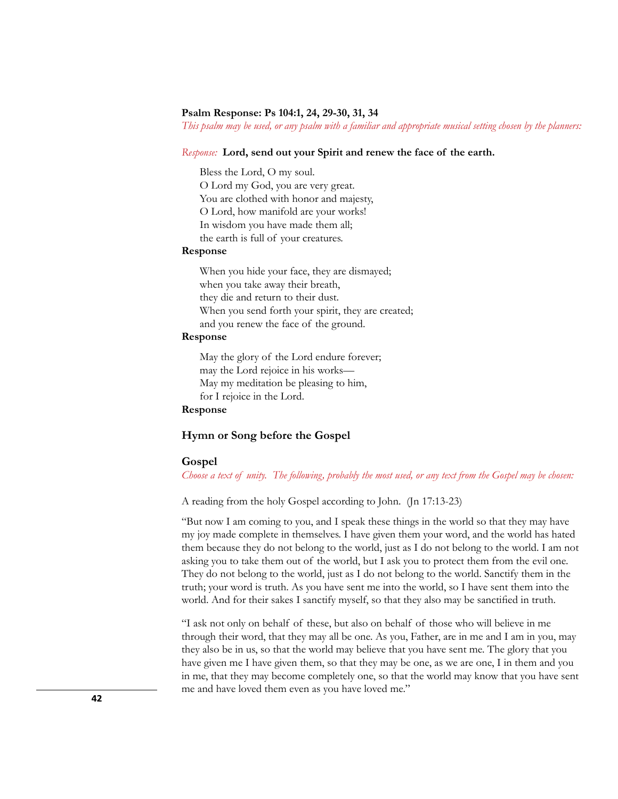#### **Psalm Response: Ps 104:1, 24, 29-30, 31, 34**

*This psalm may be used, or any psalm with a familiar and appropriate musical setting chosen by the planners:*

#### *Response:* **Lord, send out your Spirit and renew the face of the earth.**

Bless the Lord, O my soul. O Lord my God, you are very great. You are clothed with honor and majesty, O Lord, how manifold are your works! In wisdom you have made them all; the earth is full of your creatures.

#### **Response**

When you hide your face, they are dismayed; when you take away their breath, they die and return to their dust. When you send forth your spirit, they are created; and you renew the face of the ground.

#### **Response**

May the glory of the Lord endure forever; may the Lord rejoice in his works— May my meditation be pleasing to him, for I rejoice in the Lord.

# **Response**

#### **Hymn or Song before the Gospel**

#### **Gospel**

*Choose a text of unity. The following, probably the most used, or any text from the Gospel may be chosen:* 

A reading from the holy Gospel according to John. (Jn 17:13-23)

"But now I am coming to you, and I speak these things in the world so that they may have my joy made complete in themselves. I have given them your word, and the world has hated them because they do not belong to the world, just as I do not belong to the world. I am not asking you to take them out of the world, but I ask you to protect them from the evil one. They do not belong to the world, just as I do not belong to the world. Sanctify them in the truth; your word is truth. As you have sent me into the world, so I have sent them into the world. And for their sakes I sanctify myself, so that they also may be sanctified in truth.

"I ask not only on behalf of these, but also on behalf of those who will believe in me through their word, that they may all be one. As you, Father, are in me and I am in you, may they also be in us, so that the world may believe that you have sent me. The glory that you have given me I have given them, so that they may be one, as we are one, I in them and you in me, that they may become completely one, so that the world may know that you have sent me and have loved them even as you have loved me."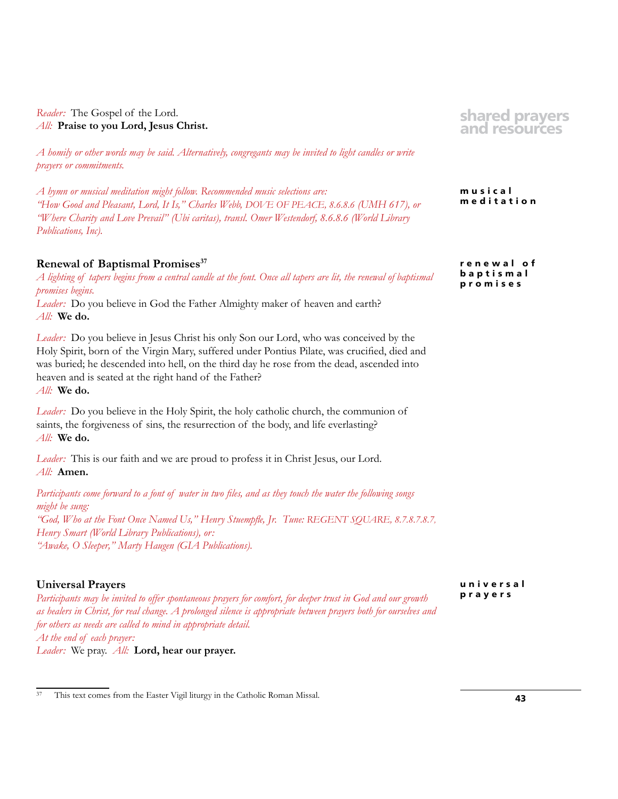*Reader:* The Gospel of the Lord. *All:* **Praise to you Lord, Jesus Christ.**

*A homily or other words may be said. Alternatively, congregants may be invited to light candles or write prayers or commitments.* 

*A hymn or musical meditation might follow. Recommended music selections are: "How Good and Pleasant, Lord, It Is," Charles Webb, DOVE OF PEACE, 8.6.8.6 (UMH 617), or "Where Charity and Love Prevail" (Ubi caritas), transl. Omer Westendorf, 8.6.8.6 (World Library Publications, Inc).*

# **Renewal of Baptismal Promises37**

*A lighting of tapers begins from a central candle at the font. Once all tapers are lit, the renewal of baptismal promises begins.*

*Leader:* Do you believe in God the Father Almighty maker of heaven and earth? *All:* **We do.**

*Leader:* Do you believe in Jesus Christ his only Son our Lord, who was conceived by the Holy Spirit, born of the Virgin Mary, suffered under Pontius Pilate, was crucified, died and was buried; he descended into hell, on the third day he rose from the dead, ascended into heaven and is seated at the right hand of the Father? *All:* **We do.**

*Leader:* Do you believe in the Holy Spirit, the holy catholic church, the communion of saints, the forgiveness of sins, the resurrection of the body, and life everlasting? *All:* **We do.**

*Leader:* This is our faith and we are proud to profess it in Christ Jesus, our Lord. *All:* **Amen.**

*Participants come forward to a font of water in two files, and as they touch the water the following songs might be sung: "God, Who at the Font Once Named Us," Henry Stuempfle, Jr. Tune: REGENT SQUARE, 8.7.8.7.8.7, Henry Smart (World Library Publications), or: "Awake, O Sleeper," Marty Haugen (GIA Publications).*

# **Universal Prayers**

*Participants may be invited to offer spontaneous prayers for comfort, for deeper trust in God and our growth as healers in Christ, for real change. A prolonged silence is appropriate between prayers both for ourselves and for others as needs are called to mind in appropriate detail. At the end of each prayer: Leader:* We pray. *All:* **Lord, hear our prayer.**

**shared prayers and resources**

**musical meditation**

**r e n e w a l o f b a p t i s m a l promises**

**u n i v e r s a l prayers**

<sup>37</sup> This text comes from the Easter Vigil liturgy in the Catholic Roman Missal.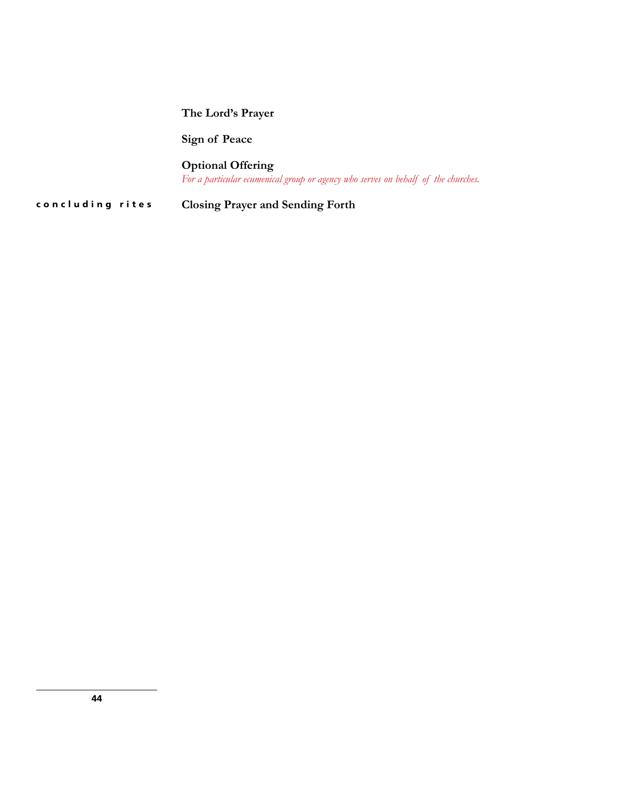# **The Lord's Prayer**

**Sign of Peace** 

**Optional Offering**  *For a particular ecumenical group or agency who serves on behalf of the churches.*

**concluding rites Closing Prayer and Sending Forth**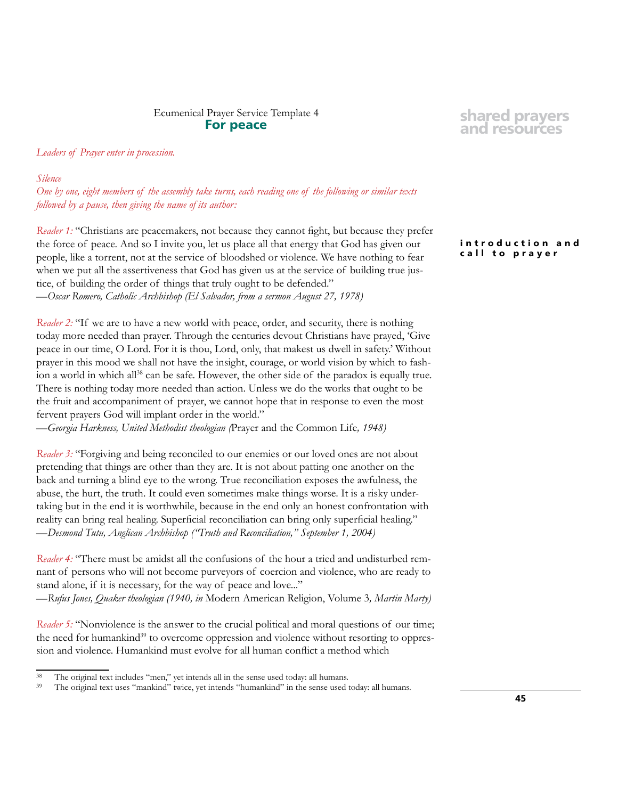# Ecumenical Prayer Service Template 4 **For peace**

#### *Leaders of Prayer enter in procession.*

#### *Silence*

*One by one, eight members of the assembly take turns, each reading one of the following or similar texts followed by a pause, then giving the name of its author:*

*Reader 1:* "Christians are peacemakers, not because they cannot fight, but because they prefer the force of peace. And so I invite you, let us place all that energy that God has given our people, like a torrent, not at the service of bloodshed or violence. We have nothing to fear when we put all the assertiveness that God has given us at the service of building true justice, of building the order of things that truly ought to be defended." —*Oscar Romero, Catholic Archbishop (El Salvador, from a sermon August 27, 1978)*

*Reader 2:* "If we are to have a new world with peace, order, and security, there is nothing today more needed than prayer. Through the centuries devout Christians have prayed, 'Give peace in our time, O Lord. For it is thou, Lord, only, that makest us dwell in safety.' Without prayer in this mood we shall not have the insight, courage, or world vision by which to fashion a world in which all<sup>38</sup> can be safe. However, the other side of the paradox is equally true. There is nothing today more needed than action. Unless we do the works that ought to be the fruit and accompaniment of prayer, we cannot hope that in response to even the most fervent prayers God will implant order in the world."

—*Georgia Harkness, United Methodist theologian (*Prayer and the Common Life*, 1948)*

*Reader 3:* "Forgiving and being reconciled to our enemies or our loved ones are not about pretending that things are other than they are. It is not about patting one another on the back and turning a blind eye to the wrong. True reconciliation exposes the awfulness, the abuse, the hurt, the truth. It could even sometimes make things worse. It is a risky undertaking but in the end it is worthwhile, because in the end only an honest confrontation with reality can bring real healing. Superficial reconciliation can bring only superficial healing." —*Desmond Tutu, Anglican Archbishop ("Truth and Reconciliation," September 1, 2004)*

*Reader 4:* "There must be amidst all the confusions of the hour a tried and undisturbed remnant of persons who will not become purveyors of coercion and violence, who are ready to stand alone, if it is necessary, for the way of peace and love..." —*Rufus Jones, Quaker theologian (1940, in* Modern American Religion, Volume 3*, Martin Marty)*

*Reader 5:* "Nonviolence is the answer to the crucial political and moral questions of our time; the need for humankind<sup>39</sup> to overcome oppression and violence without resorting to oppression and violence. Humankind must evolve for all human conflict a method which

# **shared prayers and resources**

**i n t r o d u c t i o n a n d call to prayer**

<sup>&</sup>lt;sup>38</sup> The original text includes "men," yet intends all in the sense used today: all humans.<br><sup>39</sup> The original text uses "mapkind" twice, yet intends "humankind" in the sense used

The original text uses "mankind" twice, yet intends "humankind" in the sense used today: all humans.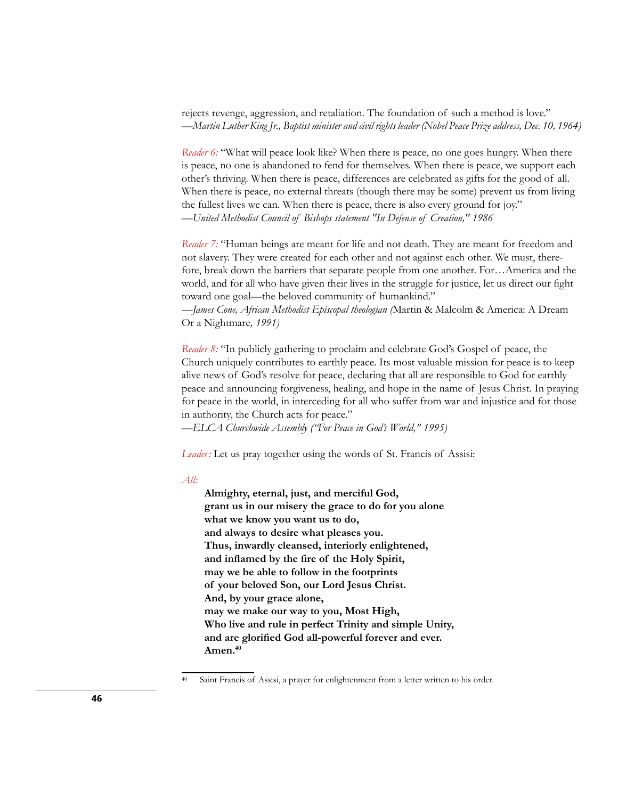rejects revenge, aggression, and retaliation. The foundation of such a method is love." —*Martin Luther King Jr., Baptist minister and civil rights leader (Nobel Peace Prize address, Dec. 10, 1964)*

*Reader 6:* "What will peace look like? When there is peace, no one goes hungry. When there is peace, no one is abandoned to fend for themselves. When there is peace, we support each other's thriving. When there is peace, differences are celebrated as gifts for the good of all. When there is peace, no external threats (though there may be some) prevent us from living the fullest lives we can. When there is peace, there is also every ground for joy." —*United Methodist Council of Bishops statement "In Defense of Creation," 1986*

*Reader 7:* "Human beings are meant for life and not death. They are meant for freedom and not slavery. They were created for each other and not against each other. We must, therefore, break down the barriers that separate people from one another. For…America and the world, and for all who have given their lives in the struggle for justice, let us direct our fight toward one goal—the beloved community of humankind."

—*James Cone, African Methodist Episcopal theologian (*Martin & Malcolm & America: A Dream Or a Nightmare*, 1991)*

*Reader 8:* "In publicly gathering to proclaim and celebrate God's Gospel of peace, the Church uniquely contributes to earthly peace. Its most valuable mission for peace is to keep alive news of God's resolve for peace, declaring that all are responsible to God for earthly peace and announcing forgiveness, healing, and hope in the name of Jesus Christ. In praying for peace in the world, in interceding for all who suffer from war and injustice and for those in authority, the Church acts for peace."

—*ELCA Churchwide Assembly ("For Peace in God's World," 1995)*

*Leader:* Let us pray together using the words of St. Francis of Assisi:

#### *All:*

**Almighty, eternal, just, and merciful God, grant us in our misery the grace to do for you alone what we know you want us to do, and always to desire what pleases you. Thus, inwardly cleansed, interiorly enlightened, and inflamed by the fire of the Holy Spirit, may we be able to follow in the footprints of your beloved Son, our Lord Jesus Christ. And, by your grace alone, may we make our way to you, Most High, Who live and rule in perfect Trinity and simple Unity, and are glorified God all-powerful forever and ever. Amen.40**

Saint Francis of Assisi, a prayer for enlightenment from a letter written to his order.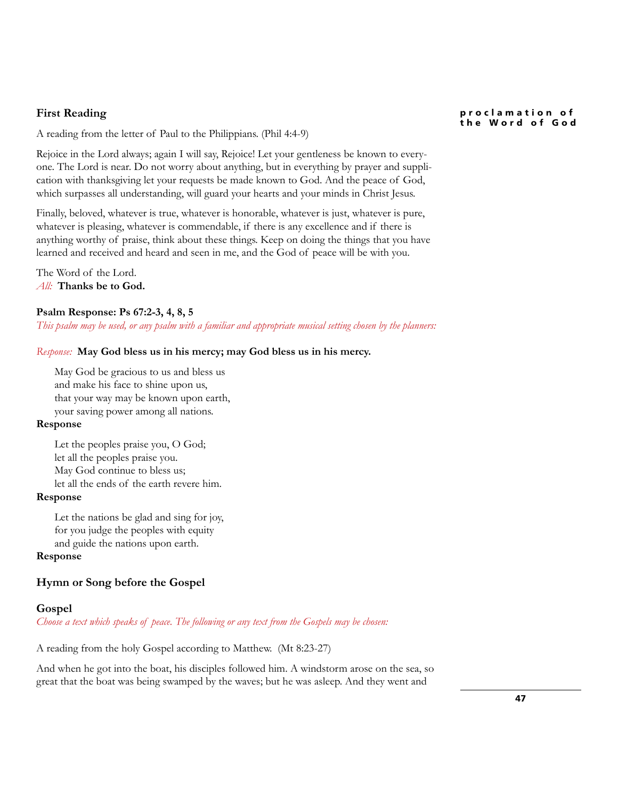# **First Reading**

A reading from the letter of Paul to the Philippians. (Phil 4:4-9)

Rejoice in the Lord always; again I will say, Rejoice! Let your gentleness be known to everyone. The Lord is near. Do not worry about anything, but in everything by prayer and supplication with thanksgiving let your requests be made known to God. And the peace of God, which surpasses all understanding, will guard your hearts and your minds in Christ Jesus.

Finally, beloved, whatever is true, whatever is honorable, whatever is just, whatever is pure, whatever is pleasing, whatever is commendable, if there is any excellence and if there is anything worthy of praise, think about these things. Keep on doing the things that you have learned and received and heard and seen in me, and the God of peace will be with you.

The Word of the Lord. *All:* **Thanks be to God.**

#### **Psalm Response: Ps 67:2-3, 4, 8, 5**

*This psalm may be used, or any psalm with a familiar and appropriate musical setting chosen by the planners:*

### *Response:* **May God bless us in his mercy; may God bless us in his mercy.**

May God be gracious to us and bless us and make his face to shine upon us, that your way may be known upon earth, your saving power among all nations.

#### **Response**

Let the peoples praise you, O God; let all the peoples praise you. May God continue to bless us; let all the ends of the earth revere him.

# **Response**

Let the nations be glad and sing for joy, for you judge the peoples with equity and guide the nations upon earth.

# **Response**

# **Hymn or Song before the Gospel**

#### **Gospel**

*Choose a text which speaks of peace. The following or any text from the Gospels may be chosen:* 

A reading from the holy Gospel according to Matthew. (Mt 8:23-27)

And when he got into the boat, his disciples followed him. A windstorm arose on the sea, so great that the boat was being swamped by the waves; but he was asleep. And they went and

#### **p r o c l a m a t i o n o f the Word of God**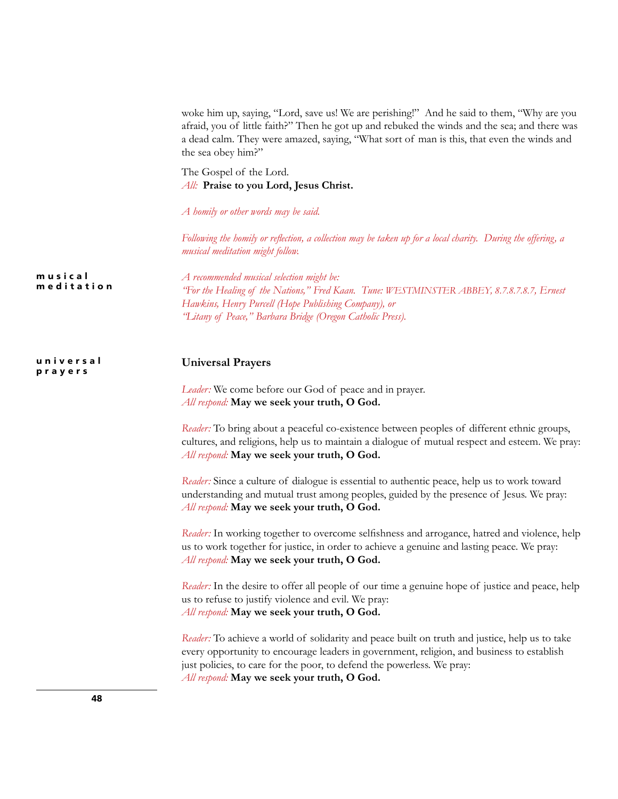|                       | woke him up, saying, "Lord, save us! We are perishing!" And he said to them, "Why are you<br>afraid, you of little faith?" Then he got up and rebuked the winds and the sea; and there was<br>a dead calm. They were amazed, saying, "What sort of man is this, that even the winds and<br>the sea obey him?"        |
|-----------------------|----------------------------------------------------------------------------------------------------------------------------------------------------------------------------------------------------------------------------------------------------------------------------------------------------------------------|
|                       | The Gospel of the Lord.<br>All: Praise to you Lord, Jesus Christ.                                                                                                                                                                                                                                                    |
|                       | A homily or other words may be said.                                                                                                                                                                                                                                                                                 |
|                       | Following the homily or reflection, a collection may be taken up for a local charity. During the offering, a<br>musical meditation might follow.                                                                                                                                                                     |
| musical<br>meditation | A recommended musical selection might be:<br>'For the Healing of the Nations," Fred Kaan. Tune: WESTMINSTER ABBEY, 8.7.8.7.8.7, Ernest<br>Hawkins, Henry Purcell (Hope Publishing Company), or<br>"Litany of Peace," Barbara Bridge (Oregon Catholic Press).                                                         |
| universal<br>prayers  | <b>Universal Prayers</b>                                                                                                                                                                                                                                                                                             |
|                       | Leader: We come before our God of peace and in prayer.<br>All respond: May we seek your truth, O God.                                                                                                                                                                                                                |
|                       | Reader: To bring about a peaceful co-existence between peoples of different ethnic groups,<br>cultures, and religions, help us to maintain a dialogue of mutual respect and esteem. We pray:<br>All respond: May we seek your truth, O God.                                                                          |
|                       | Reader: Since a culture of dialogue is essential to authentic peace, help us to work toward<br>understanding and mutual trust among peoples, guided by the presence of Jesus. We pray:<br>All respond: May we seek your truth, O God.                                                                                |
|                       | Reader: In working together to overcome selfishness and arrogance, hatred and violence, help<br>us to work together for justice, in order to achieve a genuine and lasting peace. We pray:<br>All respond: May we seek your truth, O God.                                                                            |
|                       | Reader: In the desire to offer all people of our time a genuine hope of justice and peace, help<br>us to refuse to justify violence and evil. We pray:<br>All respond: May we seek your truth, O God.                                                                                                                |
|                       | Reader: To achieve a world of solidarity and peace built on truth and justice, help us to take<br>every opportunity to encourage leaders in government, religion, and business to establish<br>just policies, to care for the poor, to defend the powerless. We pray:<br>All respond: May we seek your truth, O God. |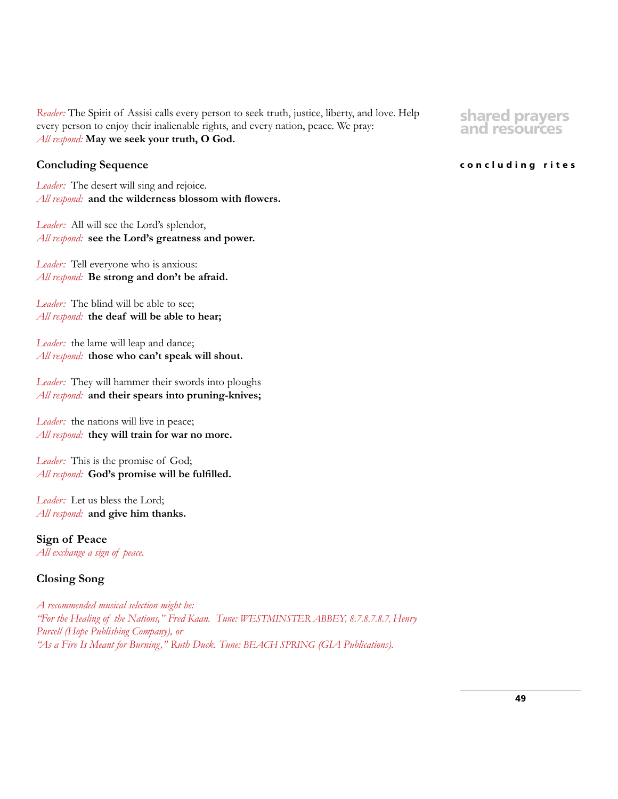*Reader:* The Spirit of Assisi calls every person to seek truth, justice, liberty, and love. Help every person to enjoy their inalienable rights, and every nation, peace. We pray: *All respond:* **May we seek your truth, O God.**

# **Concluding Sequence**

*Leader:* The desert will sing and rejoice. *All respond:* **and the wilderness blossom with flowers.**

*Leader:* All will see the Lord's splendor, *All respond:* **see the Lord's greatness and power.**

*Leader:* Tell everyone who is anxious: *All respond:* **Be strong and don't be afraid.**

*Leader:* The blind will be able to see; *All respond:* **the deaf will be able to hear;**

Leader: the lame will leap and dance; *All respond:* **those who can't speak will shout.**

*Leader:* They will hammer their swords into ploughs *All respond:* **and their spears into pruning-knives;**

Leader: the nations will live in peace; *All respond:* **they will train for war no more.**

*Leader:* This is the promise of God; *All respond:* **God's promise will be fulfilled.**

Leader: Let us bless the Lord; *All respond:* **and give him thanks.**

**Sign of Peace** *All exchange a sign of peace.*

# **Closing Song**

*A recommended musical selection might be: "For the Healing of the Nations," Fred Kaan. Tune: WESTMINSTER ABBEY, 8.7.8.7.8.7, Henry Purcell (Hope Publishing Company), or "As a Fire Is Meant for Burning," Ruth Duck. Tune: BEACH SPRING (GIA Publications).*

# **shared prayers and resources**

### **concluding rites**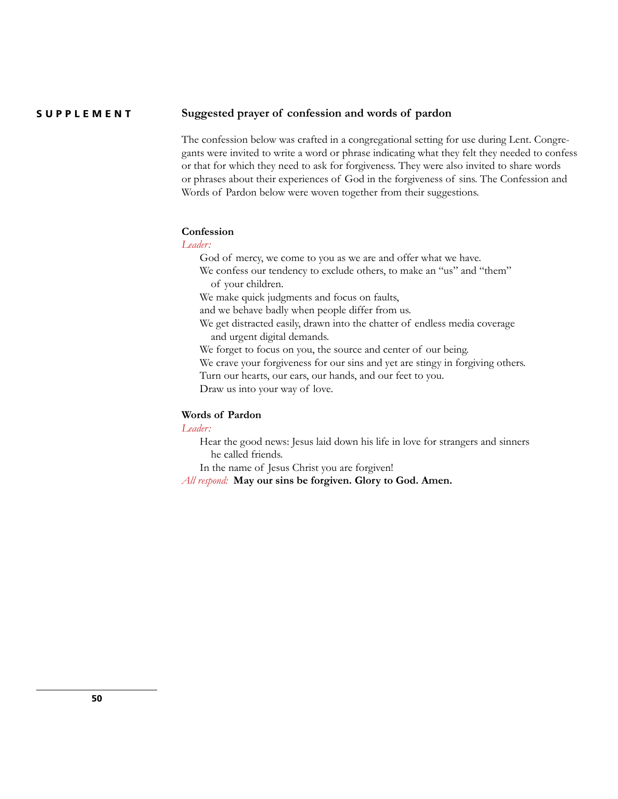#### **Suggested prayer of confession and words of pardon SUPPLEMENT**

The confession below was crafted in a congregational setting for use during Lent. Congregants were invited to write a word or phrase indicating what they felt they needed to confess or that for which they need to ask for forgiveness. They were also invited to share words or phrases about their experiences of God in the forgiveness of sins. The Confession and Words of Pardon below were woven together from their suggestions.

# **Confession**

# *Leader:*

God of mercy, we come to you as we are and offer what we have.

We confess our tendency to exclude others, to make an "us" and "them" of your children.

We make quick judgments and focus on faults,

and we behave badly when people differ from us.

We get distracted easily, drawn into the chatter of endless media coverage and urgent digital demands.

We forget to focus on you, the source and center of our being.

We crave your forgiveness for our sins and yet are stingy in forgiving others.

Turn our hearts, our ears, our hands, and our feet to you.

Draw us into your way of love.

# **Words of Pardon**

# *Leader:*

Hear the good news: Jesus laid down his life in love for strangers and sinners he called friends.

In the name of Jesus Christ you are forgiven!

*All respond:* **May our sins be forgiven. Glory to God. Amen.**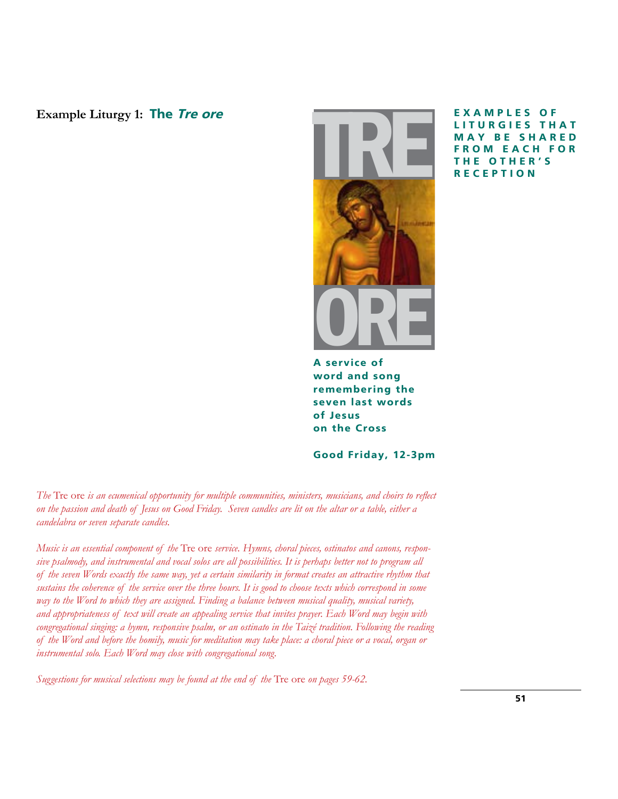**Example Liturgy 1: The Tre ore**



**E X A M P L E S O F L I T U R G I E S T H A T M A Y B E S H A R E D OM EACH FOR E OTHER'S ECEPTION** 

**A service of word and song remembering the seven last words of Jesus on the Cross**

**Good Friday, 12-3pm**

*The* Tre ore *is an ecumenical opportunity for multiple communities, ministers, musicians, and choirs to reflect on the passion and death of Jesus on Good Friday. Seven candles are lit on the altar or a table, either a candelabra or seven separate candles.*

*Music is an essential component of the* Tre ore *service. Hymns, choral pieces, ostinatos and canons, responsive psalmody, and instrumental and vocal solos are all possibilities. It is perhaps better not to program all of the seven Words exactly the same way, yet a certain similarity in format creates an attractive rhythm that sustains the coherence of the service over the three hours. It is good to choose texts which correspond in some way to the Word to which they are assigned. Finding a balance between musical quality, musical variety, and appropriateness of text will create an appealing service that invites prayer. Each Word may begin with*  congregational singing: a hymn, responsive psalm, or an ostinato in the Taizé tradition. Following the reading *of the Word and before the homily, music for meditation may take place: a choral piece or a vocal, organ or instrumental solo. Each Word may close with congregational song.*

*Suggestions for musical selections may be found at the end of the* Tre ore *on pages 59-62.*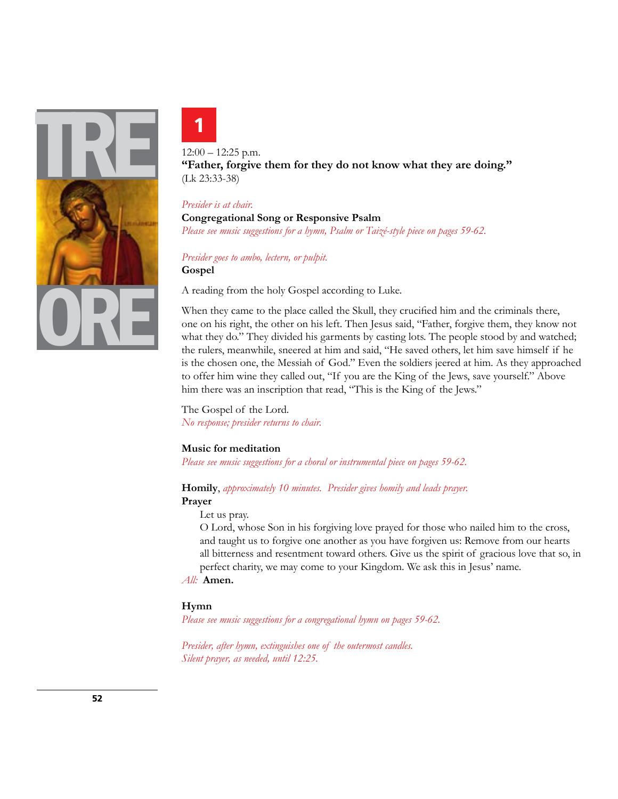



12:00 – 12:25 p.m. **"Father, forgive them for they do not know what they are doing."**  (Lk 23:33-38)

#### *Presider is at chair.*

**Congregational Song or Responsive Psalm** *Please see music suggestions for a hymn, Psalm or Taizé-style piece on pages 59-62.*

*Presider goes to ambo, lectern, or pulpit.* **Gospel**

A reading from the holy Gospel according to Luke.

When they came to the place called the Skull, they crucified him and the criminals there, one on his right, the other on his left. Then Jesus said, "Father, forgive them, they know not what they do." They divided his garments by casting lots. The people stood by and watched; the rulers, meanwhile, sneered at him and said, "He saved others, let him save himself if he is the chosen one, the Messiah of God." Even the soldiers jeered at him. As they approached to offer him wine they called out, "If you are the King of the Jews, save yourself." Above him there was an inscription that read, "This is the King of the Jews."

The Gospel of the Lord. *No response; presider returns to chair.*

# **Music for meditation**

*Please see music suggestions for a choral or instrumental piece on pages 59-62.*

#### **Homily**, *approximately 10 minutes. Presider gives homily and leads prayer.* **Prayer**

# Let us pray.

O Lord, whose Son in his forgiving love prayed for those who nailed him to the cross, and taught us to forgive one another as you have forgiven us: Remove from our hearts all bitterness and resentment toward others. Give us the spirit of gracious love that so, in

perfect charity, we may come to your Kingdom. We ask this in Jesus' name.

*All:* **Amen.** 

#### **Hymn**

*Please see music suggestions for a congregational hymn on pages 59-62.*

*Presider, after hymn, extinguishes one of the outermost candles. Silent prayer, as needed, until 12:25.*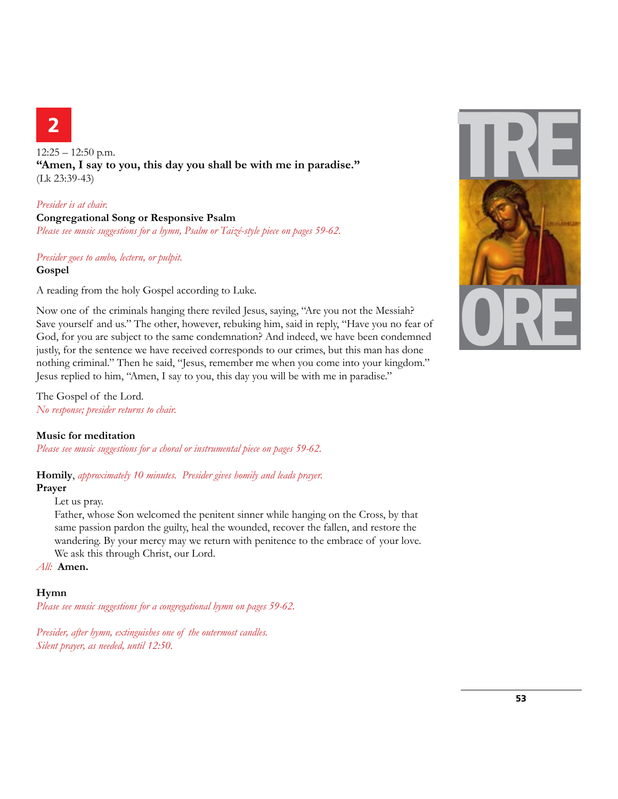# **2**

 $12:25 - 12:50$  p.m. **"Amen, I say to you, this day you shall be with me in paradise."**  (Lk 23:39-43)

# *Presider is at chair.*

**Congregational Song or Responsive Psalm** *Please see music suggestions for a hymn, Psalm or Taizé-style piece on pages 59-62.*

# *Presider goes to ambo, lectern, or pulpit.* **Gospel**

A reading from the holy Gospel according to Luke.

Now one of the criminals hanging there reviled Jesus, saying, "Are you not the Messiah? Save yourself and us." The other, however, rebuking him, said in reply, "Have you no fear of God, for you are subject to the same condemnation? And indeed, we have been condemned justly, for the sentence we have received corresponds to our crimes, but this man has done nothing criminal." Then he said, "Jesus, remember me when you come into your kingdom." Jesus replied to him, "Amen, I say to you, this day you will be with me in paradise."

The Gospel of the Lord. *No response; presider returns to chair.*

# **Music for meditation**

*Please see music suggestions for a choral or instrumental piece on pages 59-62.*

**Homily**, *approximately 10 minutes. Presider gives homily and leads prayer.*

# **Prayer**

Let us pray.

Father, whose Son welcomed the penitent sinner while hanging on the Cross, by that same passion pardon the guilty, heal the wounded, recover the fallen, and restore the wandering. By your mercy may we return with penitence to the embrace of your love. We ask this through Christ, our Lord.

*All:* **Amen.** 

# **Hymn**

*Please see music suggestions for a congregational hymn on pages 59-62.*

*Presider, after hymn, extinguishes one of the outermost candles. Silent prayer, as needed, until 12:50.*

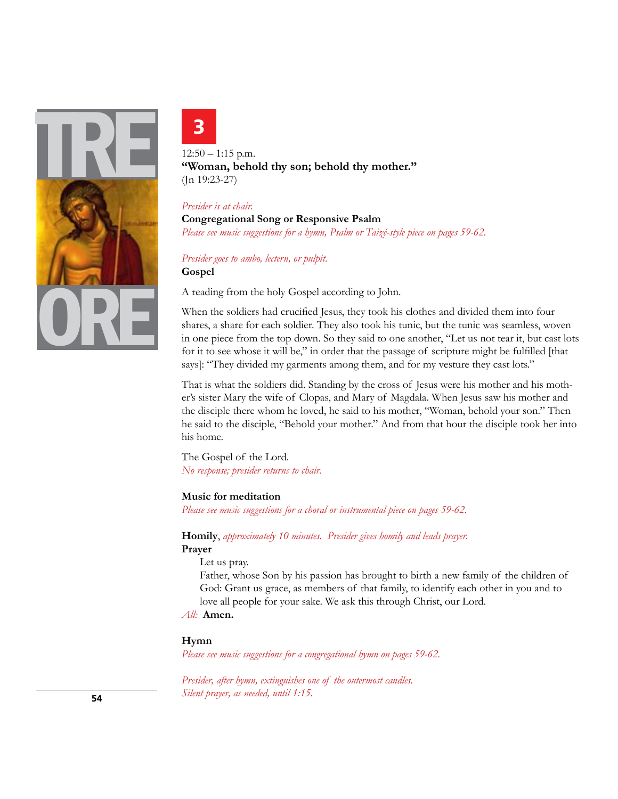



 $12:50 - 1:15$  p.m. **"Woman, behold thy son; behold thy mother."**  (Jn 19:23-27)

# *Presider is at chair.*

**Congregational Song or Responsive Psalm** *Please see music suggestions for a hymn, Psalm or Taizé-style piece on pages 59-62.*

*Presider goes to ambo, lectern, or pulpit.* **Gospel**

A reading from the holy Gospel according to John.

When the soldiers had crucified Jesus, they took his clothes and divided them into four shares, a share for each soldier. They also took his tunic, but the tunic was seamless, woven in one piece from the top down. So they said to one another, "Let us not tear it, but cast lots for it to see whose it will be," in order that the passage of scripture might be fulfilled [that says]: "They divided my garments among them, and for my vesture they cast lots."

That is what the soldiers did. Standing by the cross of Jesus were his mother and his mother's sister Mary the wife of Clopas, and Mary of Magdala. When Jesus saw his mother and the disciple there whom he loved, he said to his mother, "Woman, behold your son." Then he said to the disciple, "Behold your mother." And from that hour the disciple took her into his home.

The Gospel of the Lord. *No response; presider returns to chair.*

#### **Music for meditation**

*Please see music suggestions for a choral or instrumental piece on pages 59-62.*

**Homily**, *approximately 10 minutes. Presider gives homily and leads prayer.* **Prayer**

Let us pray.

Father, whose Son by his passion has brought to birth a new family of the children of God: Grant us grace, as members of that family, to identify each other in you and to love all people for your sake. We ask this through Christ, our Lord.

# *All:* **Amen.**

#### **Hymn**

*Please see music suggestions for a congregational hymn on pages 59-62.*

*Presider, after hymn, extinguishes one of the outermost candles. Silent prayer, as needed, until 1:15.*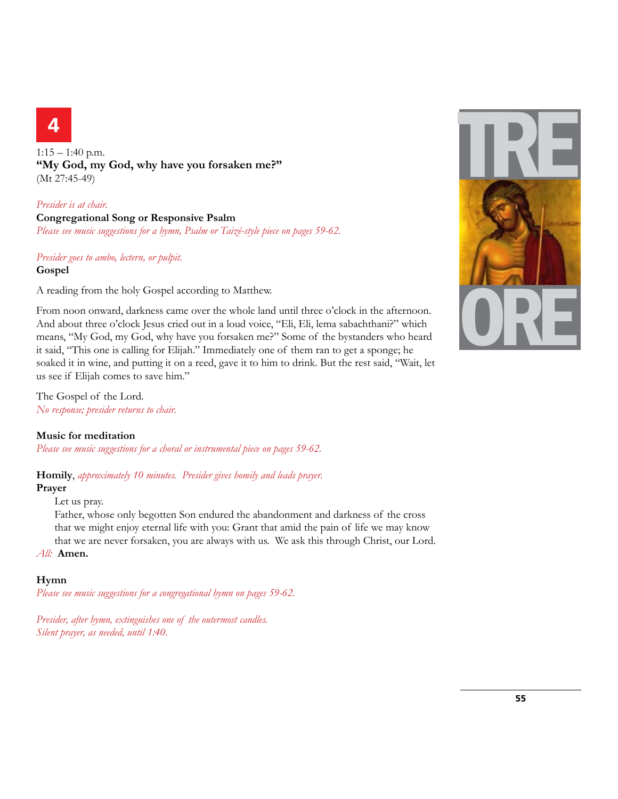# **4**

1:15 – 1:40 p.m. **"My God, my God, why have you forsaken me?"**  (Mt 27:45-49)

# *Presider is at chair.* **Congregational Song or Responsive Psalm** *Please see music suggestions for a hymn, Psalm or Taizé-style piece on pages 59-62.*

# *Presider goes to ambo, lectern, or pulpit.* **Gospel**

A reading from the holy Gospel according to Matthew.

From noon onward, darkness came over the whole land until three o'clock in the afternoon. And about three o'clock Jesus cried out in a loud voice, "Eli, Eli, lema sabachthani?" which means, "My God, my God, why have you forsaken me?" Some of the bystanders who heard it said, "This one is calling for Elijah." Immediately one of them ran to get a sponge; he soaked it in wine, and putting it on a reed, gave it to him to drink. But the rest said, "Wait, let us see if Elijah comes to save him."

The Gospel of the Lord. *No response; presider returns to chair.*

# **Music for meditation**

*Please see music suggestions for a choral or instrumental piece on pages 59-62.*

**Homily**, *approximately 10 minutes. Presider gives homily and leads prayer.*

# **Prayer**

Let us pray.

Father, whose only begotten Son endured the abandonment and darkness of the cross that we might enjoy eternal life with you: Grant that amid the pain of life we may know that we are never forsaken, you are always with us. We ask this through Christ, our Lord.

*All:* **Amen.** 

# **Hymn**

*Please see music suggestions for a congregational hymn on pages 59-62.*

*Presider, after hymn, extinguishes one of the outermost candles. Silent prayer, as needed, until 1:40.*

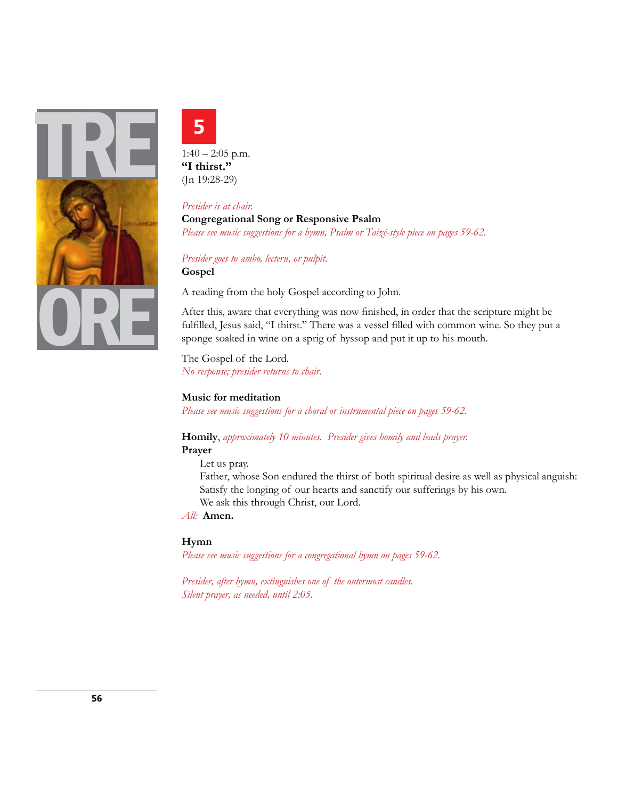



 $1:40 - 2:05$  p.m. **"I thirst."**  (Jn 19:28-29)

# *Presider is at chair.*

**Congregational Song or Responsive Psalm** *Please see music suggestions for a hymn, Psalm or Taizé-style piece on pages 59-62.*

*Presider goes to ambo, lectern, or pulpit.* **Gospel**

A reading from the holy Gospel according to John.

After this, aware that everything was now finished, in order that the scripture might be fulfilled, Jesus said, "I thirst." There was a vessel filled with common wine. So they put a sponge soaked in wine on a sprig of hyssop and put it up to his mouth.

The Gospel of the Lord. *No response; presider returns to chair.*

# **Music for meditation**

*Please see music suggestions for a choral or instrumental piece on pages 59-62.*

# **Homily**, *approximately 10 minutes. Presider gives homily and leads prayer.* **Prayer**

Let us pray.

Father, whose Son endured the thirst of both spiritual desire as well as physical anguish: Satisfy the longing of our hearts and sanctify our sufferings by his own. We ask this through Christ, our Lord.

*All:* **Amen.** 

# **Hymn**

*Please see music suggestions for a congregational hymn on pages 59-62.*

*Presider, after hymn, extinguishes one of the outermost candles. Silent prayer, as needed, until 2:05.*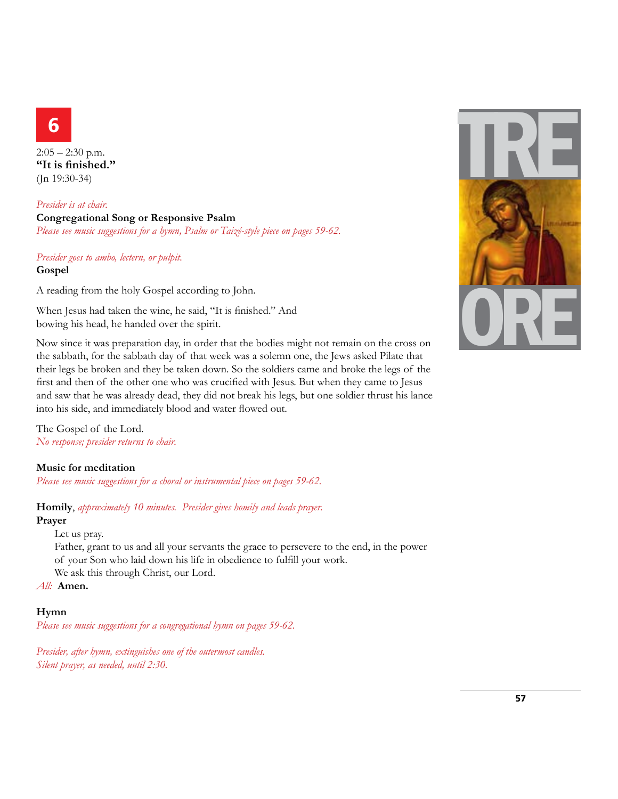

 $2:05 - 2:30$  p.m. **"It is finished."**  (Jn 19:30-34)

*Presider is at chair.* **Congregational Song or Responsive Psalm** *Please see music suggestions for a hymn, Psalm or Taizé-style piece on pages 59-62.*

# *Presider goes to ambo, lectern, or pulpit.* **Gospel**

A reading from the holy Gospel according to John.

When Jesus had taken the wine, he said, "It is finished." And bowing his head, he handed over the spirit.

Now since it was preparation day, in order that the bodies might not remain on the cross on the sabbath, for the sabbath day of that week was a solemn one, the Jews asked Pilate that their legs be broken and they be taken down. So the soldiers came and broke the legs of the first and then of the other one who was crucified with Jesus. But when they came to Jesus and saw that he was already dead, they did not break his legs, but one soldier thrust his lance into his side, and immediately blood and water flowed out.

The Gospel of the Lord. *No response; presider returns to chair.*

# **Music for meditation**

*Please see music suggestions for a choral or instrumental piece on pages 59-62.*

**Homily**, *approximately 10 minutes. Presider gives homily and leads prayer.* **Prayer**

Let us pray.

Father, grant to us and all your servants the grace to persevere to the end, in the power of your Son who laid down his life in obedience to fulfill your work. We ask this through Christ, our Lord.

*All:* **Amen.** 

#### **Hymn**

*Please see music suggestions for a congregational hymn on pages 59-62.*

*Presider, after hymn, extinguishes one of the outermost candles. Silent prayer, as needed, until 2:30.*

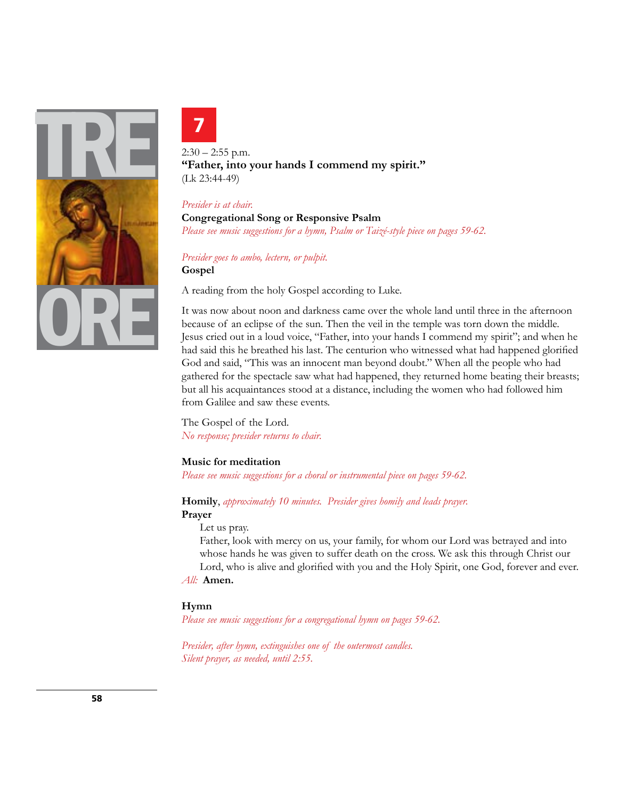



 $2:30 - 2:55$  p.m. **"Father, into your hands I commend my spirit."**  (Lk 23:44-49)

#### *Presider is at chair.*

**Congregational Song or Responsive Psalm** *Please see music suggestions for a hymn, Psalm or Taizé-style piece on pages 59-62.*

*Presider goes to ambo, lectern, or pulpit.* **Gospel**

A reading from the holy Gospel according to Luke.

It was now about noon and darkness came over the whole land until three in the afternoon because of an eclipse of the sun. Then the veil in the temple was torn down the middle. Jesus cried out in a loud voice, "Father, into your hands I commend my spirit"; and when he had said this he breathed his last. The centurion who witnessed what had happened glorified God and said, "This was an innocent man beyond doubt." When all the people who had gathered for the spectacle saw what had happened, they returned home beating their breasts; but all his acquaintances stood at a distance, including the women who had followed him from Galilee and saw these events.

The Gospel of the Lord. *No response; presider returns to chair.*

#### **Music for meditation**

*Please see music suggestions for a choral or instrumental piece on pages 59-62.*

# **Homily**, *approximately 10 minutes. Presider gives homily and leads prayer.*

## **Prayer**

Let us pray.

Father, look with mercy on us, your family, for whom our Lord was betrayed and into whose hands he was given to suffer death on the cross. We ask this through Christ our

Lord, who is alive and glorified with you and the Holy Spirit, one God, forever and ever. *All:* **Amen.** 

#### **Hymn**

*Please see music suggestions for a congregational hymn on pages 59-62.*

*Presider, after hymn, extinguishes one of the outermost candles. Silent prayer, as needed, until 2:55.*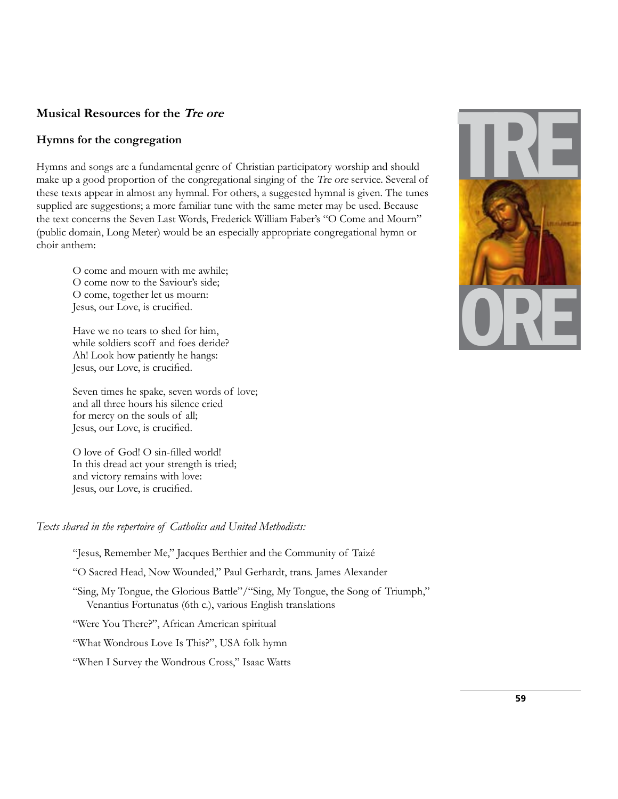# **Musical Resources for the Tre ore**

# **Hymns for the congregation**

Hymns and songs are a fundamental genre of Christian participatory worship and should make up a good proportion of the congregational singing of the Tre ore service. Several of these texts appear in almost any hymnal. For others, a suggested hymnal is given. The tunes supplied are suggestions; a more familiar tune with the same meter may be used. Because the text concerns the Seven Last Words, Frederick William Faber's "O Come and Mourn" (public domain, Long Meter) would be an especially appropriate congregational hymn or choir anthem:

 O come and mourn with me awhile; O come now to the Saviour's side; O come, together let us mourn: Jesus, our Love, is crucified.

 Have we no tears to shed for him, while soldiers scoff and foes deride? Ah! Look how patiently he hangs: Jesus, our Love, is crucified.

 Seven times he spake, seven words of love; and all three hours his silence cried for mercy on the souls of all; Jesus, our Love, is crucified.

O love of God! O sin-filled world! In this dread act your strength is tried; and victory remains with love: Jesus, our Love, is crucified.

*Texts shared in the repertoire of Catholics and United Methodists:*

"Jesus, Remember Me," Jacques Berthier and the Community of Taizé

"O Sacred Head, Now Wounded," Paul Gerhardt, trans. James Alexander

 "Sing, My Tongue, the Glorious Battle"/"Sing, My Tongue, the Song of Triumph," Venantius Fortunatus (6th c.), various English translations

"Were You There?", African American spiritual

"What Wondrous Love Is This?", USA folk hymn

"When I Survey the Wondrous Cross," Isaac Watts

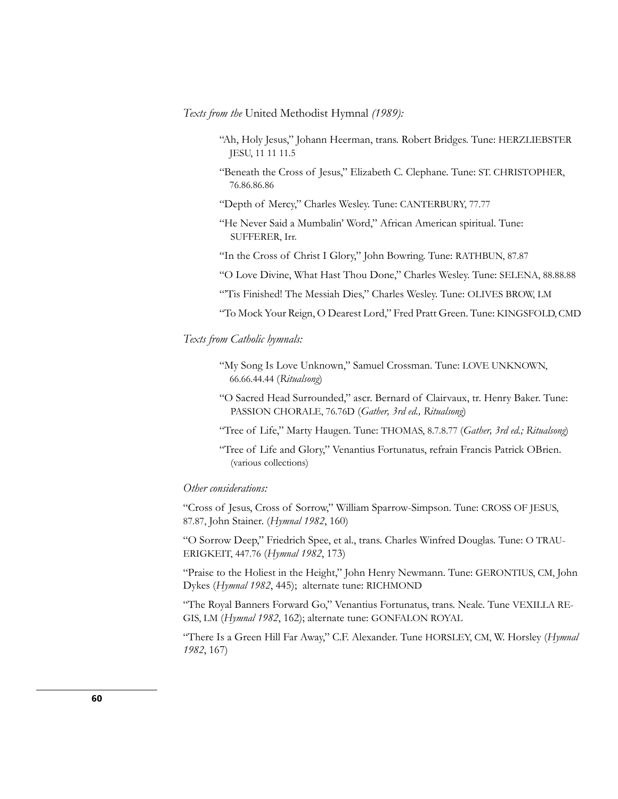*Texts from the* United Methodist Hymnal *(1989):*

- "Ah, Holy Jesus," Johann Heerman, trans. Robert Bridges. Tune: HERZLIEBSTER JESU, 11 11 11.5
- "Beneath the Cross of Jesus," Elizabeth C. Clephane. Tune: ST. CHRISTOPHER, 76.86.86.86
- "Depth of Mercy," Charles Wesley. Tune: CANTERBURY, 77.77
- "He Never Said a Mumbalin' Word," African American spiritual. Tune: SUFFERER, Irr.
- "In the Cross of Christ I Glory," John Bowring. Tune: RATHBUN, 87.87
- "O Love Divine, What Hast Thou Done," Charles Wesley. Tune: SELENA, 88.88.88
- "'Tis Finished! The Messiah Dies," Charles Wesley. Tune: OLIVES BROW, LM

"To Mock Your Reign, O Dearest Lord," Fred Pratt Green. Tune: KINGSFOLD, CMD

# *Texts from Catholic hymnals:*

- "My Song Is Love Unknown," Samuel Crossman. Tune: LOVE UNKNOWN, 66.66.44.44 (*Ritualsong*)
- "O Sacred Head Surrounded," ascr. Bernard of Clairvaux, tr. Henry Baker. Tune: PASSION CHORALE, 76.76D (*Gather, 3rd ed., Ritualsong*)
- "Tree of Life," Marty Haugen. Tune: THOMAS, 8.7.8.77 (*Gather, 3rd ed.; Ritualsong*)
- "Tree of Life and Glory," Venantius Fortunatus, refrain Francis Patrick OBrien. (various collections)

# *Other considerations:*

"Cross of Jesus, Cross of Sorrow," William Sparrow-Simpson. Tune: CROSS OF JESUS, 87.87, John Stainer. (*Hymnal 1982*, 160)

"O Sorrow Deep," Friedrich Spee, et al., trans. Charles Winfred Douglas. Tune: O TRAU-ERIGKEIT, 447.76 (*Hymnal 1982*, 173)

"Praise to the Holiest in the Height," John Henry Newmann. Tune: GERONTIUS, CM, John Dykes (*Hymnal 1982*, 445); alternate tune: RICHMOND

"The Royal Banners Forward Go," Venantius Fortunatus, trans. Neale. Tune VEXILLA RE-GIS, LM (*Hymnal 1982*, 162); alternate tune: GONFALON ROYAL

"There Is a Green Hill Far Away," C.F. Alexander. Tune HORSLEY, CM, W. Horsley (*Hymnal 1982*, 167)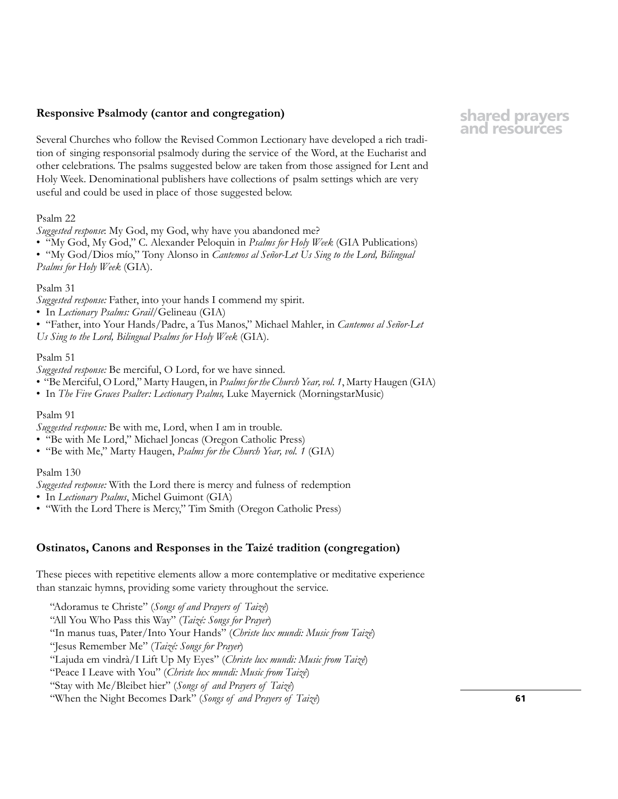# **Responsive Psalmody (cantor and congregation)**

Several Churches who follow the Revised Common Lectionary have developed a rich tradition of singing responsorial psalmody during the service of the Word, at the Eucharist and other celebrations. The psalms suggested below are taken from those assigned for Lent and Holy Week. Denominational publishers have collections of psalm settings which are very useful and could be used in place of those suggested below.

#### Psalm 22

*Suggested response*: My God, my God, why have you abandoned me?

• "My God, My God," C. Alexander Peloquin in *Psalms for Holy Week* (GIA Publications)

• "My God/Dios mío," Tony Alonso in *Cantemos al Señor-Let Us Sing to the Lord, Bilingual Psalms for Holy Week* (GIA).

# Psalm 31

*Suggested response:* Father, into your hands I commend my spirit.

• In *Lectionary Psalms: Grail*/Gelineau (GIA)

• "Father, into Your Hands/Padre, a Tus Manos," Michael Mahler, in *Cantemos al Señor-Let Us Sing to the Lord, Bilingual Psalms for Holy Week* (GIA).

#### Psalm 51

*Suggested response:* Be merciful, O Lord, for we have sinned.

- "Be Merciful, O Lord," Marty Haugen, in *Psalms for the Church Year, vol. 1*, Marty Haugen (GIA)
- In *The Five Graces Psalter: Lectionary Psalms,* Luke Mayernick (MorningstarMusic)

#### Psalm 91

*Suggested response:* Be with me, Lord, when I am in trouble.

- "Be with Me Lord," Michael Joncas (Oregon Catholic Press)
- "Be with Me," Marty Haugen, *Psalms for the Church Year, vol. 1* (GIA)

#### Psalm 130

*Suggested response:* With the Lord there is mercy and fulness of redemption

- In *Lectionary Psalms*, Michel Guimont (GIA)
- "With the Lord There is Mercy," Tim Smith (Oregon Catholic Press)

# **Ostinatos, Canons and Responses in the Taizé tradition (congregation)**

These pieces with repetitive elements allow a more contemplative or meditative experience than stanzaic hymns, providing some variety throughout the service.

"Adoramus te Christe" (*Songs of and Prayers of Taizé*) "All You Who Pass this Way" (*Taizé: Songs for Prayer*) "In manus tuas, Pater/Into Your Hands" (*Christe lux mundi: Music from Taizé*) "Jesus Remember Me" (*Taizé: Songs for Prayer*) "Lajuda em vindrà/I Lift Up My Eyes" (*Christe lux mundi: Music from Taizé*) "Peace I Leave with You" (*Christe lux mundi: Music from Taizé*) "Stay with Me/Bleibet hier" (*Songs of and Prayers of Taizé*) "When the Night Becomes Dark" (*Songs of and Prayers of Taizé*)

# **shared prayers and resources**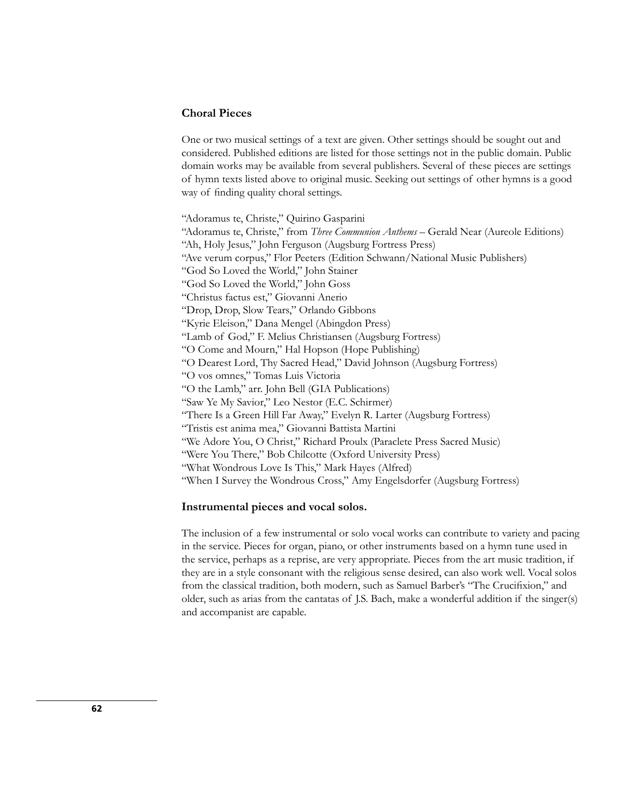# **Choral Pieces**

One or two musical settings of a text are given. Other settings should be sought out and considered. Published editions are listed for those settings not in the public domain. Public domain works may be available from several publishers. Several of these pieces are settings of hymn texts listed above to original music. Seeking out settings of other hymns is a good way of finding quality choral settings.

"Adoramus te, Christe," Quirino Gasparini "Adoramus te, Christe," from *Three Communion Anthems* – Gerald Near (Aureole Editions) "Ah, Holy Jesus," John Ferguson (Augsburg Fortress Press) "Ave verum corpus," Flor Peeters (Edition Schwann/National Music Publishers) "God So Loved the World," John Stainer "God So Loved the World," John Goss "Christus factus est," Giovanni Anerio "Drop, Drop, Slow Tears," Orlando Gibbons "Kyrie Eleison," Dana Mengel (Abingdon Press) "Lamb of God," F. Melius Christiansen (Augsburg Fortress) "O Come and Mourn," Hal Hopson (Hope Publishing) "O Dearest Lord, Thy Sacred Head," David Johnson (Augsburg Fortress) "O vos omnes," Tomas Luis Victoria "O the Lamb," arr. John Bell (GIA Publications) "Saw Ye My Savior," Leo Nestor (E.C. Schirmer) "There Is a Green Hill Far Away," Evelyn R. Larter (Augsburg Fortress) "Tristis est anima mea," Giovanni Battista Martini "We Adore You, O Christ," Richard Proulx (Paraclete Press Sacred Music) "Were You There," Bob Chilcotte (Oxford University Press) "What Wondrous Love Is This," Mark Hayes (Alfred) "When I Survey the Wondrous Cross," Amy Engelsdorfer (Augsburg Fortress)

#### **Instrumental pieces and vocal solos.**

The inclusion of a few instrumental or solo vocal works can contribute to variety and pacing in the service. Pieces for organ, piano, or other instruments based on a hymn tune used in the service, perhaps as a reprise, are very appropriate. Pieces from the art music tradition, if they are in a style consonant with the religious sense desired, can also work well. Vocal solos from the classical tradition, both modern, such as Samuel Barber's "The Crucifixion," and older, such as arias from the cantatas of J.S. Bach, make a wonderful addition if the singer(s) and accompanist are capable.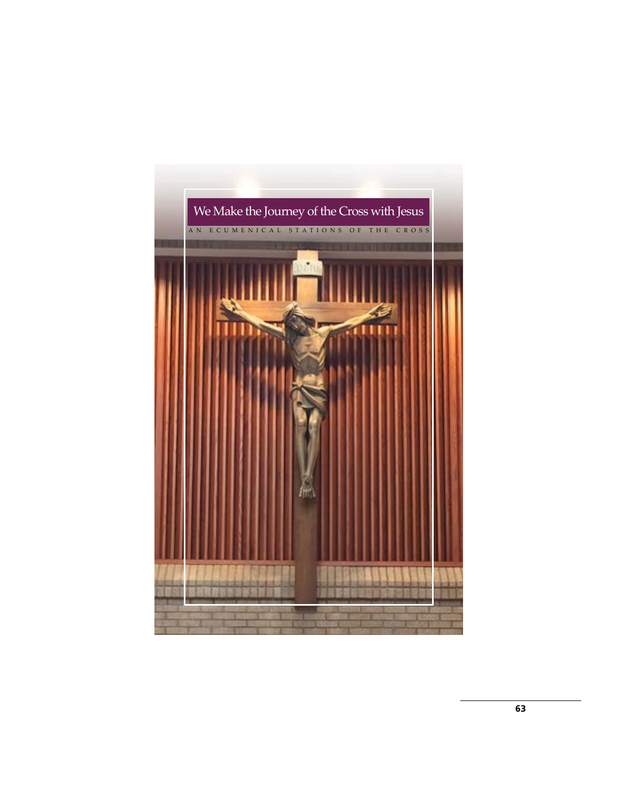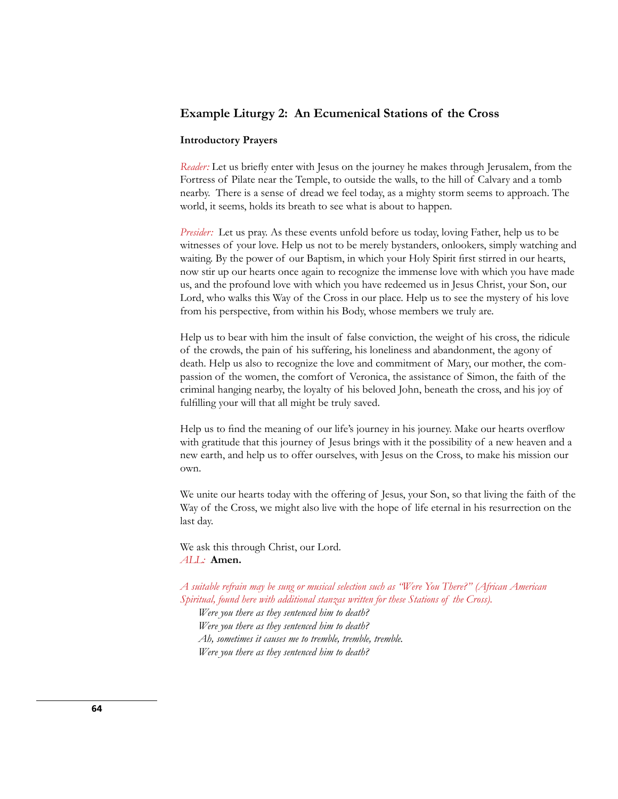# **Example Liturgy 2: An Ecumenical Stations of the Cross**

#### **Introductory Prayers**

*Reader:* Let us briefly enter with Jesus on the journey he makes through Jerusalem, from the Fortress of Pilate near the Temple, to outside the walls, to the hill of Calvary and a tomb nearby. There is a sense of dread we feel today, as a mighty storm seems to approach. The world, it seems, holds its breath to see what is about to happen.

*Presider:* Let us pray. As these events unfold before us today, loving Father, help us to be witnesses of your love. Help us not to be merely bystanders, onlookers, simply watching and waiting. By the power of our Baptism, in which your Holy Spirit first stirred in our hearts, now stir up our hearts once again to recognize the immense love with which you have made us, and the profound love with which you have redeemed us in Jesus Christ, your Son, our Lord, who walks this Way of the Cross in our place. Help us to see the mystery of his love from his perspective, from within his Body, whose members we truly are.

Help us to bear with him the insult of false conviction, the weight of his cross, the ridicule of the crowds, the pain of his suffering, his loneliness and abandonment, the agony of death. Help us also to recognize the love and commitment of Mary, our mother, the compassion of the women, the comfort of Veronica, the assistance of Simon, the faith of the criminal hanging nearby, the loyalty of his beloved John, beneath the cross, and his joy of fulfilling your will that all might be truly saved.

Help us to find the meaning of our life's journey in his journey. Make our hearts overflow with gratitude that this journey of Jesus brings with it the possibility of a new heaven and a new earth, and help us to offer ourselves, with Jesus on the Cross, to make his mission our own.

We unite our hearts today with the offering of Jesus, your Son, so that living the faith of the Way of the Cross, we might also live with the hope of life eternal in his resurrection on the last day.

We ask this through Christ, our Lord. *ALL:* **Amen.**

*A suitable refrain may be sung or musical selection such as "Were You There?" (African American Spiritual, found here with additional stanzas written for these Stations of the Cross).*

*Were you there as they sentenced him to death? Were you there as they sentenced him to death? Ah, sometimes it causes me to tremble, tremble, tremble. Were you there as they sentenced him to death?*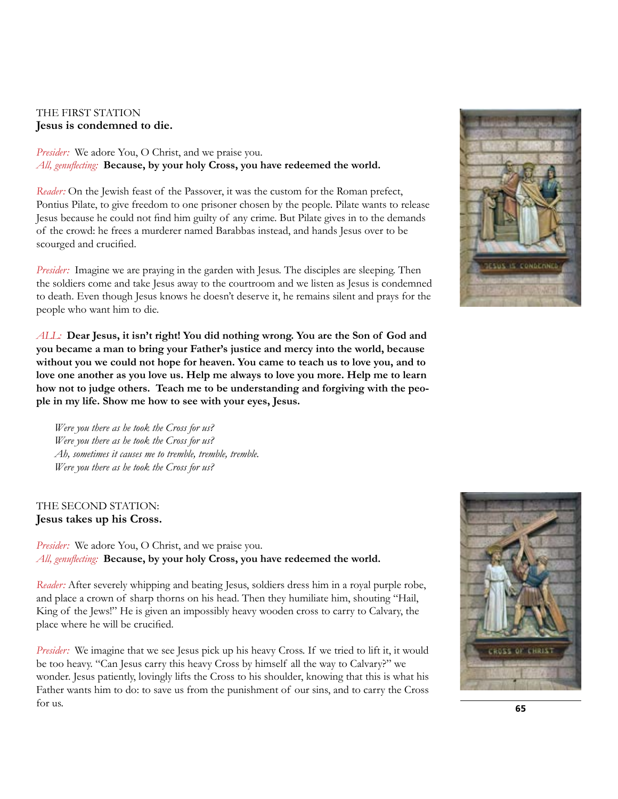# THE FIRST STATION **Jesus is condemned to die.**

*Presider:* We adore You, O Christ, and we praise you. *All, genuflecting:* **Because, by your holy Cross, you have redeemed the world.**

*Reader:* On the Jewish feast of the Passover, it was the custom for the Roman prefect, Pontius Pilate, to give freedom to one prisoner chosen by the people. Pilate wants to release Jesus because he could not find him guilty of any crime. But Pilate gives in to the demands of the crowd: he frees a murderer named Barabbas instead, and hands Jesus over to be scourged and crucified.

*Presider:* Imagine we are praying in the garden with Jesus. The disciples are sleeping. Then the soldiers come and take Jesus away to the courtroom and we listen as Jesus is condemned to death. Even though Jesus knows he doesn't deserve it, he remains silent and prays for the people who want him to die.

*ALL:* **Dear Jesus, it isn't right! You did nothing wrong. You are the Son of God and you became a man to bring your Father's justice and mercy into the world, because without you we could not hope for heaven. You came to teach us to love you, and to love one another as you love us. Help me always to love you more. Help me to learn how not to judge others. Teach me to be understanding and forgiving with the people in my life. Show me how to see with your eyes, Jesus.**

*Were you there as he took the Cross for us? Were you there as he took the Cross for us? Ah, sometimes it causes me to tremble, tremble, tremble. Were you there as he took the Cross for us?*

# THE SECOND STATION: **Jesus takes up his Cross.**

*Presider:* We adore You, O Christ, and we praise you. *All, genuflecting:* **Because, by your holy Cross, you have redeemed the world.**

*Reader:* After severely whipping and beating Jesus, soldiers dress him in a royal purple robe, and place a crown of sharp thorns on his head. Then they humiliate him, shouting "Hail, King of the Jews!" He is given an impossibly heavy wooden cross to carry to Calvary, the place where he will be crucified.

*Presider:* We imagine that we see Jesus pick up his heavy Cross. If we tried to lift it, it would be too heavy. "Can Jesus carry this heavy Cross by himself all the way to Calvary?" we wonder. Jesus patiently, lovingly lifts the Cross to his shoulder, knowing that this is what his Father wants him to do: to save us from the punishment of our sins, and to carry the Cross for us. **<sup>65</sup>**



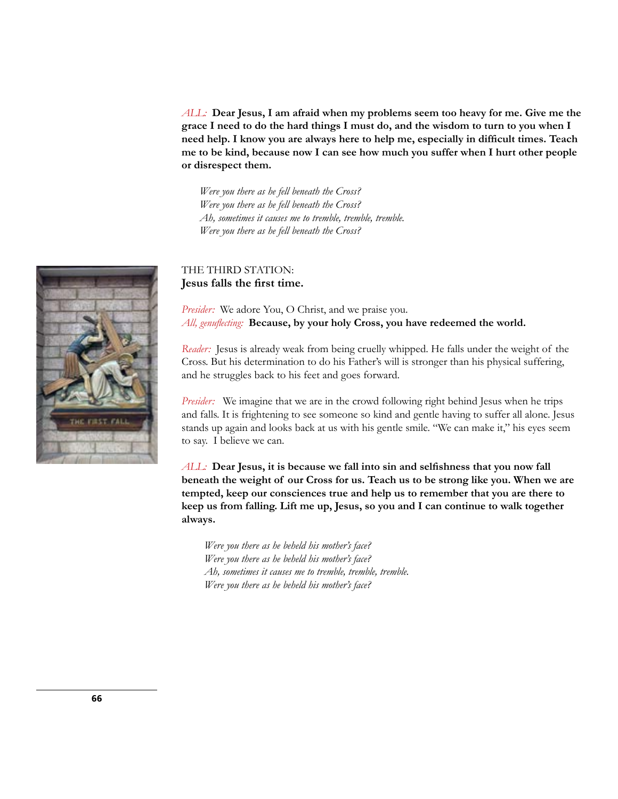*ALL:* **Dear Jesus, I am afraid when my problems seem too heavy for me. Give me the grace I need to do the hard things I must do, and the wisdom to turn to you when I need help. I know you are always here to help me, especially in difficult times. Teach me to be kind, because now I can see how much you suffer when I hurt other people or disrespect them.**

*Were you there as he fell beneath the Cross? Were you there as he fell beneath the Cross? Ah, sometimes it causes me to tremble, tremble, tremble. Were you there as he fell beneath the Cross?*

# THE THIRD STATION: **Jesus falls the first time.**

*Presider:* We adore You, O Christ, and we praise you. *All, genuflecting:* **Because, by your holy Cross, you have redeemed the world.**

*Reader:* Jesus is already weak from being cruelly whipped. He falls under the weight of the Cross. But his determination to do his Father's will is stronger than his physical suffering, and he struggles back to his feet and goes forward.

*Presider:* We imagine that we are in the crowd following right behind Jesus when he trips and falls. It is frightening to see someone so kind and gentle having to suffer all alone. Jesus stands up again and looks back at us with his gentle smile. "We can make it," his eyes seem to say. I believe we can.

*ALL:* **Dear Jesus, it is because we fall into sin and selfishness that you now fall beneath the weight of our Cross for us. Teach us to be strong like you. When we are tempted, keep our consciences true and help us to remember that you are there to keep us from falling. Lift me up, Jesus, so you and I can continue to walk together always.**

*Were you there as he beheld his mother's face? Were you there as he beheld his mother's face? Ah, sometimes it causes me to tremble, tremble, tremble. Were you there as he beheld his mother's face?*

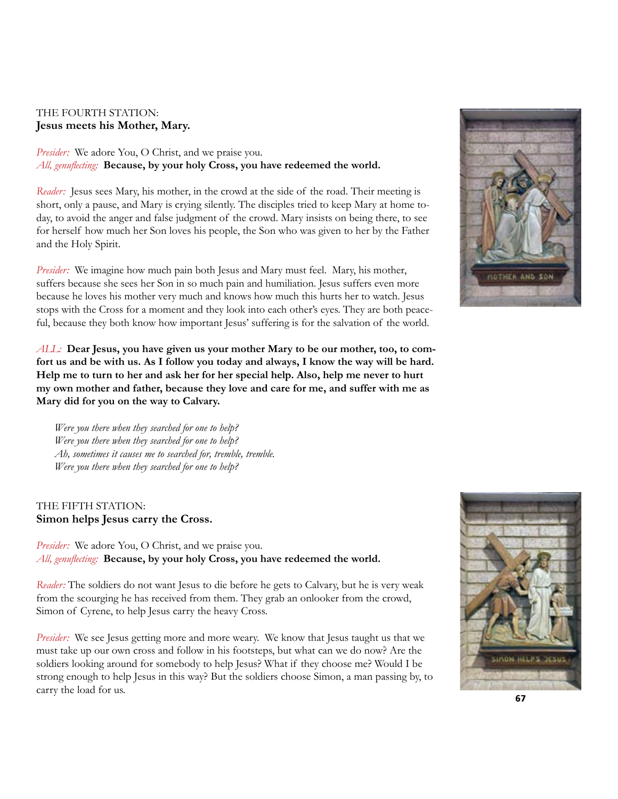# THE FOURTH STATION: **Jesus meets his Mother, Mary.**

*Presider:* We adore You, O Christ, and we praise you. *All, genuflecting:* **Because, by your holy Cross, you have redeemed the world.**

*Reader:* Jesus sees Mary, his mother, in the crowd at the side of the road. Their meeting is short, only a pause, and Mary is crying silently. The disciples tried to keep Mary at home today, to avoid the anger and false judgment of the crowd. Mary insists on being there, to see for herself how much her Son loves his people, the Son who was given to her by the Father and the Holy Spirit.

*Presider:* We imagine how much pain both Jesus and Mary must feel. Mary, his mother, suffers because she sees her Son in so much pain and humiliation. Jesus suffers even more because he loves his mother very much and knows how much this hurts her to watch. Jesus stops with the Cross for a moment and they look into each other's eyes. They are both peaceful, because they both know how important Jesus' suffering is for the salvation of the world.

*ALL:* **Dear Jesus, you have given us your mother Mary to be our mother, too, to comfort us and be with us. As I follow you today and always, I know the way will be hard. Help me to turn to her and ask her for her special help. Also, help me never to hurt my own mother and father, because they love and care for me, and suffer with me as Mary did for you on the way to Calvary.**

*Were you there when they searched for one to help? Were you there when they searched for one to help? Ah, sometimes it causes me to searched for, tremble, tremble. Were you there when they searched for one to help?*

# THE FIFTH STATION: **Simon helps Jesus carry the Cross.**

*Presider:* We adore You, O Christ, and we praise you. *All, genuflecting:* **Because, by your holy Cross, you have redeemed the world.**

*Reader:* The soldiers do not want Jesus to die before he gets to Calvary, but he is very weak from the scourging he has received from them. They grab an onlooker from the crowd, Simon of Cyrene, to help Jesus carry the heavy Cross.

*Presider:* We see Jesus getting more and more weary. We know that Jesus taught us that we must take up our own cross and follow in his footsteps, but what can we do now? Are the soldiers looking around for somebody to help Jesus? What if they choose me? Would I be strong enough to help Jesus in this way? But the soldiers choose Simon, a man passing by, to carry the load for us. **67**



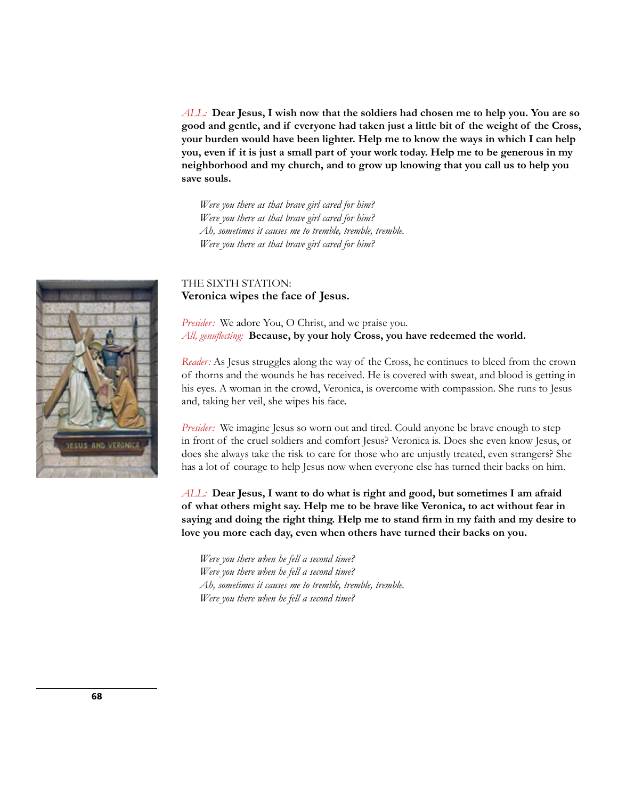*ALL:* **Dear Jesus, I wish now that the soldiers had chosen me to help you. You are so good and gentle, and if everyone had taken just a little bit of the weight of the Cross, your burden would have been lighter. Help me to know the ways in which I can help you, even if it is just a small part of your work today. Help me to be generous in my neighborhood and my church, and to grow up knowing that you call us to help you save souls.**

*Were you there as that brave girl cared for him? Were you there as that brave girl cared for him? Ah, sometimes it causes me to tremble, tremble, tremble. Were you there as that brave girl cared for him?*

# THE SIXTH STATION: **Veronica wipes the face of Jesus.**

*Presider:* We adore You, O Christ, and we praise you. *All, genuflecting:* **Because, by your holy Cross, you have redeemed the world.**

*Reader:* As Jesus struggles along the way of the Cross, he continues to bleed from the crown of thorns and the wounds he has received. He is covered with sweat, and blood is getting in his eyes. A woman in the crowd, Veronica, is overcome with compassion. She runs to Jesus and, taking her veil, she wipes his face.

*Presider:* We imagine Jesus so worn out and tired. Could anyone be brave enough to step in front of the cruel soldiers and comfort Jesus? Veronica is. Does she even know Jesus, or does she always take the risk to care for those who are unjustly treated, even strangers? She has a lot of courage to help Jesus now when everyone else has turned their backs on him.

*ALL:* **Dear Jesus, I want to do what is right and good, but sometimes I am afraid of what others might say. Help me to be brave like Veronica, to act without fear in saying and doing the right thing. Help me to stand firm in my faith and my desire to love you more each day, even when others have turned their backs on you.**

*Were you there when he fell a second time? Were you there when he fell a second time? Ah, sometimes it causes me to tremble, tremble, tremble. Were you there when he fell a second time?*

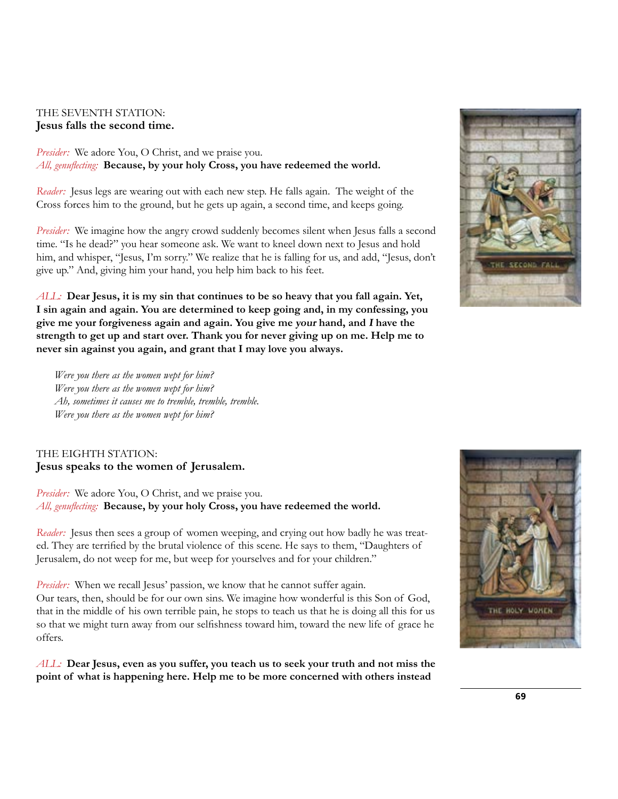# THE SEVENTH STATION: **Jesus falls the second time.**

*Presider:* We adore You, O Christ, and we praise you. *All, genuflecting:* **Because, by your holy Cross, you have redeemed the world.**

*Reader:* Jesus legs are wearing out with each new step. He falls again. The weight of the Cross forces him to the ground, but he gets up again, a second time, and keeps going.

*Presider:* We imagine how the angry crowd suddenly becomes silent when Jesus falls a second time. "Is he dead?" you hear someone ask. We want to kneel down next to Jesus and hold him, and whisper, "Jesus, I'm sorry." We realize that he is falling for us, and add, "Jesus, don't give up." And, giving him your hand, you help him back to his feet.

*ALL:* **Dear Jesus, it is my sin that continues to be so heavy that you fall again. Yet, I sin again and again. You are determined to keep going and, in my confessing, you give me your forgiveness again and again. You give me your hand, and I have the strength to get up and start over. Thank you for never giving up on me. Help me to never sin against you again, and grant that I may love you always.**

*Were you there as the women wept for him? Were you there as the women wept for him? Ah, sometimes it causes me to tremble, tremble, tremble. Were you there as the women wept for him?*

# THE EIGHTH STATION: **Jesus speaks to the women of Jerusalem.**

*Presider:* We adore You, O Christ, and we praise you. *All, genuflecting:* **Because, by your holy Cross, you have redeemed the world.**

*Reader:* Jesus then sees a group of women weeping, and crying out how badly he was treated. They are terrified by the brutal violence of this scene. He says to them, "Daughters of Jerusalem, do not weep for me, but weep for yourselves and for your children."

*Presider:* When we recall Jesus' passion, we know that he cannot suffer again. Our tears, then, should be for our own sins. We imagine how wonderful is this Son of God, that in the middle of his own terrible pain, he stops to teach us that he is doing all this for us so that we might turn away from our selfishness toward him, toward the new life of grace he offers.

*ALL:* **Dear Jesus, even as you suffer, you teach us to seek your truth and not miss the point of what is happening here. Help me to be more concerned with others instead** 



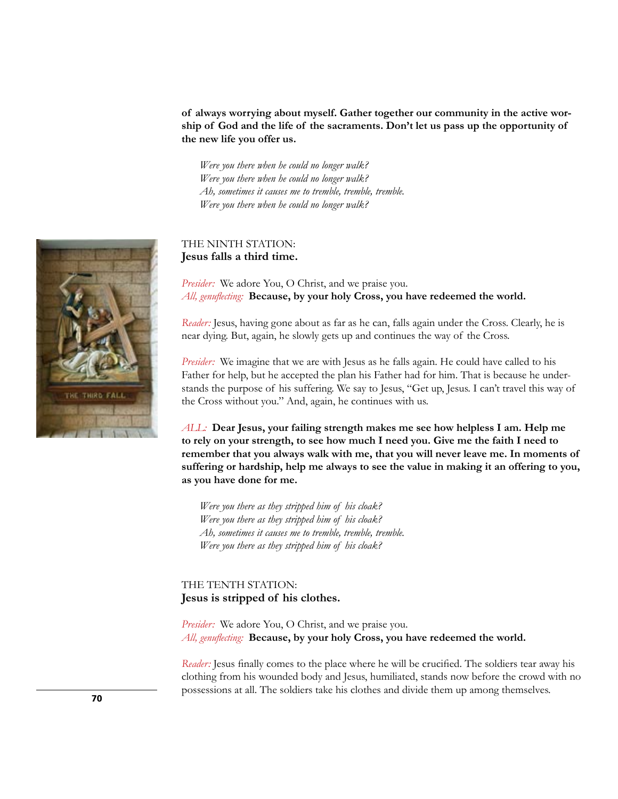**of always worrying about myself. Gather together our community in the active worship of God and the life of the sacraments. Don't let us pass up the opportunity of the new life you offer us.**

*Were you there when he could no longer walk? Were you there when he could no longer walk? Ah, sometimes it causes me to tremble, tremble, tremble. Were you there when he could no longer walk?*

# THE NINTH STATION: **Jesus falls a third time.**

*Presider:* We adore You, O Christ, and we praise you. *All, genuflecting:* **Because, by your holy Cross, you have redeemed the world.**

*Reader:* Jesus, having gone about as far as he can, falls again under the Cross. Clearly, he is near dying. But, again, he slowly gets up and continues the way of the Cross.

*Presider:* We imagine that we are with Jesus as he falls again. He could have called to his Father for help, but he accepted the plan his Father had for him. That is because he understands the purpose of his suffering. We say to Jesus, "Get up, Jesus. I can't travel this way of the Cross without you." And, again, he continues with us.

*ALL:* **Dear Jesus, your failing strength makes me see how helpless I am. Help me to rely on your strength, to see how much I need you. Give me the faith I need to remember that you always walk with me, that you will never leave me. In moments of suffering or hardship, help me always to see the value in making it an offering to you, as you have done for me.**

*Were you there as they stripped him of his cloak? Were you there as they stripped him of his cloak? Ah, sometimes it causes me to tremble, tremble, tremble. Were you there as they stripped him of his cloak?*

# THE TENTH STATION: **Jesus is stripped of his clothes.**

*Presider:* We adore You, O Christ, and we praise you. *All, genuflecting:* **Because, by your holy Cross, you have redeemed the world.**

*Reader:* Jesus finally comes to the place where he will be crucified. The soldiers tear away his clothing from his wounded body and Jesus, humiliated, stands now before the crowd with no possessions at all. The soldiers take his clothes and divide them up among themselves.

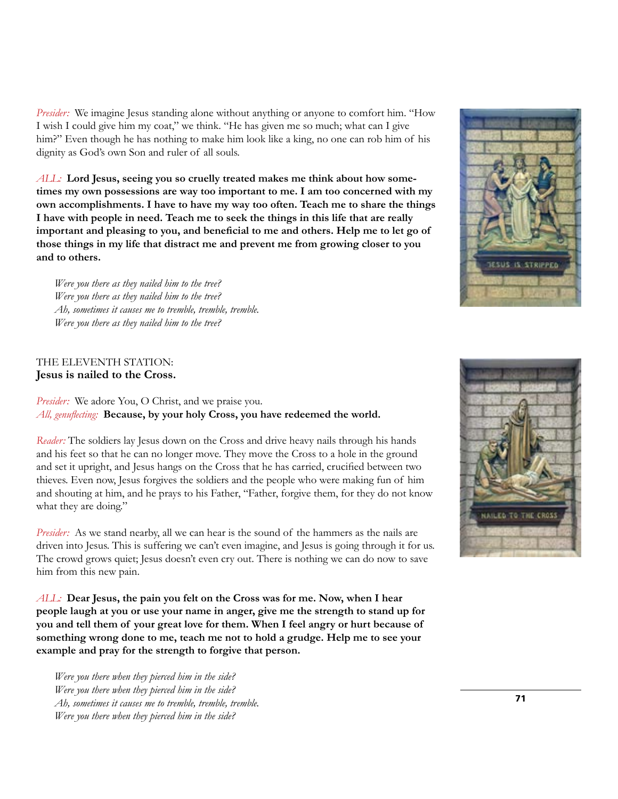*Presider:* We imagine Jesus standing alone without anything or anyone to comfort him. "How I wish I could give him my coat," we think. "He has given me so much; what can I give him?" Even though he has nothing to make him look like a king, no one can rob him of his dignity as God's own Son and ruler of all souls.

*ALL:* **Lord Jesus, seeing you so cruelly treated makes me think about how sometimes my own possessions are way too important to me. I am too concerned with my own accomplishments. I have to have my way too often. Teach me to share the things I have with people in need. Teach me to seek the things in this life that are really important and pleasing to you, and beneficial to me and others. Help me to let go of those things in my life that distract me and prevent me from growing closer to you and to others.**

*Were you there as they nailed him to the tree? Were you there as they nailed him to the tree? Ah, sometimes it causes me to tremble, tremble, tremble. Were you there as they nailed him to the tree?*

## THE ELEVENTH STATION: **Jesus is nailed to the Cross.**

*Presider:* We adore You, O Christ, and we praise you. *All, genuflecting:* **Because, by your holy Cross, you have redeemed the world.**

*Reader:* The soldiers lay Jesus down on the Cross and drive heavy nails through his hands and his feet so that he can no longer move. They move the Cross to a hole in the ground and set it upright, and Jesus hangs on the Cross that he has carried, crucified between two thieves. Even now, Jesus forgives the soldiers and the people who were making fun of him and shouting at him, and he prays to his Father, "Father, forgive them, for they do not know what they are doing."

*Presider:* As we stand nearby, all we can hear is the sound of the hammers as the nails are driven into Jesus. This is suffering we can't even imagine, and Jesus is going through it for us. The crowd grows quiet; Jesus doesn't even cry out. There is nothing we can do now to save him from this new pain.

*ALL:* **Dear Jesus, the pain you felt on the Cross was for me. Now, when I hear people laugh at you or use your name in anger, give me the strength to stand up for you and tell them of your great love for them. When I feel angry or hurt because of something wrong done to me, teach me not to hold a grudge. Help me to see your example and pray for the strength to forgive that person.**

*Were you there when they pierced him in the side? Were you there when they pierced him in the side? Ah, sometimes it causes me to tremble, tremble, tremble. Were you there when they pierced him in the side?*



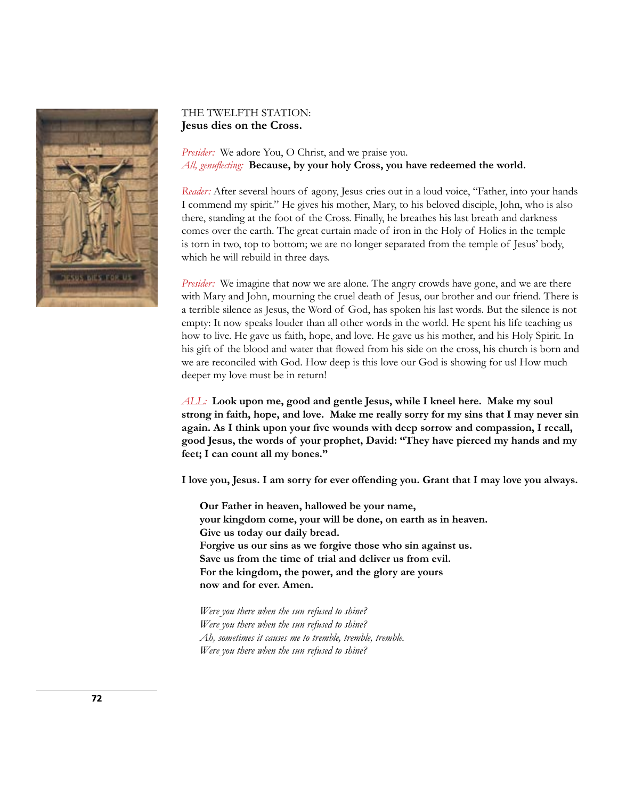

## THE TWELFTH STATION: **Jesus dies on the Cross.**

*Presider:* We adore You, O Christ, and we praise you. *All, genuflecting:* **Because, by your holy Cross, you have redeemed the world.**

*Reader:* After several hours of agony, Jesus cries out in a loud voice, "Father, into your hands I commend my spirit." He gives his mother, Mary, to his beloved disciple, John, who is also there, standing at the foot of the Cross. Finally, he breathes his last breath and darkness comes over the earth. The great curtain made of iron in the Holy of Holies in the temple is torn in two, top to bottom; we are no longer separated from the temple of Jesus' body, which he will rebuild in three days.

*Presider:* We imagine that now we are alone. The angry crowds have gone, and we are there with Mary and John, mourning the cruel death of Jesus, our brother and our friend. There is a terrible silence as Jesus, the Word of God, has spoken his last words. But the silence is not empty: It now speaks louder than all other words in the world. He spent his life teaching us how to live. He gave us faith, hope, and love. He gave us his mother, and his Holy Spirit. In his gift of the blood and water that flowed from his side on the cross, his church is born and we are reconciled with God. How deep is this love our God is showing for us! How much deeper my love must be in return!

*ALL:* **Look upon me, good and gentle Jesus, while I kneel here. Make my soul strong in faith, hope, and love. Make me really sorry for my sins that I may never sin again. As I think upon your five wounds with deep sorrow and compassion, I recall, good Jesus, the words of your prophet, David: "They have pierced my hands and my feet; I can count all my bones."**

**I love you, Jesus. I am sorry for ever offending you. Grant that I may love you always.**

**Our Father in heaven, hallowed be your name, your kingdom come, your will be done, on earth as in heaven. Give us today our daily bread. Forgive us our sins as we forgive those who sin against us. Save us from the time of trial and deliver us from evil. For the kingdom, the power, and the glory are yours now and for ever. Amen.** 

*Were you there when the sun refused to shine? Were you there when the sun refused to shine? Ah, sometimes it causes me to tremble, tremble, tremble. Were you there when the sun refused to shine?*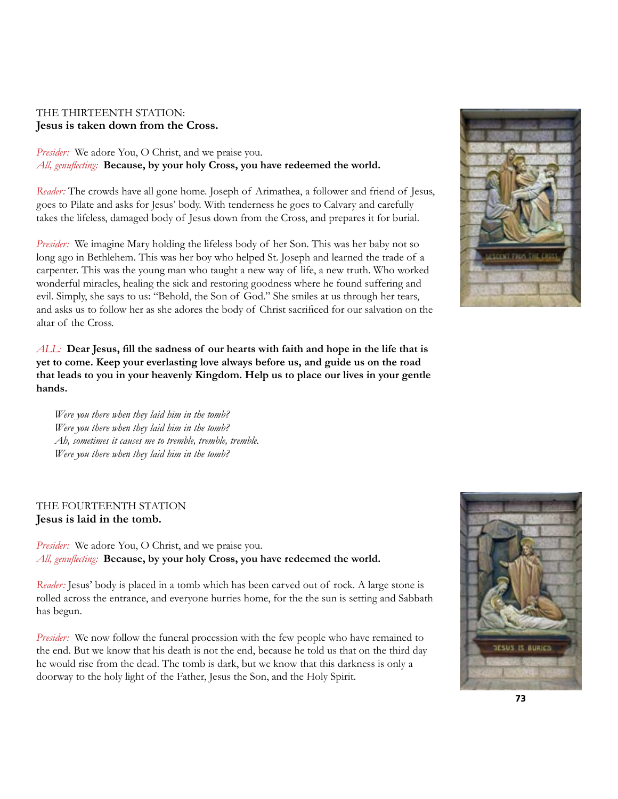## THE THIRTEENTH STATION: **Jesus is taken down from the Cross.**

*Presider:* We adore You, O Christ, and we praise you. *All, genuflecting:* **Because, by your holy Cross, you have redeemed the world.**

*Reader:* The crowds have all gone home. Joseph of Arimathea, a follower and friend of Jesus, goes to Pilate and asks for Jesus' body. With tenderness he goes to Calvary and carefully takes the lifeless, damaged body of Jesus down from the Cross, and prepares it for burial.

*Presider:* We imagine Mary holding the lifeless body of her Son. This was her baby not so long ago in Bethlehem. This was her boy who helped St. Joseph and learned the trade of a carpenter. This was the young man who taught a new way of life, a new truth. Who worked wonderful miracles, healing the sick and restoring goodness where he found suffering and evil. Simply, she says to us: "Behold, the Son of God." She smiles at us through her tears, and asks us to follow her as she adores the body of Christ sacrificed for our salvation on the altar of the Cross.

*ALL:* **Dear Jesus, fill the sadness of our hearts with faith and hope in the life that is yet to come. Keep your everlasting love always before us, and guide us on the road that leads to you in your heavenly Kingdom. Help us to place our lives in your gentle hands.**

*Were you there when they laid him in the tomb? Were you there when they laid him in the tomb? Ah, sometimes it causes me to tremble, tremble, tremble. Were you there when they laid him in the tomb?*

## THE FOURTEENTH STATION **Jesus is laid in the tomb.**

*Presider:* We adore You, O Christ, and we praise you. *All, genuflecting:* **Because, by your holy Cross, you have redeemed the world.**

*Reader:* Jesus' body is placed in a tomb which has been carved out of rock. A large stone is rolled across the entrance, and everyone hurries home, for the the sun is setting and Sabbath has begun.

*Presider:* We now follow the funeral procession with the few people who have remained to the end. But we know that his death is not the end, because he told us that on the third day he would rise from the dead. The tomb is dark, but we know that this darkness is only a doorway to the holy light of the Father, Jesus the Son, and the Holy Spirit.



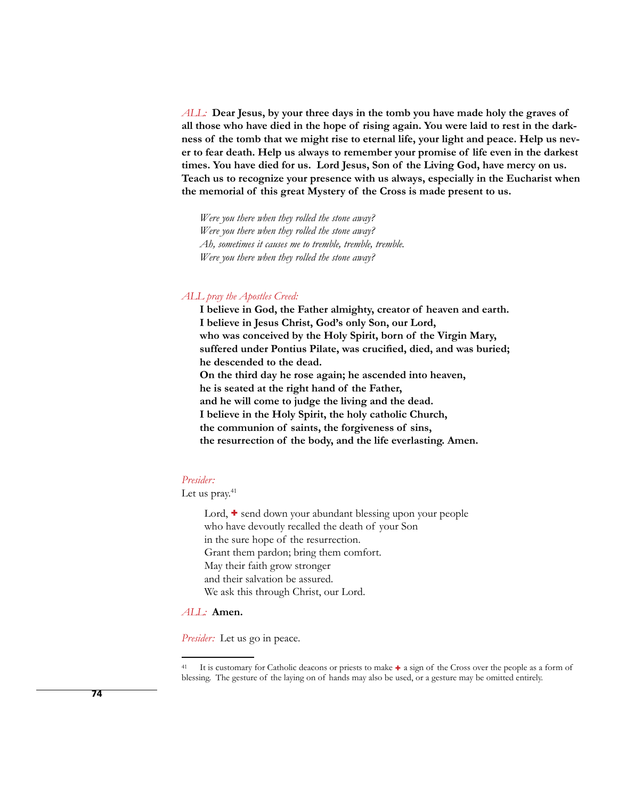*ALL:* **Dear Jesus, by your three days in the tomb you have made holy the graves of all those who have died in the hope of rising again. You were laid to rest in the darkness of the tomb that we might rise to eternal life, your light and peace. Help us never to fear death. Help us always to remember your promise of life even in the darkest times. You have died for us. Lord Jesus, Son of the Living God, have mercy on us. Teach us to recognize your presence with us always, especially in the Eucharist when the memorial of this great Mystery of the Cross is made present to us.**

*Were you there when they rolled the stone away? Were you there when they rolled the stone away? Ah, sometimes it causes me to tremble, tremble, tremble. Were you there when they rolled the stone away?*

## *ALL pray the Apostles Creed:*

**I believe in God, the Father almighty, creator of heaven and earth. I believe in Jesus Christ, God's only Son, our Lord, who was conceived by the Holy Spirit, born of the Virgin Mary, suffered under Pontius Pilate, was crucified, died, and was buried; he descended to the dead. On the third day he rose again; he ascended into heaven, he is seated at the right hand of the Father, and he will come to judge the living and the dead. I believe in the Holy Spirit, the holy catholic Church, the communion of saints, the forgiveness of sins, the resurrection of the body, and the life everlasting. Amen.** 

*Presider:* 

Let us pray. $41$ 

Lord,  $\div$  send down your abundant blessing upon your people who have devoutly recalled the death of your Son in the sure hope of the resurrection. Grant them pardon; bring them comfort. May their faith grow stronger and their salvation be assured. We ask this through Christ, our Lord.

## *ALL:* **Amen.**

*Presider:* Let us go in peace.

<sup>&</sup>lt;sup>41</sup> It is customary for Catholic deacons or priests to make **+** a sign of the Cross over the people as a form of blessing. The gesture of the laying on of hands may also be used, or a gesture may be omitted entirely.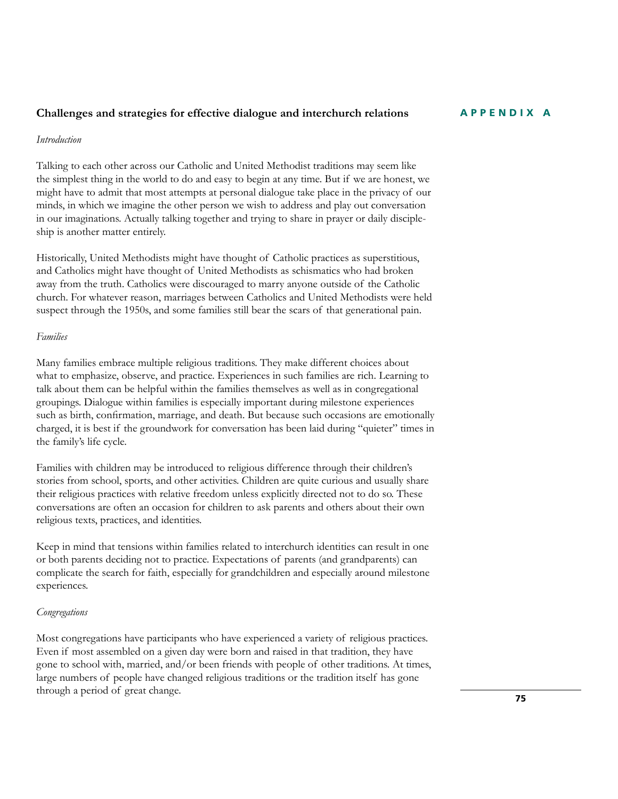## **Challenges and strategies for effective dialogue and interchurch relations**

## *Introduction*

Talking to each other across our Catholic and United Methodist traditions may seem like the simplest thing in the world to do and easy to begin at any time. But if we are honest, we might have to admit that most attempts at personal dialogue take place in the privacy of our minds, in which we imagine the other person we wish to address and play out conversation in our imaginations. Actually talking together and trying to share in prayer or daily discipleship is another matter entirely.

Historically, United Methodists might have thought of Catholic practices as superstitious, and Catholics might have thought of United Methodists as schismatics who had broken away from the truth. Catholics were discouraged to marry anyone outside of the Catholic church. For whatever reason, marriages between Catholics and United Methodists were held suspect through the 1950s, and some families still bear the scars of that generational pain.

## *Families*

Many families embrace multiple religious traditions. They make different choices about what to emphasize, observe, and practice. Experiences in such families are rich. Learning to talk about them can be helpful within the families themselves as well as in congregational groupings. Dialogue within families is especially important during milestone experiences such as birth, confirmation, marriage, and death. But because such occasions are emotionally charged, it is best if the groundwork for conversation has been laid during "quieter" times in the family's life cycle.

Families with children may be introduced to religious difference through their children's stories from school, sports, and other activities. Children are quite curious and usually share their religious practices with relative freedom unless explicitly directed not to do so. These conversations are often an occasion for children to ask parents and others about their own religious texts, practices, and identities.

Keep in mind that tensions within families related to interchurch identities can result in one or both parents deciding not to practice. Expectations of parents (and grandparents) can complicate the search for faith, especially for grandchildren and especially around milestone experiences.

### *Congregations*

Most congregations have participants who have experienced a variety of religious practices. Even if most assembled on a given day were born and raised in that tradition, they have gone to school with, married, and/or been friends with people of other traditions. At times, large numbers of people have changed religious traditions or the tradition itself has gone through a period of great change.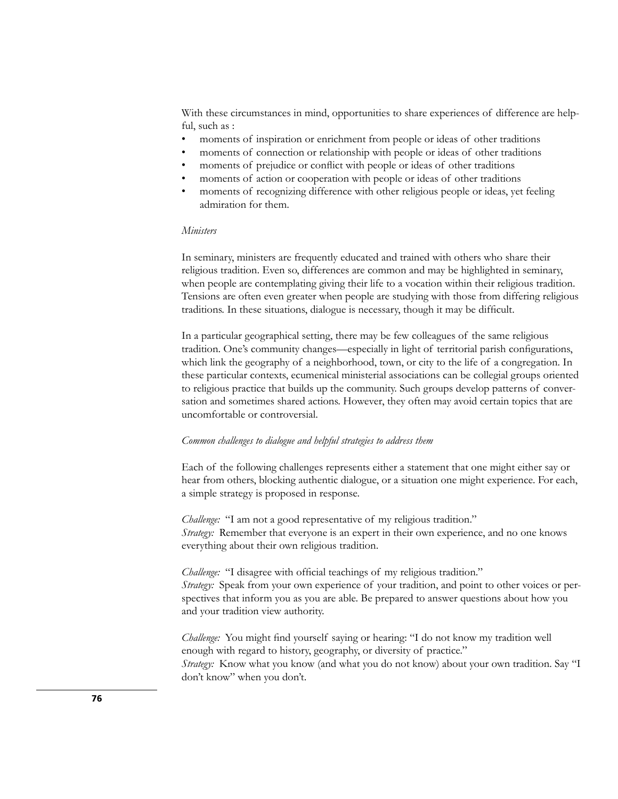With these circumstances in mind, opportunities to share experiences of difference are helpful, such as :

- moments of inspiration or enrichment from people or ideas of other traditions
- moments of connection or relationship with people or ideas of other traditions
- moments of prejudice or conflict with people or ideas of other traditions
- moments of action or cooperation with people or ideas of other traditions
- moments of recognizing difference with other religious people or ideas, yet feeling admiration for them.

#### *Ministers*

In seminary, ministers are frequently educated and trained with others who share their religious tradition. Even so, differences are common and may be highlighted in seminary, when people are contemplating giving their life to a vocation within their religious tradition. Tensions are often even greater when people are studying with those from differing religious traditions. In these situations, dialogue is necessary, though it may be difficult.

In a particular geographical setting, there may be few colleagues of the same religious tradition. One's community changes—especially in light of territorial parish configurations, which link the geography of a neighborhood, town, or city to the life of a congregation. In these particular contexts, ecumenical ministerial associations can be collegial groups oriented to religious practice that builds up the community. Such groups develop patterns of conversation and sometimes shared actions. However, they often may avoid certain topics that are uncomfortable or controversial.

## *Common challenges to dialogue and helpful strategies to address them*

Each of the following challenges represents either a statement that one might either say or hear from others, blocking authentic dialogue, or a situation one might experience. For each, a simple strategy is proposed in response.

*Challenge:* "I am not a good representative of my religious tradition." *Strategy:* Remember that everyone is an expert in their own experience, and no one knows everything about their own religious tradition.

*Challenge:* "I disagree with official teachings of my religious tradition." *Strategy:* Speak from your own experience of your tradition, and point to other voices or perspectives that inform you as you are able. Be prepared to answer questions about how you and your tradition view authority.

*Challenge:* You might find yourself saying or hearing: "I do not know my tradition well enough with regard to history, geography, or diversity of practice." *Strategy:* Know what you know (and what you do not know) about your own tradition. Say "I don't know" when you don't.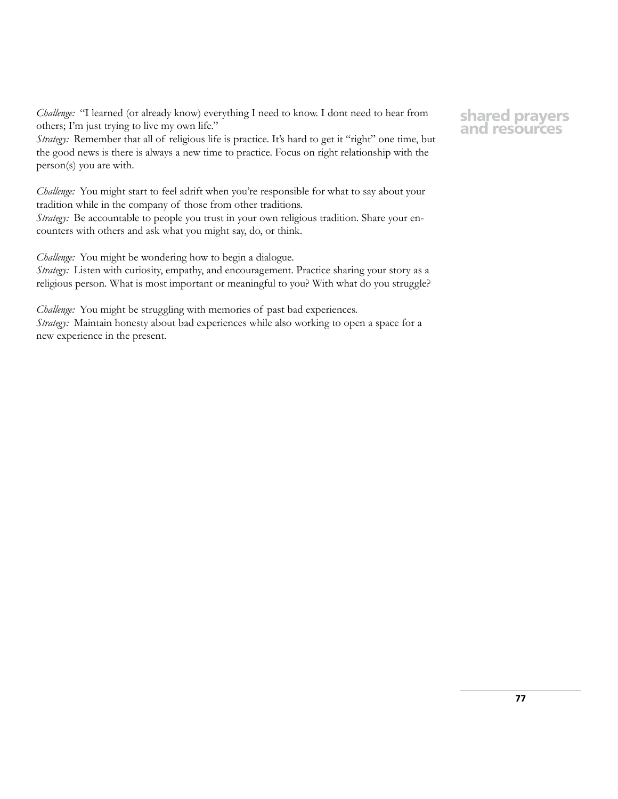*Challenge:* "I learned (or already know) everything I need to know. I dont need to hear from others; I'm just trying to live my own life."

*Strategy:* Remember that all of religious life is practice. It's hard to get it "right" one time, but the good news is there is always a new time to practice. Focus on right relationship with the person(s) you are with.

*Challenge:* You might start to feel adrift when you're responsible for what to say about your tradition while in the company of those from other traditions. *Strategy:* Be accountable to people you trust in your own religious tradition. Share your encounters with others and ask what you might say, do, or think.

*Challenge:* You might be wondering how to begin a dialogue.

*Strategy:* Listen with curiosity, empathy, and encouragement. Practice sharing your story as a religious person. What is most important or meaningful to you? With what do you struggle?

*Challenge:* You might be struggling with memories of past bad experiences. *Strategy:* Maintain honesty about bad experiences while also working to open a space for a new experience in the present.

## **shared prayers and resources**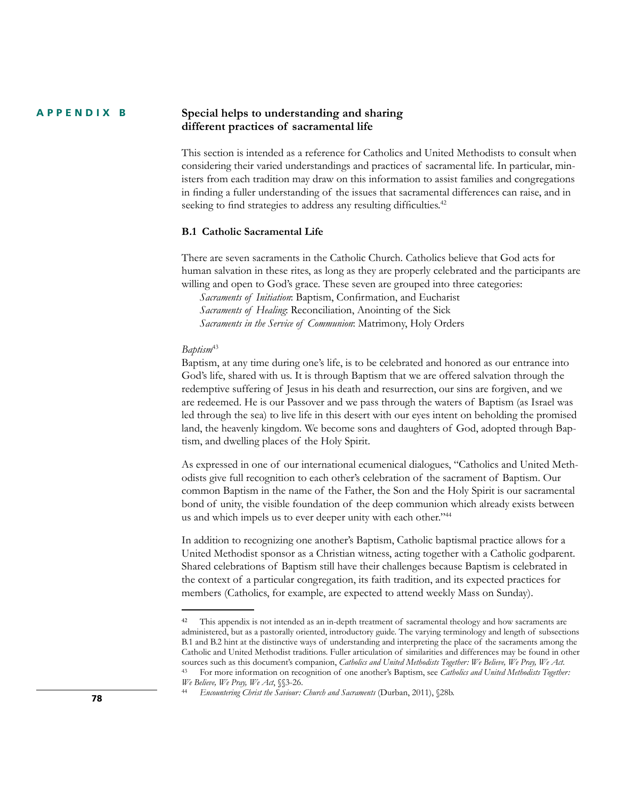#### **Special helps to understanding and sharing different practices of sacramental life APPENDIX B**

This section is intended as a reference for Catholics and United Methodists to consult when considering their varied understandings and practices of sacramental life. In particular, ministers from each tradition may draw on this information to assist families and congregations in finding a fuller understanding of the issues that sacramental differences can raise, and in seeking to find strategies to address any resulting difficulties.<sup>42</sup>

## **B.1 Catholic Sacramental Life**

There are seven sacraments in the Catholic Church. Catholics believe that God acts for human salvation in these rites, as long as they are properly celebrated and the participants are willing and open to God's grace. These seven are grouped into three categories:

*Sacraments of Initiation*: Baptism, Confirmation, and Eucharist *Sacraments of Healing*: Reconciliation, Anointing of the Sick *Sacraments in the Service of Communion*: Matrimony, Holy Orders

### *Baptism*<sup>43</sup>

Baptism, at any time during one's life, is to be celebrated and honored as our entrance into God's life, shared with us. It is through Baptism that we are offered salvation through the redemptive suffering of Jesus in his death and resurrection, our sins are forgiven, and we are redeemed. He is our Passover and we pass through the waters of Baptism (as Israel was led through the sea) to live life in this desert with our eyes intent on beholding the promised land, the heavenly kingdom. We become sons and daughters of God, adopted through Baptism, and dwelling places of the Holy Spirit.

As expressed in one of our international ecumenical dialogues, "Catholics and United Methodists give full recognition to each other's celebration of the sacrament of Baptism. Our common Baptism in the name of the Father, the Son and the Holy Spirit is our sacramental bond of unity, the visible foundation of the deep communion which already exists between us and which impels us to ever deeper unity with each other."<sup>44</sup>

In addition to recognizing one another's Baptism, Catholic baptismal practice allows for a United Methodist sponsor as a Christian witness, acting together with a Catholic godparent. Shared celebrations of Baptism still have their challenges because Baptism is celebrated in the context of a particular congregation, its faith tradition, and its expected practices for members (Catholics, for example, are expected to attend weekly Mass on Sunday).

<sup>&</sup>lt;sup>42</sup> This appendix is not intended as an in-depth treatment of sacramental theology and how sacraments are administered, but as a pastorally oriented, introductory guide. The varying terminology and length of subsections B.1 and B.2 hint at the distinctive ways of understanding and interpreting the place of the sacraments among the Catholic and United Methodist traditions. Fuller articulation of similarities and differences may be found in other sources such as this document's companion, *Catholics and United Methodists Together: We Believe, We Pray, We Act*. <sup>43</sup> For more information on recognition of one another's Baptism, see *Catholics and United Methodists Together: We Believe, We Pray, We Act*, §§3-26.

<sup>44</sup> *Encountering Christ the Saviour: Church and Sacraments* (Durban, 2011), §28b. **<sup>78</sup>**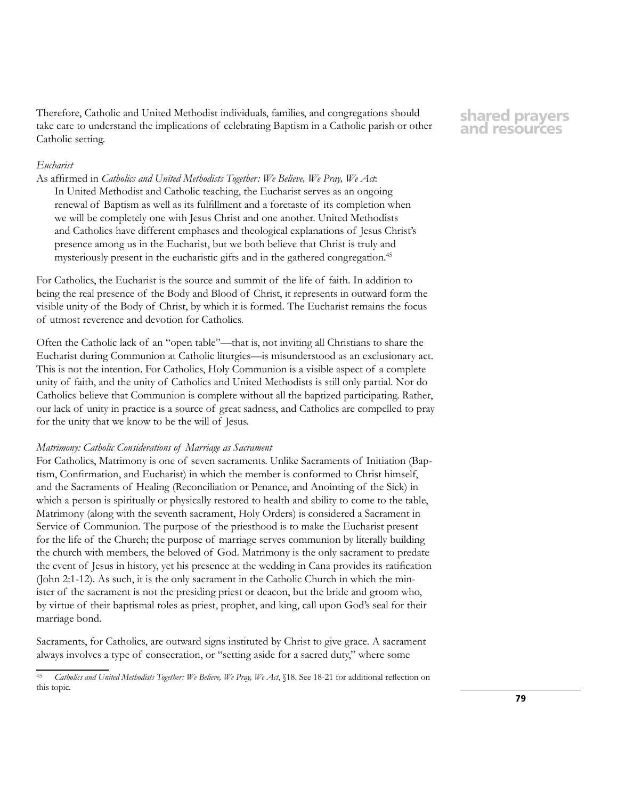Therefore, Catholic and United Methodist individuals, families, and congregations should take care to understand the implications of celebrating Baptism in a Catholic parish or other Catholic setting.

## **shared prayers and resources**

## *Eucharist*

As affirmed in *Catholics and United Methodists Together: We Believe, We Pray, We Act*: In United Methodist and Catholic teaching, the Eucharist serves as an ongoing renewal of Baptism as well as its fulfillment and a foretaste of its completion when we will be completely one with Jesus Christ and one another. United Methodists and Catholics have different emphases and theological explanations of Jesus Christ's presence among us in the Eucharist, but we both believe that Christ is truly and mysteriously present in the eucharistic gifts and in the gathered congregation.45

For Catholics, the Eucharist is the source and summit of the life of faith. In addition to being the real presence of the Body and Blood of Christ, it represents in outward form the visible unity of the Body of Christ, by which it is formed. The Eucharist remains the focus of utmost reverence and devotion for Catholics.

Often the Catholic lack of an "open table"—that is, not inviting all Christians to share the Eucharist during Communion at Catholic liturgies—is misunderstood as an exclusionary act. This is not the intention. For Catholics, Holy Communion is a visible aspect of a complete unity of faith, and the unity of Catholics and United Methodists is still only partial. Nor do Catholics believe that Communion is complete without all the baptized participating. Rather, our lack of unity in practice is a source of great sadness, and Catholics are compelled to pray for the unity that we know to be the will of Jesus.

## *Matrimony: Catholic Considerations of Marriage as Sacrament*

For Catholics, Matrimony is one of seven sacraments. Unlike Sacraments of Initiation (Baptism, Confirmation, and Eucharist) in which the member is conformed to Christ himself, and the Sacraments of Healing (Reconciliation or Penance, and Anointing of the Sick) in which a person is spiritually or physically restored to health and ability to come to the table, Matrimony (along with the seventh sacrament, Holy Orders) is considered a Sacrament in Service of Communion. The purpose of the priesthood is to make the Eucharist present for the life of the Church; the purpose of marriage serves communion by literally building the church with members, the beloved of God. Matrimony is the only sacrament to predate the event of Jesus in history, yet his presence at the wedding in Cana provides its ratification (John 2:1-12). As such, it is the only sacrament in the Catholic Church in which the minister of the sacrament is not the presiding priest or deacon, but the bride and groom who, by virtue of their baptismal roles as priest, prophet, and king, call upon God's seal for their marriage bond.

Sacraments, for Catholics, are outward signs instituted by Christ to give grace. A sacrament always involves a type of consecration, or "setting aside for a sacred duty," where some

<sup>45</sup> *Catholics and United Methodists Together: We Believe, We Pray, We Act*, §18. See 18-21 for additional reflection on this topic.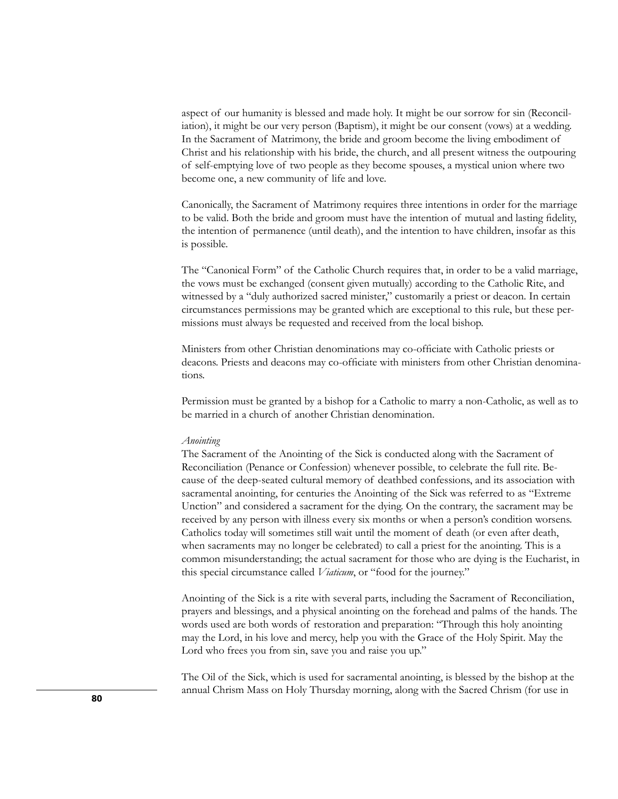aspect of our humanity is blessed and made holy. It might be our sorrow for sin (Reconciliation), it might be our very person (Baptism), it might be our consent (vows) at a wedding. In the Sacrament of Matrimony, the bride and groom become the living embodiment of Christ and his relationship with his bride, the church, and all present witness the outpouring of self-emptying love of two people as they become spouses, a mystical union where two become one, a new community of life and love.

Canonically, the Sacrament of Matrimony requires three intentions in order for the marriage to be valid. Both the bride and groom must have the intention of mutual and lasting fidelity, the intention of permanence (until death), and the intention to have children, insofar as this is possible.

The "Canonical Form" of the Catholic Church requires that, in order to be a valid marriage, the vows must be exchanged (consent given mutually) according to the Catholic Rite, and witnessed by a "duly authorized sacred minister," customarily a priest or deacon. In certain circumstances permissions may be granted which are exceptional to this rule, but these permissions must always be requested and received from the local bishop.

Ministers from other Christian denominations may co-officiate with Catholic priests or deacons. Priests and deacons may co-officiate with ministers from other Christian denominations.

Permission must be granted by a bishop for a Catholic to marry a non-Catholic, as well as to be married in a church of another Christian denomination.

#### *Anointing*

The Sacrament of the Anointing of the Sick is conducted along with the Sacrament of Reconciliation (Penance or Confession) whenever possible, to celebrate the full rite. Because of the deep-seated cultural memory of deathbed confessions, and its association with sacramental anointing, for centuries the Anointing of the Sick was referred to as "Extreme Unction" and considered a sacrament for the dying. On the contrary, the sacrament may be received by any person with illness every six months or when a person's condition worsens. Catholics today will sometimes still wait until the moment of death (or even after death, when sacraments may no longer be celebrated) to call a priest for the anointing. This is a common misunderstanding; the actual sacrament for those who are dying is the Eucharist, in this special circumstance called *Viaticum*, or "food for the journey."

Anointing of the Sick is a rite with several parts, including the Sacrament of Reconciliation, prayers and blessings, and a physical anointing on the forehead and palms of the hands. The words used are both words of restoration and preparation: "Through this holy anointing may the Lord, in his love and mercy, help you with the Grace of the Holy Spirit. May the Lord who frees you from sin, save you and raise you up."

The Oil of the Sick, which is used for sacramental anointing, is blessed by the bishop at the annual Chrism Mass on Holy Thursday morning, along with the Sacred Chrism (for use in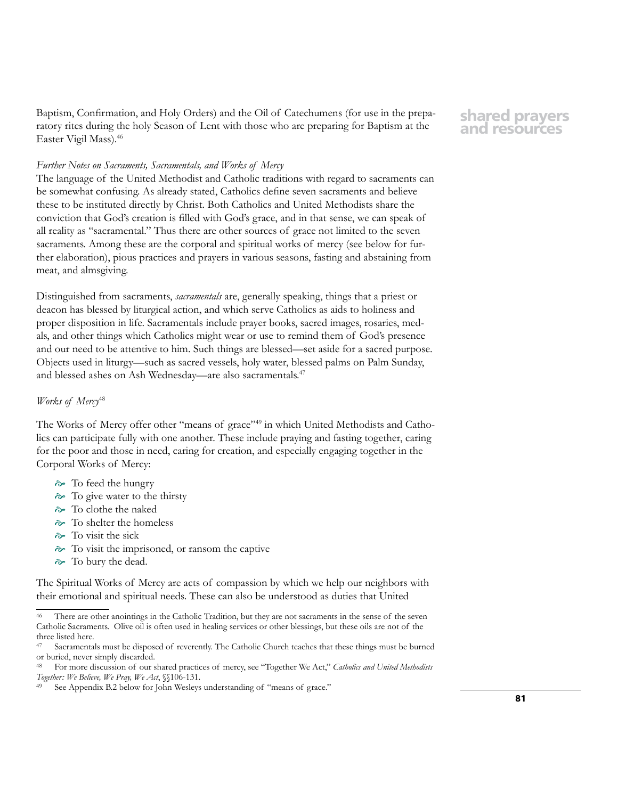Baptism, Confirmation, and Holy Orders) and the Oil of Catechumens (for use in the preparatory rites during the holy Season of Lent with those who are preparing for Baptism at the Easter Vigil Mass).46

# **shared prayers and resources**

## *Further Notes on Sacraments, Sacramentals, and Works of Mercy*

The language of the United Methodist and Catholic traditions with regard to sacraments can be somewhat confusing. As already stated, Catholics define seven sacraments and believe these to be instituted directly by Christ. Both Catholics and United Methodists share the conviction that God's creation is filled with God's grace, and in that sense, we can speak of all reality as "sacramental." Thus there are other sources of grace not limited to the seven sacraments. Among these are the corporal and spiritual works of mercy (see below for further elaboration), pious practices and prayers in various seasons, fasting and abstaining from meat, and almsgiving.

Distinguished from sacraments, *sacramentals* are, generally speaking, things that a priest or deacon has blessed by liturgical action, and which serve Catholics as aids to holiness and proper disposition in life. Sacramentals include prayer books, sacred images, rosaries, medals, and other things which Catholics might wear or use to remind them of God's presence and our need to be attentive to him. Such things are blessed—set aside for a sacred purpose. Objects used in liturgy—such as sacred vessels, holy water, blessed palms on Palm Sunday, and blessed ashes on Ash Wednesday—are also sacramentals.47

## *Works of Mercy*<sup>48</sup>

The Works of Mercy offer other "means of grace"<sup>49</sup> in which United Methodists and Catholics can participate fully with one another. These include praying and fasting together, caring for the poor and those in need, caring for creation, and especially engaging together in the Corporal Works of Mercy:

- $\approx$  To feed the hungry
- $\approx$  To give water to the thirsty
- To clothe the naked
- To shelter the homeless
- $\approx$  To visit the sick
- To visit the imprisoned, or ransom the captive
- $\approx$  To bury the dead.

The Spiritual Works of Mercy are acts of compassion by which we help our neighbors with their emotional and spiritual needs. These can also be understood as duties that United

There are other anointings in the Catholic Tradition, but they are not sacraments in the sense of the seven Catholic Sacraments. Olive oil is often used in healing services or other blessings, but these oils are not of the three listed here.

<sup>47</sup> Sacramentals must be disposed of reverently. The Catholic Church teaches that these things must be burned or buried, never simply discarded.

<sup>48</sup> For more discussion of our shared practices of mercy, see "Together We Act," *Catholics and United Methodists Together: We Believe, We Pray, We Act*, §§106-131.

See Appendix B.2 below for John Wesleys understanding of "means of grace."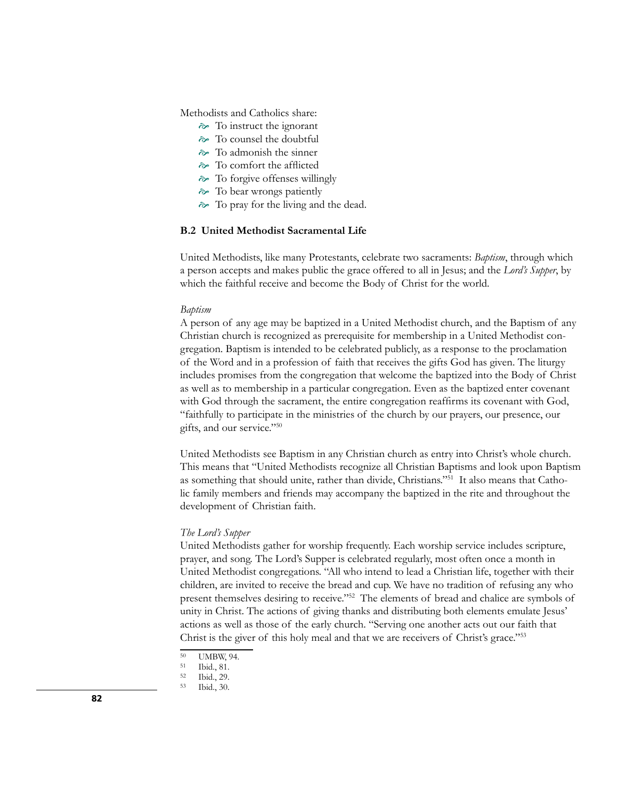Methodists and Catholics share:

- To instruct the ignorant
- To counsel the doubtful
- $\approx$  To admonish the sinner
- To comfort the afflicted
- $\approx$  To forgive offenses willingly
- $\approx$  To bear wrongs patiently
- $\approx$  To pray for the living and the dead.

## **B.2 United Methodist Sacramental Life**

United Methodists, like many Protestants, celebrate two sacraments: *Baptism*, through which a person accepts and makes public the grace offered to all in Jesus; and the *Lord's Supper*, by which the faithful receive and become the Body of Christ for the world.

#### *Baptism*

A person of any age may be baptized in a United Methodist church, and the Baptism of any Christian church is recognized as prerequisite for membership in a United Methodist congregation. Baptism is intended to be celebrated publicly, as a response to the proclamation of the Word and in a profession of faith that receives the gifts God has given. The liturgy includes promises from the congregation that welcome the baptized into the Body of Christ as well as to membership in a particular congregation. Even as the baptized enter covenant with God through the sacrament, the entire congregation reaffirms its covenant with God, "faithfully to participate in the ministries of the church by our prayers, our presence, our gifts, and our service."50

United Methodists see Baptism in any Christian church as entry into Christ's whole church. This means that "United Methodists recognize all Christian Baptisms and look upon Baptism as something that should unite, rather than divide, Christians."51 It also means that Catholic family members and friends may accompany the baptized in the rite and throughout the development of Christian faith.

## *The Lord's Supper*

United Methodists gather for worship frequently. Each worship service includes scripture, prayer, and song. The Lord's Supper is celebrated regularly, most often once a month in United Methodist congregations. "All who intend to lead a Christian life, together with their children, are invited to receive the bread and cup. We have no tradition of refusing any who present themselves desiring to receive."52 The elements of bread and chalice are symbols of unity in Christ. The actions of giving thanks and distributing both elements emulate Jesus' actions as well as those of the early church. "Serving one another acts out our faith that Christ is the giver of this holy meal and that we are receivers of Christ's grace."53

<sup>&</sup>lt;sup>50</sup> UMBW, 94.<br><sup>51</sup> Ibid 81

<sup>51</sup> Ibid., 81.

<sup>52</sup> Ibid., 29.

Ibid., 30.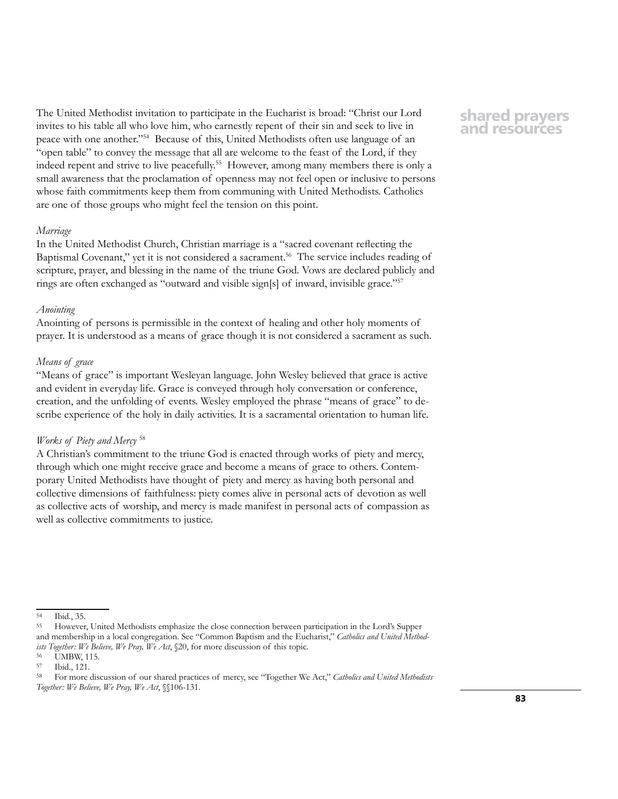The United Methodist invitation to participate in the Eucharist is broad: "Christ our Lord invites to his table all who love him, who earnestly repent of their sin and seek to live in peace with one another."54 Because of this, United Methodists often use language of an "open table" to convey the message that all are welcome to the feast of the Lord, if they indeed repent and strive to live peacefully.55 However, among many members there is only a small awareness that the proclamation of openness may not feel open or inclusive to persons whose faith commitments keep them from communing with United Methodists. Catholics are one of those groups who might feel the tension on this point.

#### *Marriage*

In the United Methodist Church, Christian marriage is a "sacred covenant reflecting the Baptismal Covenant," yet it is not considered a sacrament.<sup>56</sup> The service includes reading of scripture, prayer, and blessing in the name of the triune God. Vows are declared publicly and rings are often exchanged as "outward and visible sign[s] of inward, invisible grace."57

## *Anointing*

Anointing of persons is permissible in the context of healing and other holy moments of prayer. It is understood as a means of grace though it is not considered a sacrament as such.

## *Means of grace*

"Means of grace" is important Wesleyan language. John Wesley believed that grace is active and evident in everyday life. Grace is conveyed through holy conversation or conference, creation, and the unfolding of events. Wesley employed the phrase "means of grace" to describe experience of the holy in daily activities. It is a sacramental orientation to human life.

## *Works of Piety and Mercy* <sup>58</sup>

A Christian's commitment to the triune God is enacted through works of piety and mercy, through which one might receive grace and become a means of grace to others. Contemporary United Methodists have thought of piety and mercy as having both personal and collective dimensions of faithfulness: piety comes alive in personal acts of devotion as well as collective acts of worship, and mercy is made manifest in personal acts of compassion as well as collective commitments to justice.

# <sup>54</sup> Ibid., 35.

## **shared prayers and resources**

<sup>55</sup> However, United Methodists emphasize the close connection between participation in the Lord's Supper and membership in a local congregation. See "Common Baptism and the Eucharist," *Catholics and United Methodists Together: We Believe, We Pray, We Act*, §20, for more discussion of this topic.

<sup>&</sup>lt;sup>56</sup> UMBW, 115.<br><sup>57</sup> Ibid 121

Ibid., 121.

<sup>58</sup> For more discussion of our shared practices of mercy, see "Together We Act," *Catholics and United Methodists Together: We Believe, We Pray, We Act*, §§106-131.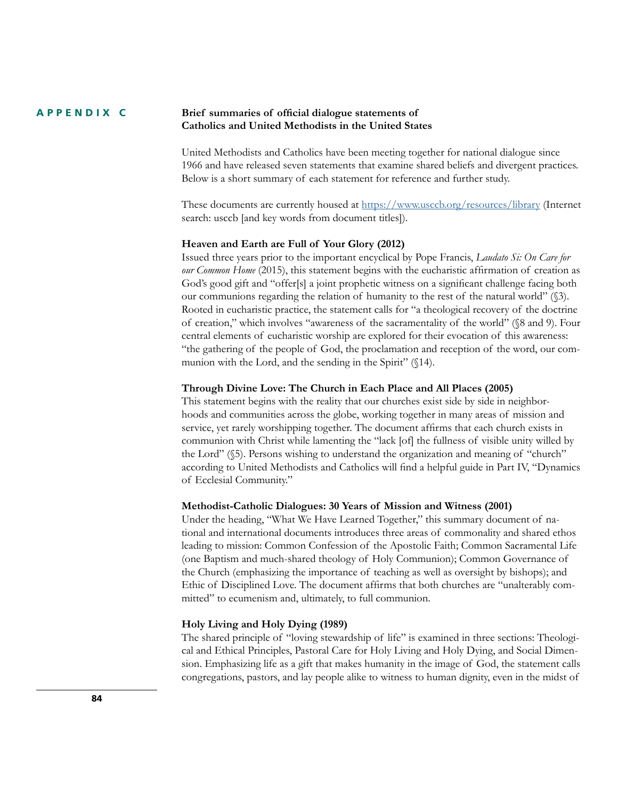#### **Brief summaries of official dialogue statements of Catholics and United Methodists in the United States APPENDIX C**

United Methodists and Catholics have been meeting together for national dialogue since 1966 and have released seven statements that examine shared beliefs and divergent practices. Below is a short summary of each statement for reference and further study.

These documents are currently housed at<https://www.usccb.org/resources/library> (Internet search: usccb [and key words from document titles]).

#### **Heaven and Earth are Full of Your Glory (2012)**

Issued three years prior to the important encyclical by Pope Francis, *Laudato Si: On Care for our Common Home* (2015), this statement begins with the eucharistic affirmation of creation as God's good gift and "offer[s] a joint prophetic witness on a significant challenge facing both our communions regarding the relation of humanity to the rest of the natural world" (§3). Rooted in eucharistic practice, the statement calls for "a theological recovery of the doctrine of creation," which involves "awareness of the sacramentality of the world" (§8 and 9). Four central elements of eucharistic worship are explored for their evocation of this awareness: "the gathering of the people of God, the proclamation and reception of the word, our communion with the Lord, and the sending in the Spirit" (§14).

### **Through Divine Love: The Church in Each Place and All Places (2005)**

This statement begins with the reality that our churches exist side by side in neighborhoods and communities across the globe, working together in many areas of mission and service, yet rarely worshipping together. The document affirms that each church exists in communion with Christ while lamenting the "lack [of] the fullness of visible unity willed by the Lord" (§5). Persons wishing to understand the organization and meaning of "church" according to United Methodists and Catholics will find a helpful guide in Part IV, "Dynamics of Ecclesial Community."

#### **Methodist-Catholic Dialogues: 30 Years of Mission and Witness (2001)**

Under the heading, "What We Have Learned Together," this summary document of national and international documents introduces three areas of commonality and shared ethos leading to mission: Common Confession of the Apostolic Faith; Common Sacramental Life (one Baptism and much-shared theology of Holy Communion); Common Governance of the Church (emphasizing the importance of teaching as well as oversight by bishops); and Ethic of Disciplined Love. The document affirms that both churches are "unalterably committed" to ecumenism and, ultimately, to full communion.

#### **Holy Living and Holy Dying (1989)**

The shared principle of "loving stewardship of life" is examined in three sections: Theological and Ethical Principles, Pastoral Care for Holy Living and Holy Dying, and Social Dimension. Emphasizing life as a gift that makes humanity in the image of God, the statement calls congregations, pastors, and lay people alike to witness to human dignity, even in the midst of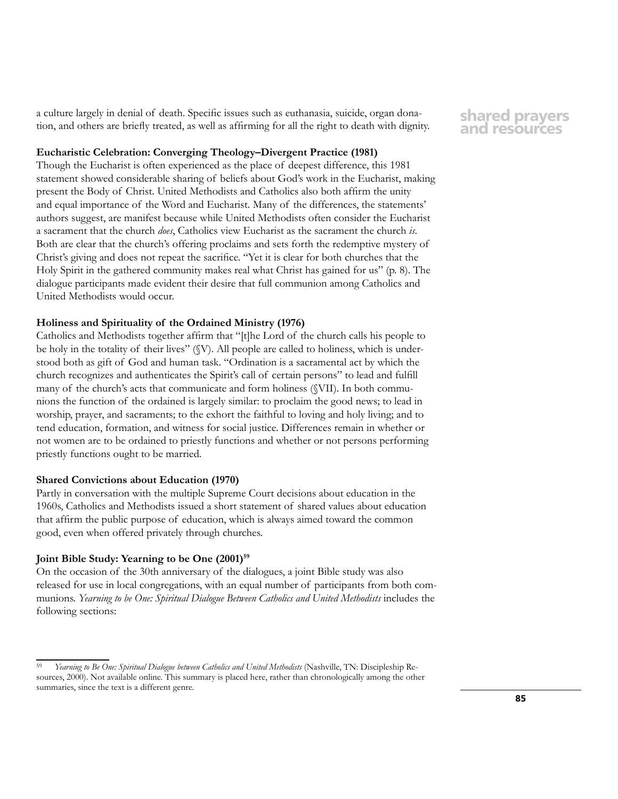a culture largely in denial of death. Specific issues such as euthanasia, suicide, organ donation, and others are briefly treated, as well as affirming for all the right to death with dignity.

## **Eucharistic Celebration: Converging Theology–Divergent Practice (1981)**

Though the Eucharist is often experienced as the place of deepest difference, this 1981 statement showed considerable sharing of beliefs about God's work in the Eucharist, making present the Body of Christ. United Methodists and Catholics also both affirm the unity and equal importance of the Word and Eucharist. Many of the differences, the statements' authors suggest, are manifest because while United Methodists often consider the Eucharist a sacrament that the church *does*, Catholics view Eucharist as the sacrament the church *is*. Both are clear that the church's offering proclaims and sets forth the redemptive mystery of Christ's giving and does not repeat the sacrifice. "Yet it is clear for both churches that the Holy Spirit in the gathered community makes real what Christ has gained for us" (p. 8). The dialogue participants made evident their desire that full communion among Catholics and United Methodists would occur.

## **Holiness and Spirituality of the Ordained Ministry (1976)**

Catholics and Methodists together affirm that "[t]he Lord of the church calls his people to be holy in the totality of their lives" (§V). All people are called to holiness, which is understood both as gift of God and human task. "Ordination is a sacramental act by which the church recognizes and authenticates the Spirit's call of certain persons" to lead and fulfill many of the church's acts that communicate and form holiness (§VII). In both communions the function of the ordained is largely similar: to proclaim the good news; to lead in worship, prayer, and sacraments; to the exhort the faithful to loving and holy living; and to tend education, formation, and witness for social justice. Differences remain in whether or not women are to be ordained to priestly functions and whether or not persons performing priestly functions ought to be married.

## **Shared Convictions about Education (1970)**

Partly in conversation with the multiple Supreme Court decisions about education in the 1960s, Catholics and Methodists issued a short statement of shared values about education that affirm the public purpose of education, which is always aimed toward the common good, even when offered privately through churches.

### **Joint Bible Study: Yearning to be One (2001)59**

On the occasion of the 30th anniversary of the dialogues, a joint Bible study was also released for use in local congregations, with an equal number of participants from both communions. *Yearning to be One: Spiritual Dialogue Between Catholics and United Methodists* includes the following sections:

**shared prayers and resources**

<sup>59</sup> *Yearning to Be One: Spiritual Dialogue between Catholics and United Methodists* (Nashville, TN: Discipleship Resources, 2000). Not available online. This summary is placed here, rather than chronologically among the other summaries, since the text is a different genre.